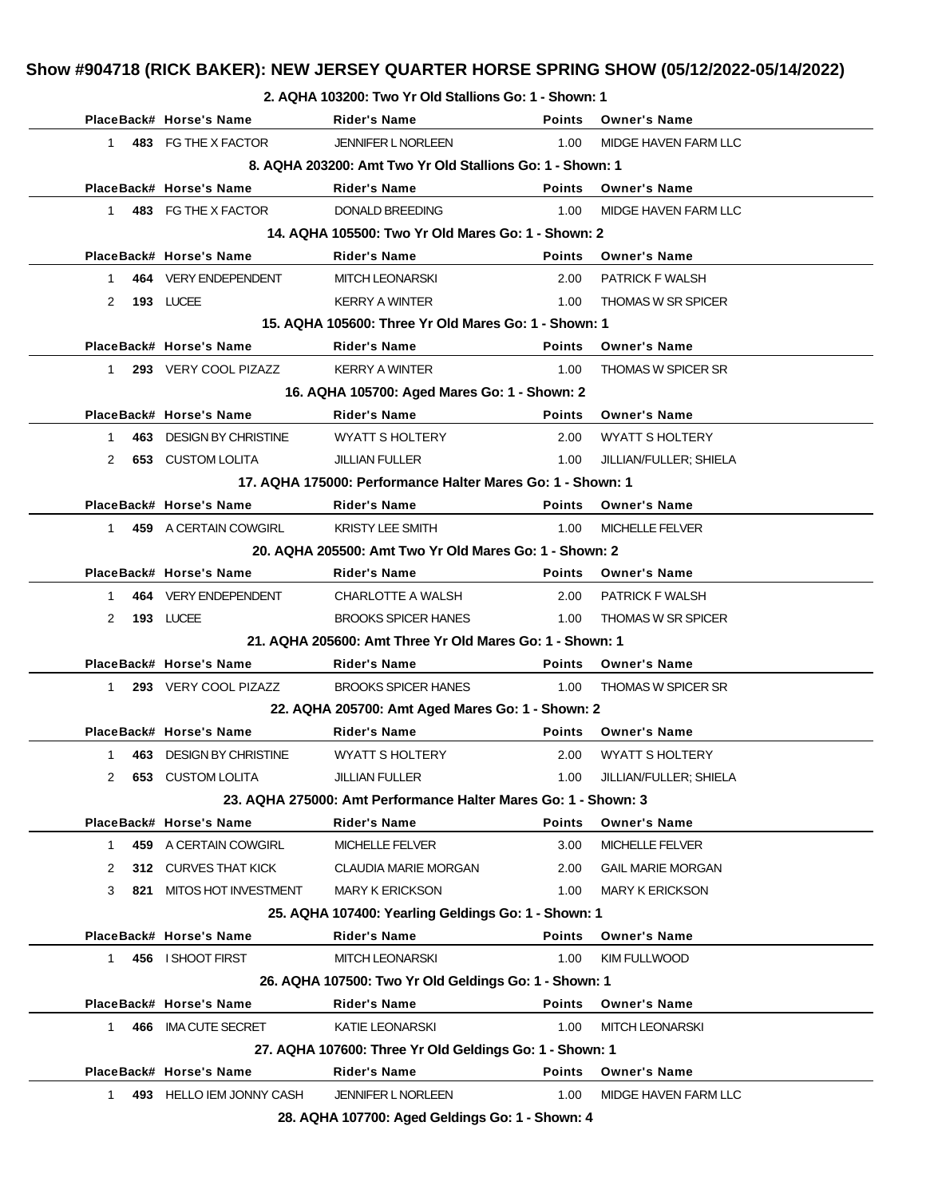**2. AQHA 103200: Two Yr Old Stallions Go: 1 - Shown: 1**

|                      | PlaceBack# Horse's Name  | <b>Rider's Name</b>                                            |               | Points Owner's Name         |
|----------------------|--------------------------|----------------------------------------------------------------|---------------|-----------------------------|
| 1                    | 483 FG THE X FACTOR      | <b>JENNIFER L NORLEEN</b>                                      | 1.00          | MIDGE HAVEN FARM LLC        |
|                      |                          | 8. AQHA 203200: Amt Two Yr Old Stallions Go: 1 - Shown: 1      |               |                             |
|                      | PlaceBack# Horse's Name  | Rider's Name                                                   | <b>Points</b> | <b>Owner's Name</b>         |
| 1                    | 483 FG THE X FACTOR      | DONALD BREEDING                                                | 1.00          | MIDGE HAVEN FARM LLC        |
|                      |                          | 14. AQHA 105500: Two Yr Old Mares Go: 1 - Shown: 2             |               |                             |
|                      | PlaceBack# Horse's Name  | <b>Rider's Name</b>                                            | <b>Points</b> | <b>Owner's Name</b>         |
| 1                    | 464 VERY ENDEPENDENT     | <b>MITCH LEONARSKI</b>                                         | 2.00          | PATRICK F WALSH             |
| 2                    | 193 LUCEE                | <b>KERRY A WINTER</b>                                          | 1.00          | <b>THOMAS W SR SPICER</b>   |
|                      |                          | 15. AQHA 105600: Three Yr Old Mares Go: 1 - Shown: 1           |               |                             |
|                      | PlaceBack# Horse's Name  | <b>Rider's Name</b>                                            | <b>Points</b> | <b>Owner's Name</b>         |
| 1.                   | 293 VERY COOL PIZAZZ     | <b>KERRY A WINTER</b>                                          | 1.00          | <b>THOMAS W SPICER SR</b>   |
|                      |                          | 16. AQHA 105700: Aged Mares Go: 1 - Shown: 2                   |               |                             |
|                      | PlaceBack# Horse's Name  | <b>Rider's Name</b>                                            | Points        | <b>Owner's Name</b>         |
| 1                    | 463 DESIGN BY CHRISTINE  | WYATT S HOLTERY                                                | 2.00          | <b>WYATT S HOLTERY</b>      |
| $\mathbf{2}^{\circ}$ | <b>653 CUSTOM LOLITA</b> | <b>JILLIAN FULLER</b>                                          | 1.00          | JILLIAN/FULLER; SHIELA      |
|                      |                          | 17. AQHA 175000: Performance Halter Mares Go: 1 - Shown: 1     |               |                             |
|                      | PlaceBack# Horse's Name  | <b>Rider's Name</b>                                            | <b>Points</b> | <b>Owner's Name</b>         |
| 1                    | 459 A CERTAIN COWGIRL    | <b>KRISTY LEE SMITH</b>                                        | 1.00          | <b>MICHELLE FELVER</b>      |
|                      |                          | 20. AQHA 205500: Amt Two Yr Old Mares Go: 1 - Shown: 2         |               |                             |
|                      | PlaceBack# Horse's Name  | <b>Rider's Name</b>                                            |               | Points Owner's Name         |
| $\mathbf 1$          | 464 VERY ENDEPENDENT     | CHARLOTTE A WALSH                                              | 2.00          | <b>PATRICK F WALSH</b>      |
| 2                    | 193 LUCEE                | <b>BROOKS SPICER HANES</b>                                     | 1.00          | <b>THOMAS W SR SPICER</b>   |
|                      |                          | 21. AQHA 205600: Amt Three Yr Old Mares Go: 1 - Shown: 1       |               |                             |
|                      | PlaceBack# Horse's Name  | Rider's Name                                                   | <b>Points</b> | <b>Owner's Name</b>         |
| 1.                   | 293 VERY COOL PIZAZZ     | <b>BROOKS SPICER HANES</b>                                     | 1.00          | <b>THOMAS W SPICER SR</b>   |
|                      |                          | 22. AQHA 205700: Amt Aged Mares Go: 1 - Shown: 2               |               |                             |
|                      | PlaceBack# Horse's Name  | <b>Rider's Name</b>                                            | <b>Points</b> | <b>Owner's Name</b>         |
| 1                    | 463 DESIGN BY CHRISTINE  | WYATT S HOLTERY                                                |               | 2.00 WYATT SHOLTERY         |
| $\mathbf{2}^{\circ}$ | <b>653 CUSTOM LOLITA</b> | JILLIAN FULLER                                                 |               | 1.00 JILLIAN/FULLER; SHIELA |
|                      |                          | 23. AQHA 275000: Amt Performance Halter Mares Go: 1 - Shown: 3 |               |                             |
|                      | PlaceBack# Horse's Name  | <b>Rider's Name</b>                                            | <b>Points</b> | <b>Owner's Name</b>         |
| 1.                   | 459 A CERTAIN COWGIRL    | <b>MICHELLE FELVER</b>                                         | 3.00          | <b>MICHELLE FELVER</b>      |
| 2                    | 312 CURVES THAT KICK     | <b>CLAUDIA MARIE MORGAN</b>                                    | 2.00          | <b>GAIL MARIE MORGAN</b>    |
| 3<br>821             | MITOS HOT INVESTMENT     | <b>MARY K ERICKSON</b>                                         | 1.00          | <b>MARY K ERICKSON</b>      |
|                      |                          | 25. AQHA 107400: Yearling Geldings Go: 1 - Shown: 1            |               |                             |
|                      | PlaceBack# Horse's Name  | <b>Rider's Name</b>                                            | <b>Points</b> | <b>Owner's Name</b>         |
| 1                    | 456 I SHOOT FIRST        | <b>MITCH LEONARSKI</b>                                         | 1.00          | KIM FULLWOOD                |
|                      |                          | 26. AQHA 107500: Two Yr Old Geldings Go: 1 - Shown: 1          |               |                             |
|                      | PlaceBack# Horse's Name  | <b>Rider's Name</b>                                            | <b>Points</b> | <b>Owner's Name</b>         |
| 1.                   | 466 IMA CUTE SECRET      | KATIE LEONARSKI                                                | 1.00          | <b>MITCH LEONARSKI</b>      |
|                      |                          | 27. AQHA 107600: Three Yr Old Geldings Go: 1 - Shown: 1        |               |                             |
|                      | PlaceBack# Horse's Name  | <b>Rider's Name</b>                                            | <b>Points</b> | <b>Owner's Name</b>         |
| 1                    | 493 HELLO IEM JONNY CASH | <b>JENNIFER L NORLEEN</b>                                      | 1.00          | MIDGE HAVEN FARM LLC        |
|                      |                          | 28. AQHA 107700: Aged Geldings Go: 1 - Shown: 4                |               |                             |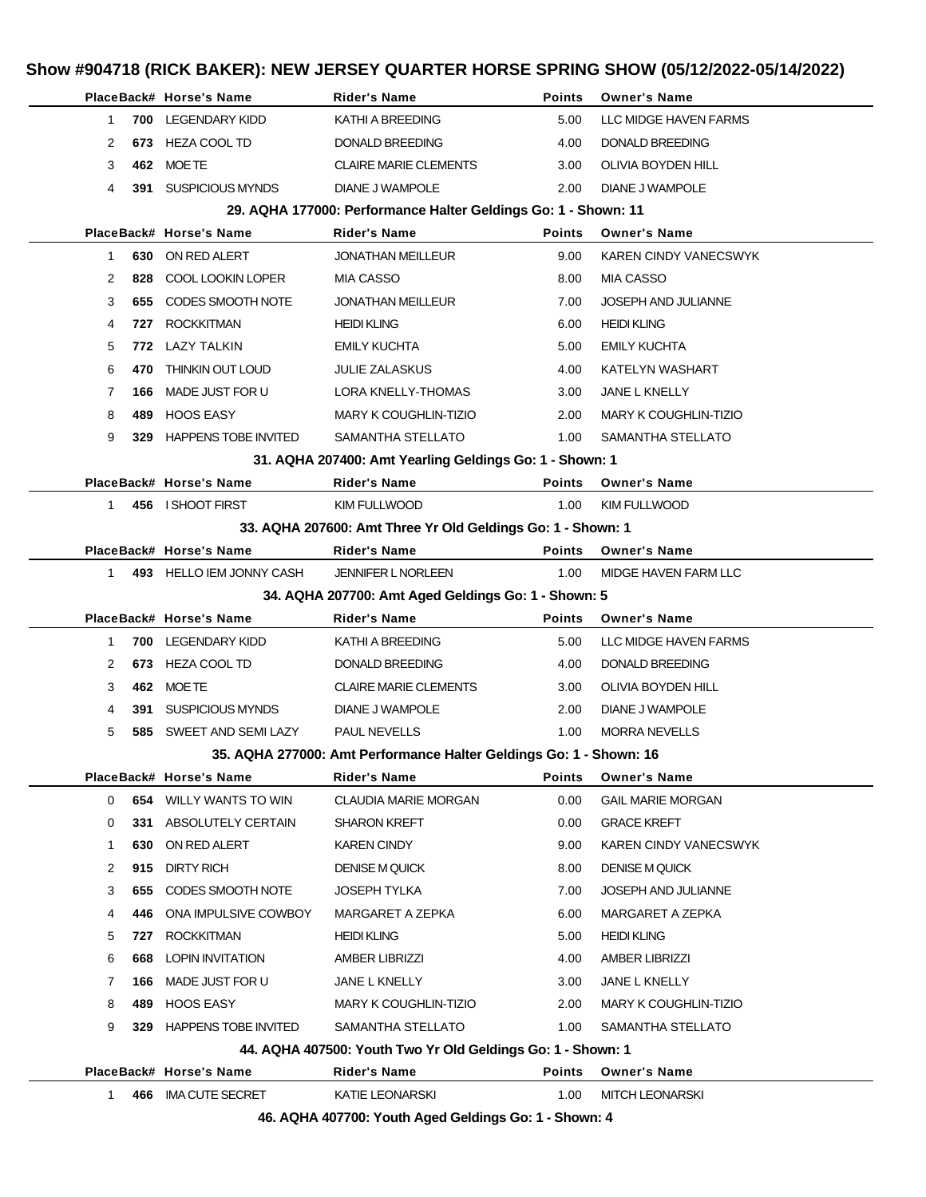|              |     | PlaceBack# Horse's Name       | <b>Rider's Name</b>                                                      | <b>Points</b> | <b>Owner's Name</b>          |
|--------------|-----|-------------------------------|--------------------------------------------------------------------------|---------------|------------------------------|
| 1            |     | 700 LEGENDARY KIDD            | KATHI A BREEDING                                                         | 5.00          | LLC MIDGE HAVEN FARMS        |
| 2            |     | 673 HEZA COOL TD              | <b>DONALD BREEDING</b>                                                   | 4.00          | <b>DONALD BREEDING</b>       |
| 3            |     | 462 MOETE                     | <b>CLAIRE MARIE CLEMENTS</b>                                             | 3.00          | OLIVIA BOYDEN HILL           |
| 4            |     | 391 SUSPICIOUS MYNDS          | DIANE J WAMPOLE                                                          | 2.00          | DIANE J WAMPOLE              |
|              |     |                               | 29. AQHA 177000: Performance Halter Geldings Go: 1 - Shown: 11           |               |                              |
|              |     | PlaceBack# Horse's Name       | <b>Rider's Name</b>                                                      | <b>Points</b> | <b>Owner's Name</b>          |
| 1            |     | 630 ON RED ALERT              | <b>JONATHAN MEILLEUR</b>                                                 | 9.00          | <b>KAREN CINDY VANECSWYK</b> |
| 2            | 828 | COOL LOOKIN LOPER             | <b>MIA CASSO</b>                                                         | 8.00          | MIA CASSO                    |
| 3            | 655 | CODES SMOOTH NOTE             | <b>JONATHAN MEILLEUR</b>                                                 | 7.00          | JOSEPH AND JULIANNE          |
| 4            |     | 727 ROCKKITMAN                | <b>HEIDI KLING</b>                                                       | 6.00          | <b>HEIDI KLING</b>           |
| 5            |     | 772 LAZY TALKIN               | <b>EMILY KUCHTA</b>                                                      | 5.00          | <b>EMILY KUCHTA</b>          |
| 6            | 470 | THINKIN OUT LOUD              | <b>JULIE ZALASKUS</b>                                                    | 4.00          | KATELYN WASHART              |
| 7            | 166 | MADE JUST FOR U               | LORA KNELLY-THOMAS                                                       | 3.00          | <b>JANE L KNELLY</b>         |
| 8            |     | 489 HOOS EASY                 | MARY K COUGHLIN-TIZIO                                                    | 2.00          | <b>MARY K COUGHLIN-TIZIO</b> |
| 9            |     | 329 HAPPENS TOBE INVITED      | SAMANTHA STELLATO                                                        | 1.00          | SAMANTHA STELLATO            |
|              |     |                               | 31. AQHA 207400: Amt Yearling Geldings Go: 1 - Shown: 1                  |               |                              |
|              |     | PlaceBack# Horse's Name       | <b>Rider's Name</b>                                                      | <b>Points</b> | <b>Owner's Name</b>          |
| $\mathbf{1}$ |     | 456 I SHOOT FIRST             | KIM FULLWOOD                                                             | 1.00          | <b>KIM FULLWOOD</b>          |
|              |     |                               | 33. AQHA 207600: Amt Three Yr Old Geldings Go: 1 - Shown: 1              |               |                              |
|              |     | PlaceBack# Horse's Name       | <b>Rider's Name</b>                                                      | <b>Points</b> | <b>Owner's Name</b>          |
| $\mathbf{1}$ |     | 493 HELLO IEM JONNY CASH      | <b>JENNIFER L NORLEEN</b>                                                | 1.00          | MIDGE HAVEN FARM LLC         |
|              |     |                               | 34. AQHA 207700: Amt Aged Geldings Go: 1 - Shown: 5                      |               |                              |
|              |     |                               |                                                                          |               |                              |
|              |     | PlaceBack# Horse's Name       | <b>Rider's Name</b>                                                      | <b>Points</b> | <b>Owner's Name</b>          |
| 1            |     | 700 LEGENDARY KIDD            | KATHI A BREEDING                                                         | 5.00          | LLC MIDGE HAVEN FARMS        |
| 2            |     | 673 HEZA COOL TD              | DONALD BREEDING                                                          | 4.00          | DONALD BREEDING              |
| 3            |     | 462 MOETE                     | <b>CLAIRE MARIE CLEMENTS</b>                                             | 3.00          | OLIVIA BOYDEN HILL           |
| 4            | 391 | <b>SUSPICIOUS MYNDS</b>       | DIANE J WAMPOLE                                                          | 2.00          | <b>DIANE J WAMPOLE</b>       |
| 5            | 585 | SWEET AND SEMI LAZY           | <b>PAUL NEVELLS</b>                                                      | 1.00          | <b>MORRA NEVELLS</b>         |
|              |     |                               | 35. AQHA 277000: Amt Performance Halter Geldings Go: 1 - Shown: 16       |               |                              |
|              |     | PlaceBack# Horse's Name       | <b>Rider's Name</b>                                                      | <b>Points</b> | <b>Owner's Name</b>          |
| 0            |     | <b>654 WILLY WANTS TO WIN</b> | <b>CLAUDIA MARIE MORGAN</b>                                              | 0.00          | <b>GAIL MARIE MORGAN</b>     |
| 0            |     | 331 ABSOLUTELY CERTAIN        | SHARON KREFT                                                             | 0.00          | <b>GRACE KREFT</b>           |
| 1            | 630 | ON RED ALERT                  | <b>KAREN CINDY</b>                                                       | 9.00          | KAREN CINDY VANECSWYK        |
| 2            | 915 | DIRTY RICH                    | <b>DENISE M QUICK</b>                                                    | 8.00          | <b>DENISE M QUICK</b>        |
| 3            | 655 | CODES SMOOTH NOTE             | JOSEPH TYLKA                                                             | 7.00          | JOSEPH AND JULIANNE          |
| 4            | 446 | ONA IMPULSIVE COWBOY          | MARGARET A ZEPKA                                                         | 6.00          | MARGARET A ZEPKA             |
| 5            |     | 727 ROCKKITMAN                | <b>HEIDI KLING</b>                                                       | 5.00          | <b>HEIDI KLING</b>           |
| 6            | 668 | <b>LOPIN INVITATION</b>       | <b>AMBER LIBRIZZI</b>                                                    | 4.00          | <b>AMBER LIBRIZZI</b>        |
| 7            | 166 | MADE JUST FOR U               | JANE L KNELLY                                                            | 3.00          | JANE L KNELLY                |
| 8            | 489 | HOOS EASY                     | MARY K COUGHLIN-TIZIO                                                    | 2.00          | <b>MARY K COUGHLIN-TIZIO</b> |
| 9            |     | 329 HAPPENS TOBE INVITED      | SAMANTHA STELLATO                                                        | 1.00          | SAMANTHA STELLATO            |
|              |     |                               | 44. AQHA 407500: Youth Two Yr Old Geldings Go: 1 - Shown: 1              |               |                              |
|              |     | PlaceBack# Horse's Name       | <b>Rider's Name</b>                                                      | <b>Points</b> | <b>Owner's Name</b>          |
| $\mathbf{1}$ |     | 466 IMA CUTE SECRET           | KATIE LEONARSKI<br>46. AQHA 407700: Youth Aged Geldings Go: 1 - Shown: 4 | 1.00          | <b>MITCH LEONARSKI</b>       |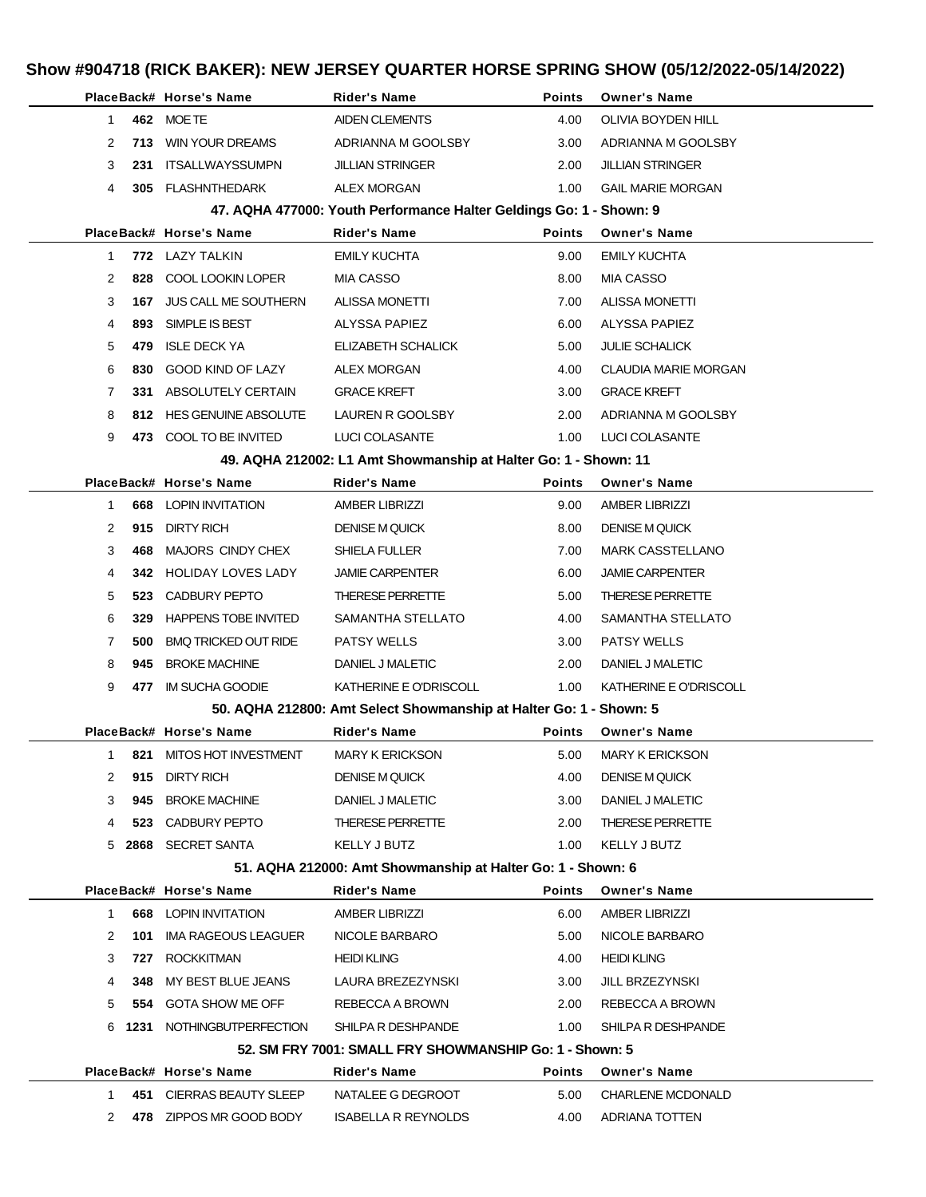|              |            | PlaceBack# Horse's Name                  | <b>Rider's Name</b>                                                 | Points        | <b>Owner's Name</b>                   |
|--------------|------------|------------------------------------------|---------------------------------------------------------------------|---------------|---------------------------------------|
| 1            |            | 462 MOETE                                | <b>AIDEN CLEMENTS</b>                                               | 4.00          | OLIVIA BOYDEN HILL                    |
| 2            | 713        | <b>WIN YOUR DREAMS</b>                   | ADRIANNA M GOOLSBY                                                  | 3.00          | ADRIANNA M GOOLSBY                    |
| 3            | 231        | ITSALLWAYSSUMPN                          | <b>JILLIAN STRINGER</b>                                             | 2.00          | JILLIAN STRINGER                      |
| 4            |            | 305 FLASHNTHEDARK                        | ALEX MORGAN                                                         | 1.00          | <b>GAIL MARIE MORGAN</b>              |
|              |            |                                          | 47. AQHA 477000: Youth Performance Halter Geldings Go: 1 - Shown: 9 |               |                                       |
|              |            | PlaceBack# Horse's Name                  | <b>Rider's Name</b>                                                 | <b>Points</b> | <b>Owner's Name</b>                   |
| $\mathbf{1}$ |            | 772 LAZY TALKIN                          | EMILY KUCHTA                                                        | 9.00          | <b>EMILY KUCHTA</b>                   |
| 2            | 828        | COOL LOOKIN LOPER                        | <b>MIA CASSO</b>                                                    | 8.00          | <b>MIA CASSO</b>                      |
| 3            | 167        | <b>JUS CALL ME SOUTHERN</b>              | <b>ALISSA MONETTI</b>                                               | 7.00          | <b>ALISSA MONETTI</b>                 |
| 4            | 893        | SIMPLE IS BEST                           | ALYSSA PAPIEZ                                                       | 6.00          | ALYSSA PAPIEZ                         |
| 5            | 479        | <b>ISLE DECK YA</b>                      | ELIZABETH SCHALICK                                                  | 5.00          | <b>JULIE SCHALICK</b>                 |
| 6            | 830        | GOOD KIND OF LAZY                        | ALEX MORGAN                                                         | 4.00          | <b>CLAUDIA MARIE MORGAN</b>           |
| 7            | 331        | ABSOLUTELY CERTAIN                       | <b>GRACE KREFT</b>                                                  | 3.00          | <b>GRACE KREFT</b>                    |
| 8            |            | 812 HES GENUINE ABSOLUTE                 | LAUREN R GOOLSBY                                                    | 2.00          | ADRIANNA M GOOLSBY                    |
| 9            |            | 473 COOL TO BE INVITED                   | LUCI COLASANTE                                                      | 1.00          | LUCI COLASANTE                        |
|              |            |                                          | 49. AQHA 212002: L1 Amt Showmanship at Halter Go: 1 - Shown: 11     |               |                                       |
|              |            | PlaceBack# Horse's Name                  | <b>Rider's Name</b>                                                 | Points        | <b>Owner's Name</b>                   |
| 1            | 668        | <b>LOPIN INVITATION</b>                  | <b>AMBER LIBRIZZI</b>                                               | 9.00          | <b>AMBER LIBRIZZI</b>                 |
| 2            | 915        | <b>DIRTY RICH</b>                        | <b>DENISE M QUICK</b>                                               | 8.00          | <b>DENISE M QUICK</b>                 |
| 3            | 468        | MAJORS CINDY CHEX                        | SHIELA FULLER                                                       | 7.00          | <b>MARK CASSTELLANO</b>               |
| 4            | 342        | <b>HOLIDAY LOVES LADY</b>                | <b>JAMIE CARPENTER</b>                                              | 6.00          | <b>JAMIE CARPENTER</b>                |
| 5            | 523        | CADBURY PEPTO                            | <b>THERESE PERRETTE</b>                                             | 5.00          | <b>THERESE PERRETTE</b>               |
| 6            | 329        | <b>HAPPENS TOBE INVITED</b>              | SAMANTHA STELLATO                                                   | 4.00          | SAMANTHA STELLATO                     |
| 7            | 500        | <b>BMQ TRICKED OUT RIDE</b>              | <b>PATSY WELLS</b>                                                  | 3.00          | <b>PATSY WELLS</b>                    |
| 8            | 945        | <b>BROKE MACHINE</b>                     | DANIEL J MALETIC                                                    | 2.00          | DANIEL J MALETIC                      |
| 9            | 477        | IM SUCHA GOODIE                          | KATHERINE E O'DRISCOLL                                              | 1.00          | KATHERINE E O'DRISCOLL                |
|              |            |                                          | 50. AQHA 212800: Amt Select Showmanship at Halter Go: 1 - Shown: 5  |               |                                       |
|              |            | PlaceBack# Horse's Name                  | <b>Rider's Name</b>                                                 | <b>Points</b> | <b>Owner's Name</b>                   |
| $\mathbf{1}$ |            | 821 MITOS HOT INVESTMENT                 | MARY K ERICKSON                                                     | 5.00          | <b>MARY K ERICKSON</b>                |
| 2            |            | 915 DIRTY RICH                           | <b>DENISE M QUICK</b>                                               | 4.00          | <b>DENISE M QUICK</b>                 |
| 3            | 945        | <b>BROKE MACHINE</b>                     | DANIEL J MALETIC                                                    | 3.00          | DANIEL J MALETIC                      |
| 4            |            | 523 CADBURY PEPTO                        | THERESE PERRETTE                                                    | 2.00          | THERESE PERRETTE                      |
|              |            | 5 2868 SECRET SANTA                      | KELLY J BUTZ                                                        | 1.00          | KELLY J BUTZ                          |
|              |            |                                          | 51. AQHA 212000: Amt Showmanship at Halter Go: 1 - Shown: 6         |               |                                       |
|              |            | PlaceBack# Horse's Name                  | <b>Rider's Name</b>                                                 | Points        | <b>Owner's Name</b>                   |
| 1            |            | <b>668 LOPIN INVITATION</b>              | <b>AMBER LIBRIZZI</b>                                               | 6.00          | <b>AMBER LIBRIZZI</b>                 |
| 2            | 101        | IMA RAGEOUS LEAGUER<br><b>ROCKKITMAN</b> | NICOLE BARBARO                                                      | 5.00          | NICOLE BARBARO                        |
| 3<br>4       | 727<br>348 | MY BEST BLUE JEANS                       | <b>HEIDI KLING</b><br>LAURA BREZEZYNSKI                             | 4.00<br>3.00  | <b>HEIDI KLING</b><br>JILL BRZEZYNSKI |
| 5            |            | 554 GOTA SHOW ME OFF                     | REBECCA A BROWN                                                     | 2.00          |                                       |
|              |            | 6 1231 NOTHINGBUTPERFECTION              | SHILPA R DESHPANDE                                                  | 1.00          | REBECCA A BROWN<br>SHILPA R DESHPANDE |
|              |            |                                          | 52. SM FRY 7001: SMALL FRY SHOWMANSHIP Go: 1 - Shown: 5             |               |                                       |
|              |            | PlaceBack# Horse's Name                  | Rider's Name                                                        | <b>Points</b> | <b>Owner's Name</b>                   |
| 1.           |            | 451 CIERRAS BEAUTY SLEEP                 | NATALEE G DEGROOT                                                   | 5.00          | CHARLENE MCDONALD                     |
| 2            |            | 478 ZIPPOS MR GOOD BODY                  | <b>ISABELLA R REYNOLDS</b>                                          | 4.00          | ADRIANA TOTTEN                        |
|              |            |                                          |                                                                     |               |                                       |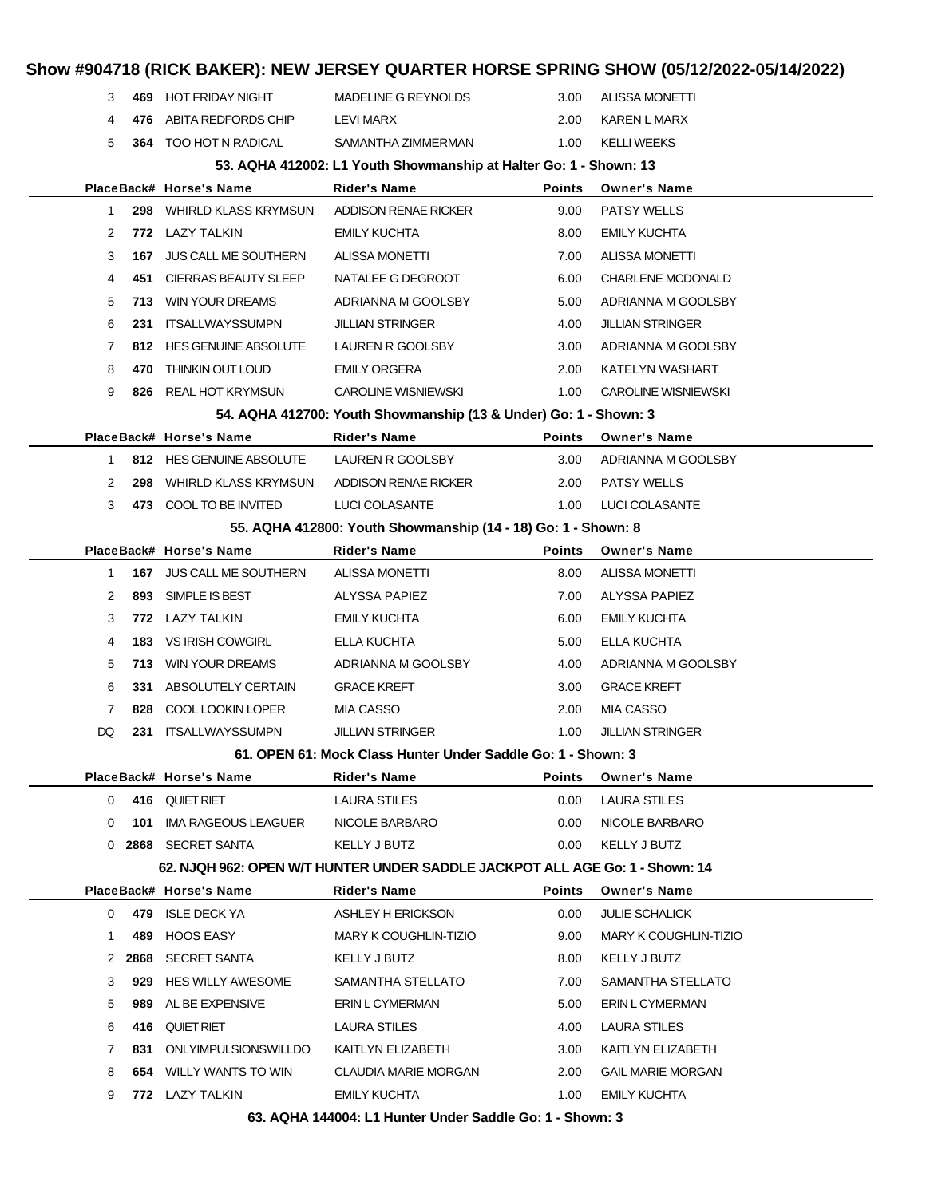### **Show #904718 (RICK BAKER): NEW JERSEY QUARTER HORSE SPRING SHOW (05/12/2022-05/14/2022) 469** HOT FRIDAY NIGHT MADELINE G REYNOLDS 3.00 ALISSA MONETTI **476** ABITA REDFORDS CHIP LEVI MARX 2.00 KAREN L MARX **364** TOO HOT N RADICAL SAMANTHA ZIMMERMAN 1.00 KELLI WEEKS **53. AQHA 412002: L1 Youth Showmanship at Halter Go: 1 - Shown: 13 PlaceBack# Horse's Name Rider's Name Points Owner's Name 298** WHIRLD KLASS KRYMSUN ADDISON RENAE RICKER 9.00 PATSY WELLS **772** LAZY TALKIN EMILY KUCHTA 8.00 EMILY KUCHTA **167** JUS CALL ME SOUTHERN ALISSA MONETTI 7.00 ALISSA MONETTI **451** CIERRAS BEAUTY SLEEP NATALEE G DEGROOT 6.00 CHARLENE MCDONALD **713** WIN YOUR DREAMS ADRIANNA M GOOLSBY 5.00 ADRIANNA M GOOLSBY **231** ITSALLWAYSSUMPN JILLIAN STRINGER 4.00 JILLIAN STRINGER **812** HES GENUINE ABSOLUTE LAUREN R GOOLSBY 3.00 ADRIANNA M GOOLSBY **470** THINKIN OUT LOUD EMILY ORGERA 2.00 KATELYN WASHART **826** REAL HOT KRYMSUN CAROLINE WISNIEWSKI 1.00 CAROLINE WISNIEWSKI **54. AQHA 412700: Youth Showmanship (13 & Under) Go: 1 - Shown: 3 PlaceBack# Horse's Name Rider's Name Points Owner's Name 812** HES GENUINE ABSOLUTE LAUREN R GOOLSBY 3.00 ADRIANNA M GOOLSBY **298** WHIRLD KLASS KRYMSUN ADDISON RENAE RICKER 2.00 PATSY WELLS **473** COOL TO BE INVITED LUCI COLASANTE 1.00 LUCI COLASANTE **55. AQHA 412800: Youth Showmanship (14 - 18) Go: 1 - Shown: 8 PlaceBack# Horse's Name Rider's Name Points Owner's Name 167** JUS CALL ME SOUTHERN ALISSA MONETTI 8.00 ALISSA MONETTI **893** SIMPLE IS BEST ALYSSA PAPIEZ 7.00 ALYSSA PAPIEZ **772** LAZY TALKIN EMILY KUCHTA 6.00 EMILY KUCHTA **183** VS IRISH COWGIRL ELLA KUCHTA 5.00 ELLA KUCHTA **713** WIN YOUR DREAMS ADRIANNA M GOOLSBY 4.00 ADRIANNA M GOOLSBY **331** ABSOLUTELY CERTAIN GRACE KREFT 3.00 GRACE KREFT **828** COOL LOOKIN LOPER MIA CASSO 2.00 MIA CASSO DQ **231** ITSALLWAYSSUMPN JILLIAN STRINGER 1.00 JILLIAN STRINGER **61. OPEN 61: Mock Class Hunter Under Saddle Go: 1 - Shown: 3 PlaceBack# Horse's Name Rider's Name Points Owner's Name 416** QUIET RIET **LAURA STILES** 0.00 LAURA STILES **101** IMA RAGEOUS LEAGUER NICOLE BARBARO 0.00 NICOLE BARBARO **2868** SECRET SANTA KELLY J BUTZ 0.00 KELLY J BUTZ **62. NJQH 962: OPEN W/T HUNTER UNDER SADDLE JACKPOT ALL AGE Go: 1 - Shown: 14 PlaceBack# Horse's Name Rider's Name Points Owner's Name 479** ISLE DECK YA ASHLEY H ERICKSON 0.00 JULIE SCHALICK **489** HOOS EASY MARY K COUGHLIN-TIZIO 9.00 MARY K COUGHLIN-TIZIO **2868** SECRET SANTA KELLY J BUTZ 8.00 KELLY J BUTZ **929** HES WILLY AWESOME SAMANTHA STELLATO 7.00 SAMANTHA STELLATO **989** AL BE EXPENSIVE ERIN L CYMERMAN 5.00 ERIN L CYMERMAN **416** QUIET RIET LAURA STILES 4.00 LAURA STILES **831** ONLYIMPULSIONSWILLDO KAITLYN ELIZABETH 3.00 KAITLYN ELIZABETH **654** WILLY WANTS TO WIN CLAUDIA MARIE MORGAN 2.00 GAIL MARIE MORGAN **772** LAZY TALKIN EMILY KUCHTA 1.00 EMILY KUCHTA

**63. AQHA 144004: L1 Hunter Under Saddle Go: 1 - Shown: 3**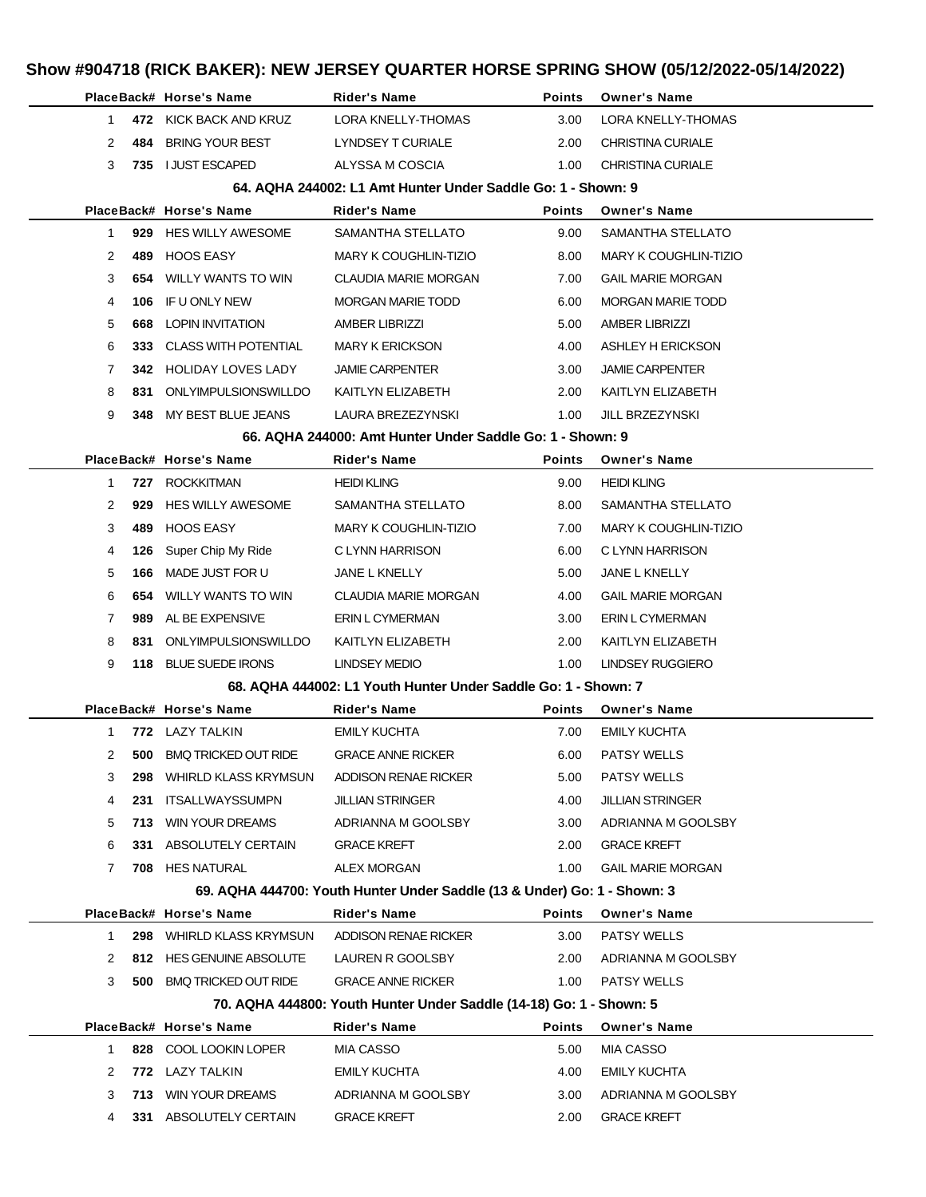|        |     | PlaceBack# Horse's Name                       | Rider's Name                                                             | <b>Points</b> | <b>Owner's Name</b>       |
|--------|-----|-----------------------------------------------|--------------------------------------------------------------------------|---------------|---------------------------|
| 1      |     | 472 KICK BACK AND KRUZ                        | <b>LORA KNELLY-THOMAS</b>                                                | 3.00          | LORA KNELLY-THOMAS        |
| 2      | 484 | BRING YOUR BEST                               | LYNDSEY T CURIALE                                                        | 2.00          | CHRISTINA CURIALE         |
| 3      |     | 735 I JUST ESCAPED                            | ALYSSA M COSCIA                                                          | 1.00          | <b>CHRISTINA CURIALE</b>  |
|        |     |                                               | 64. AQHA 244002: L1 Amt Hunter Under Saddle Go: 1 - Shown: 9             |               |                           |
|        |     | PlaceBack# Horse's Name                       | Rider's Name                                                             | <b>Points</b> | <b>Owner's Name</b>       |
| 1      |     | 929 HES WILLY AWESOME                         | SAMANTHA STELLATO                                                        | 9.00          | SAMANTHA STELLATO         |
| 2      | 489 | HOOS EASY                                     | <b>MARY K COUGHLIN-TIZIO</b>                                             | 8.00          | MARY K COUGHLIN-TIZIO     |
| 3      | 654 | WILLY WANTS TO WIN                            | <b>CLAUDIA MARIE MORGAN</b>                                              | 7.00          | <b>GAIL MARIE MORGAN</b>  |
| 4      | 106 | IF U ONLY NEW                                 | <b>MORGAN MARIE TODD</b>                                                 | 6.00          | <b>MORGAN MARIE TODD</b>  |
| 5      | 668 | LOPIN INVITATION                              | <b>AMBER LIBRIZZI</b>                                                    | 5.00          | AMBER LIBRIZZI            |
| 6      |     | 333 CLASS WITH POTENTIAL                      | <b>MARY K ERICKSON</b>                                                   | 4.00          | ASHLEY H ERICKSON         |
| 7      |     | <b>342 HOLIDAY LOVES LADY</b>                 | <b>JAMIE CARPENTER</b>                                                   | 3.00          | <b>JAMIE CARPENTER</b>    |
| 8      | 831 | ONLYIMPULSIONSWILLDO                          | KAITLYN ELIZABETH                                                        | 2.00          | KAITLYN ELIZABETH         |
| 9      |     | 348 MY BEST BLUE JEANS                        | LAURA BREZEZYNSKI                                                        | 1.00          | <b>JILL BRZEZYNSKI</b>    |
|        |     |                                               | 66. AQHA 244000: Amt Hunter Under Saddle Go: 1 - Shown: 9                |               |                           |
|        |     | PlaceBack# Horse's Name                       | <b>Rider's Name</b>                                                      | <b>Points</b> | <b>Owner's Name</b>       |
| 1      |     | 727 ROCKKITMAN                                | <b>HEIDI KLING</b>                                                       | 9.00          | <b>HEIDI KLING</b>        |
| 2      | 929 | <b>HES WILLY AWESOME</b>                      | SAMANTHA STELLATO                                                        | 8.00          | SAMANTHA STELLATO         |
| 3      | 489 | HOOS EASY                                     | MARY K COUGHLIN-TIZIO                                                    | 7.00          | MARY K COUGHLIN-TIZIO     |
| 4      | 126 | Super Chip My Ride                            | C LYNN HARRISON                                                          | 6.00          | C LYNN HARRISON           |
| 5      | 166 | MADE JUST FOR U                               | JANE L KNELLY                                                            | 5.00          | JANE L KNELLY             |
| 6      |     | <b>654 WILLY WANTS TO WIN</b>                 | <b>CLAUDIA MARIE MORGAN</b>                                              | 4.00          | <b>GAIL MARIE MORGAN</b>  |
| 7      | 989 | AL BE EXPENSIVE                               | ERIN L CYMERMAN                                                          | 3.00          | ERIN L CYMERMAN           |
| 8      | 831 | ONLYIMPULSIONSWILLDO                          | KAITLYN ELIZABETH                                                        | 2.00          | KAITLYN ELIZABETH         |
| 9      |     | 118 BLUE SUEDE IRONS                          | <b>LINDSEY MEDIO</b>                                                     | 1.00          | LINDSEY RUGGIERO          |
|        |     |                                               | 68. AQHA 444002: L1 Youth Hunter Under Saddle Go: 1 - Shown: 7           |               |                           |
|        |     | PlaceBack# Horse's Name                       | Rider's Name                                                             | <b>Points</b> | Owner's Name              |
| 1      |     | 772 LAZY TALKIN                               | <b>EMILY KUCHTA</b>                                                      | 7.00          | <b>EMILY KUCHTA</b>       |
| 2      |     | <b>500 BMQ TRICKED OUT RIDE</b>               | <b>GRACE ANNE RICKER</b>                                                 | 6.00          | <b>PATSY WELLS</b>        |
| 3      |     | 298 WHIRLD KLASS KRYMSUN ADDISON RENAE RICKER |                                                                          | 5.00          | <b>PATSY WELLS</b>        |
| 4      | 231 | ITSALLWAYSSUMPN                               | <b>JILLIAN STRINGER</b>                                                  | 4.00          | <b>JILLIAN STRINGER</b>   |
| 5      |     | <b>713</b> WIN YOUR DREAMS                    | ADRIANNA M GOOLSBY                                                       | 3.00          | ADRIANNA M GOOLSBY        |
| 6      |     | 331 ABSOLUTELY CERTAIN                        | <b>GRACE KREFT</b>                                                       | 2.00          | <b>GRACE KREFT</b>        |
| 7      |     | 708 HES NATURAL                               | ALEX MORGAN                                                              | 1.00          | <b>GAIL MARIE MORGAN</b>  |
|        |     |                                               | 69. AQHA 444700: Youth Hunter Under Saddle (13 & Under) Go: 1 - Shown: 3 |               |                           |
|        |     | PlaceBack# Horse's Name                       | <b>Rider's Name</b>                                                      | Points        | <b>Owner's Name</b>       |
| 1      |     | 298 WHIRLD KLASS KRYMSUN ADDISON RENAE RICKER |                                                                          | 3.00          | <b>PATSY WELLS</b>        |
| 2      |     | 812 HES GENUINE ABSOLUTE                      | LAUREN R GOOLSBY                                                         |               | 2.00 ADRIANNA M GOOLSBY   |
| 3      |     | <b>500 BMQ TRICKED OUT RIDE</b>               | <b>GRACE ANNE RICKER</b>                                                 | 1.00          | <b>PATSY WELLS</b>        |
|        |     |                                               | 70. AQHA 444800: Youth Hunter Under Saddle (14-18) Go: 1 - Shown: 5      |               |                           |
|        |     | PlaceBack# Horse's Name                       | <b>Rider's Name</b>                                                      | <b>Points</b> | <b>Owner's Name</b>       |
| 1<br>2 |     | 828 COOL LOOKIN LOPER<br>772 LAZY TALKIN      | MIA CASSO<br>EMILY KUCHTA                                                | 5.00<br>4.00  | MIA CASSO<br>EMILY KUCHTA |
| 3      |     |                                               |                                                                          |               |                           |
|        |     | <b>713</b> WIN YOUR DREAMS                    | ADRIANNA M GOOLSBY                                                       | 3.00          | ADRIANNA M GOOLSBY        |
| 4      |     | 331 ABSOLUTELY CERTAIN                        | <b>GRACE KREFT</b>                                                       | 2.00          | <b>GRACE KREFT</b>        |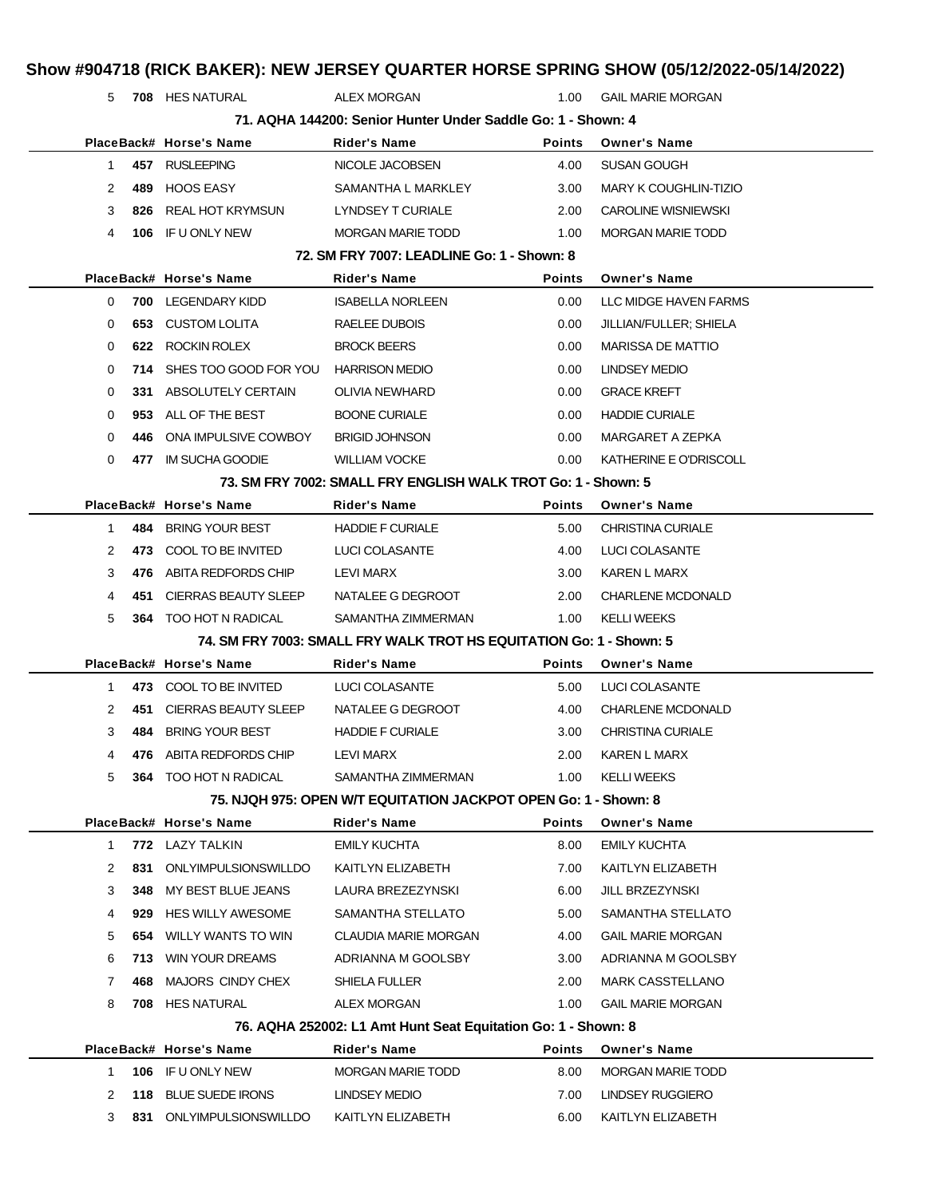| 5            |     | 708 HES NATURAL                      | <b>ALEX MORGAN</b>                                                  | 1.00          | <b>GAIL MARIE MORGAN</b>     |
|--------------|-----|--------------------------------------|---------------------------------------------------------------------|---------------|------------------------------|
|              |     |                                      | 71. AQHA 144200: Senior Hunter Under Saddle Go: 1 - Shown: 4        |               |                              |
|              |     | PlaceBack# Horse's Name              | Rider's Name                                                        | <b>Points</b> | <b>Owner's Name</b>          |
| $\mathbf{1}$ |     | 457 RUSLEEPING                       | NICOLE JACOBSEN                                                     | 4.00          | SUSAN GOUGH                  |
| 2            | 489 | <b>HOOS EASY</b>                     | SAMANTHA L MARKLEY                                                  | 3.00          | <b>MARY K COUGHLIN-TIZIO</b> |
| 3            | 826 | REAL HOT KRYMSUN                     | LYNDSEY T CURIALE                                                   | 2.00          | <b>CAROLINE WISNIEWSKI</b>   |
| 4            | 106 | IF U ONLY NEW                        | <b>MORGAN MARIE TODD</b>                                            | 1.00          | <b>MORGAN MARIE TODD</b>     |
|              |     |                                      | 72. SM FRY 7007: LEADLINE Go: 1 - Shown: 8                          |               |                              |
|              |     | PlaceBack# Horse's Name              | <b>Rider's Name</b>                                                 | <b>Points</b> | <b>Owner's Name</b>          |
| 0            |     | 700 LEGENDARY KIDD                   | <b>ISABELLA NORLEEN</b>                                             | 0.00          | LLC MIDGE HAVEN FARMS        |
| 0            | 653 | <b>CUSTOM LOLITA</b>                 | RAELEE DUBOIS                                                       | 0.00          | JILLIAN/FULLER; SHIELA       |
| 0            | 622 | ROCKIN ROLEX                         | <b>BROCK BEERS</b>                                                  | 0.00          | <b>MARISSA DE MATTIO</b>     |
| 0            | 714 | SHES TOO GOOD FOR YOU HARRISON MEDIO |                                                                     | 0.00          | <b>LINDSEY MEDIO</b>         |
| 0            |     | 331 ABSOLUTELY CERTAIN               | OLIVIA NEWHARD                                                      | 0.00          | <b>GRACE KREFT</b>           |
| 0            | 953 | ALL OF THE BEST                      | <b>BOONE CURIALE</b>                                                | 0.00          | <b>HADDIE CURIALE</b>        |
| 0            | 446 | ONA IMPULSIVE COWBOY                 | <b>BRIGID JOHNSON</b>                                               | 0.00          | MARGARET A ZEPKA             |
| 0            | 477 | IM SUCHA GOODIE                      | <b>WILLIAM VOCKE</b>                                                | 0.00          | KATHERINE E O'DRISCOLL       |
|              |     |                                      | 73. SM FRY 7002: SMALL FRY ENGLISH WALK TROT Go: 1 - Shown: 5       |               |                              |
|              |     | PlaceBack# Horse's Name              | Rider's Name                                                        | <b>Points</b> | <b>Owner's Name</b>          |
| $\mathbf{1}$ |     | 484 BRING YOUR BEST                  | <b>HADDIE F CURIALE</b>                                             | 5.00          | <b>CHRISTINA CURIALE</b>     |
| 2            | 473 | COOL TO BE INVITED                   | <b>LUCI COLASANTE</b>                                               | 4.00          | LUCI COLASANTE               |
| 3            |     | 476 ABITA REDFORDS CHIP              | LEVI MARX                                                           | 3.00          | KAREN L MARX                 |
| 4            | 451 | <b>CIERRAS BEAUTY SLEEP</b>          | NATALEE G DEGROOT                                                   | 2.00          | <b>CHARLENE MCDONALD</b>     |
| 5            |     | 364 TOO HOT N RADICAL                | SAMANTHA ZIMMERMAN                                                  | 1.00          | <b>KELLI WEEKS</b>           |
|              |     |                                      | 74. SM FRY 7003: SMALL FRY WALK TROT HS EQUITATION Go: 1 - Shown: 5 |               |                              |
|              |     | PlaceBack# Horse's Name              | Rider's Name                                                        | <b>Points</b> | <b>Owner's Name</b>          |
| 1.           |     | 473 COOL TO BE INVITED               | LUCI COLASANTE                                                      | 5.00          | LUCI COLASANTE               |
| 2            | 451 |                                      |                                                                     |               |                              |
|              |     | CIERRAS BEAUTY SLEEP                 | NATALEE G DEGROOT                                                   | 4.00          | <b>CHARLENE MCDONALD</b>     |
| 3            | 484 | <b>BRING YOUR BEST</b>               | <b>HADDIE F CURIALE</b>                                             | 3.00          | <b>CHRISTINA CURIALE</b>     |
| 4            | 476 | ABITA REDFORDS CHIP                  | LEVI MARX                                                           | 2.00          | KAREN L MARX                 |
| 5            | 364 | TOO HOT N RADICAL                    | SAMANTHA ZIMMERMAN                                                  | 1.00          | <b>KELLI WEEKS</b>           |
|              |     |                                      | 75. NJQH 975: OPEN W/T EQUITATION JACKPOT OPEN Go: 1 - Shown: 8     |               |                              |
|              |     | PlaceBack# Horse's Name              | Rider's Name                                                        | <b>Points</b> | <b>Owner's Name</b>          |
| 1            |     | 772 LAZY TALKIN                      | <b>EMILY KUCHTA</b>                                                 | 8.00          | <b>EMILY KUCHTA</b>          |
| 2            | 831 | <b>ONLYIMPULSIONSWILLDO</b>          | KAITLYN ELIZABETH                                                   | 7.00          | KAITLYN ELIZABETH            |
| 3            | 348 | MY BEST BLUE JEANS                   | LAURA BREZEZYNSKI                                                   | 6.00          | JILL BRZEZYNSKI              |
| 4            | 929 | <b>HES WILLY AWESOME</b>             | SAMANTHA STELLATO                                                   | 5.00          | SAMANTHA STELLATO            |
| 5            | 654 | WILLY WANTS TO WIN                   | <b>CLAUDIA MARIE MORGAN</b>                                         | 4.00          | <b>GAIL MARIE MORGAN</b>     |
| 6            | 713 | WIN YOUR DREAMS                      | ADRIANNA M GOOLSBY                                                  | 3.00          | ADRIANNA M GOOLSBY           |
| 7            | 468 | MAJORS CINDY CHEX                    | SHIELA FULLER                                                       | 2.00          | <b>MARK CASSTELLANO</b>      |
| 8            | 708 | HES NATURAL                          | <b>ALEX MORGAN</b>                                                  | 1.00          | <b>GAIL MARIE MORGAN</b>     |
|              |     |                                      | 76. AQHA 252002: L1 Amt Hunt Seat Equitation Go: 1 - Shown: 8       |               |                              |
|              |     | PlaceBack# Horse's Name              | <b>Rider's Name</b>                                                 | <b>Points</b> | <b>Owner's Name</b>          |
| 1            |     | 106 IF U ONLY NEW                    | <b>MORGAN MARIE TODD</b>                                            | 8.00          | <b>MORGAN MARIE TODD</b>     |
| 2            | 118 | <b>BLUE SUEDE IRONS</b>              | LINDSEY MEDIO                                                       | 7.00          | LINDSEY RUGGIERO             |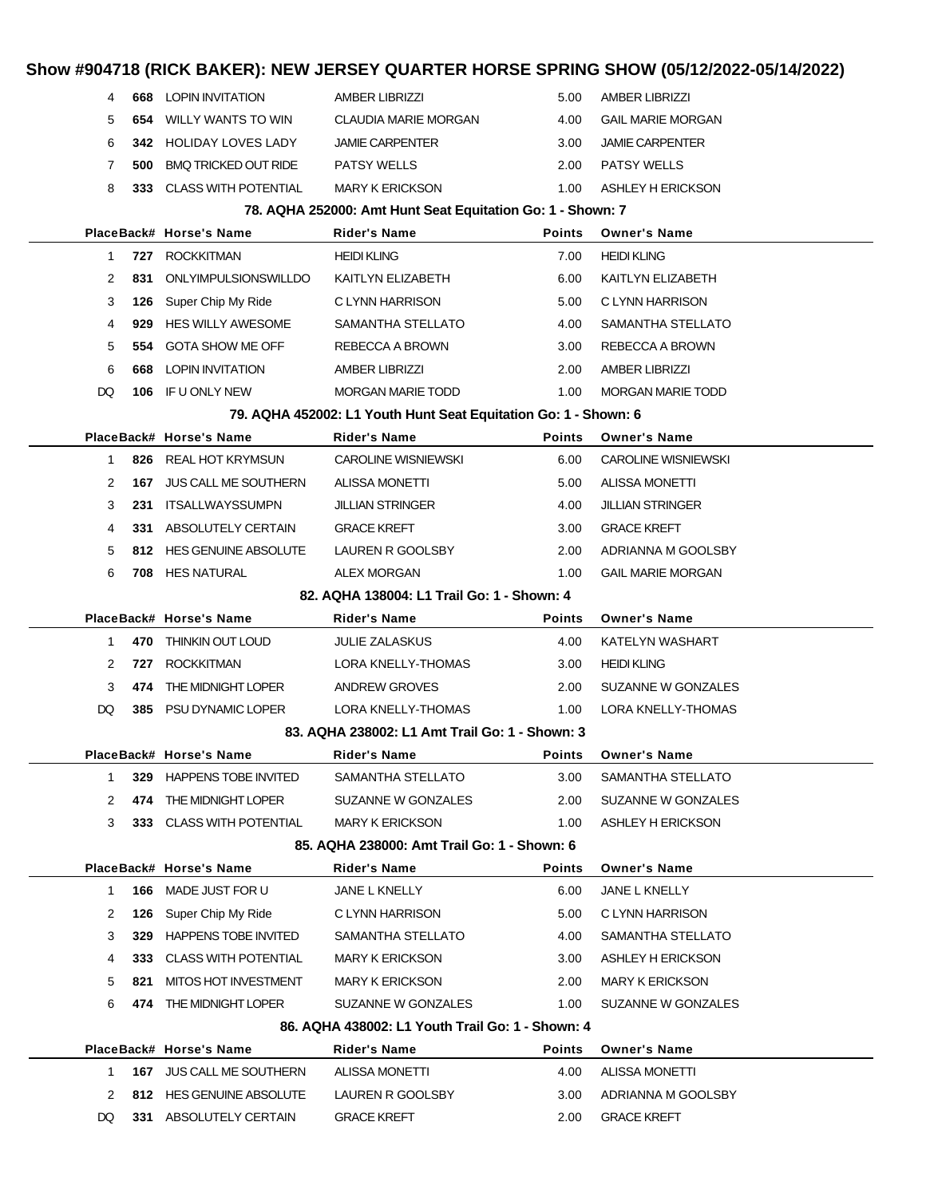### **Show #904718 (RICK BAKER): NEW JERSEY QUARTER HORSE SPRING SHOW (05/12/2022-05/14/2022) 668** LOPIN INVITATION AMBER LIBRIZZI 5.00 AMBER LIBRIZZI **654** WILLY WANTS TO WIN CLAUDIA MARIE MORGAN 4.00 GAIL MARIE MORGAN **342** HOLIDAY LOVES LADY JAMIE CARPENTER 3.00 JAMIE CARPENTER **500** BMQ TRICKED OUT RIDE PATSY WELLS 2.00 PATSY WELLS **333** CLASS WITH POTENTIAL MARY K ERICKSON 1.00 ASHLEY H ERICKSON **78. AQHA 252000: Amt Hunt Seat Equitation Go: 1 - Shown: 7 PlaceBack# Horse's Name Rider's Name Points Owner's Name 727** ROCKKITMAN **HEIDI KLING HEIDI KLING** 7.00 HEIDI KLING **831** ONLYIMPULSIONSWILLDO KAITLYN ELIZABETH 6.00 KAITLYN ELIZABETH **126** Super Chip My Ride C LYNN HARRISON 5.00 C LYNN HARRISON **929** HES WILLY AWESOME SAMANTHA STELLATO 4.00 SAMANTHA STELLATO **554** GOTA SHOW ME OFF REBECCA A BROWN 3.00 REBECCA A BROWN **668** LOPIN INVITATION AMBER LIBRIZZI 2.00 AMBER LIBRIZZI DQ **106** IF U ONLY NEW MORGAN MARIE TODD 1.00 MORGAN MARIE TODD **79. AQHA 452002: L1 Youth Hunt Seat Equitation Go: 1 - Shown: 6 PlaceBack# Horse's Name Rider's Name Points Owner's Name 826** REAL HOT KRYMSUN CAROLINE WISNIEWSKI 6.00 CAROLINE WISNIEWSKI **167** JUS CALL ME SOUTHERN ALISSA MONETTI 5.00 ALISSA MONETTI **231** ITSALLWAYSSUMPN JILLIAN STRINGER 4.00 JILLIAN STRINGER **331** ABSOLUTELY CERTAIN GRACE KREFT 3.00 GRACE KREFT **812** HES GENUINE ABSOLUTE LAUREN R GOOLSBY 2.00 ADRIANNA M GOOLSBY **708** HES NATURAL ALEX MORGAN 1.00 GAIL MARIE MORGAN **82. AQHA 138004: L1 Trail Go: 1 - Shown: 4 PlaceBack# Horse's Name Rider's Name Points Owner's Name 470** THINKIN OUT LOUD JULIE ZALASKUS 4.00 KATELYN WASHART **727** ROCKKITMAN LORA KNELLY-THOMAS 3.00 HEIDI KLING **474** THE MIDNIGHT LOPER ANDREW GROVES 2.00 SUZANNE W GONZALES DQ **385** PSU DYNAMIC LOPER LORA KNELLY-THOMAS 1.00 LORA KNELLY-THOMAS **83. AQHA 238002: L1 Amt Trail Go: 1 - Shown: 3 PlaceBack# Horse's Name Rider's Name Points Owner's Name 329** HAPPENS TOBE INVITED SAMANTHA STELLATO 3.00 SAMANTHA STELLATO **474** THE MIDNIGHT LOPER SUZANNE W GONZALES 2.00 SUZANNE W GONZALES **333** CLASS WITH POTENTIAL MARY K ERICKSON 1.00 ASHLEY H ERICKSON **85. AQHA 238000: Amt Trail Go: 1 - Shown: 6 PlaceBack# Horse's Name Rider's Name Points Owner's Name 166** MADE JUST FOR U JANE L KNELLY 6.00 JANE L KNELLY

**86. AQHA 438002: L1 Youth Trail Go: 1 - Shown: 4 PlaceBack# Horse's Name Rider's Name Points Owner's Name 167** JUS CALL ME SOUTHERN ALISSA MONETTI 4.00 ALISSA MONETTI **812** HES GENUINE ABSOLUTE LAUREN R GOOLSBY 3.00 ADRIANNA M GOOLSBY DQ 331 ABSOLUTELY CERTAIN GRACE KREFT 2.00 GRACE KREFT

 **126** Super Chip My Ride C LYNN HARRISON 5.00 C LYNN HARRISON **329** HAPPENS TOBE INVITED SAMANTHA STELLATO 4.00 SAMANTHA STELLATO **333** CLASS WITH POTENTIAL MARY K ERICKSON 3.00 ASHLEY H ERICKSON **821** MITOS HOT INVESTMENT MARY K ERICKSON 2.00 MARY K ERICKSON **474** THE MIDNIGHT LOPER SUZANNE W GONZALES 1.00 SUZANNE W GONZALES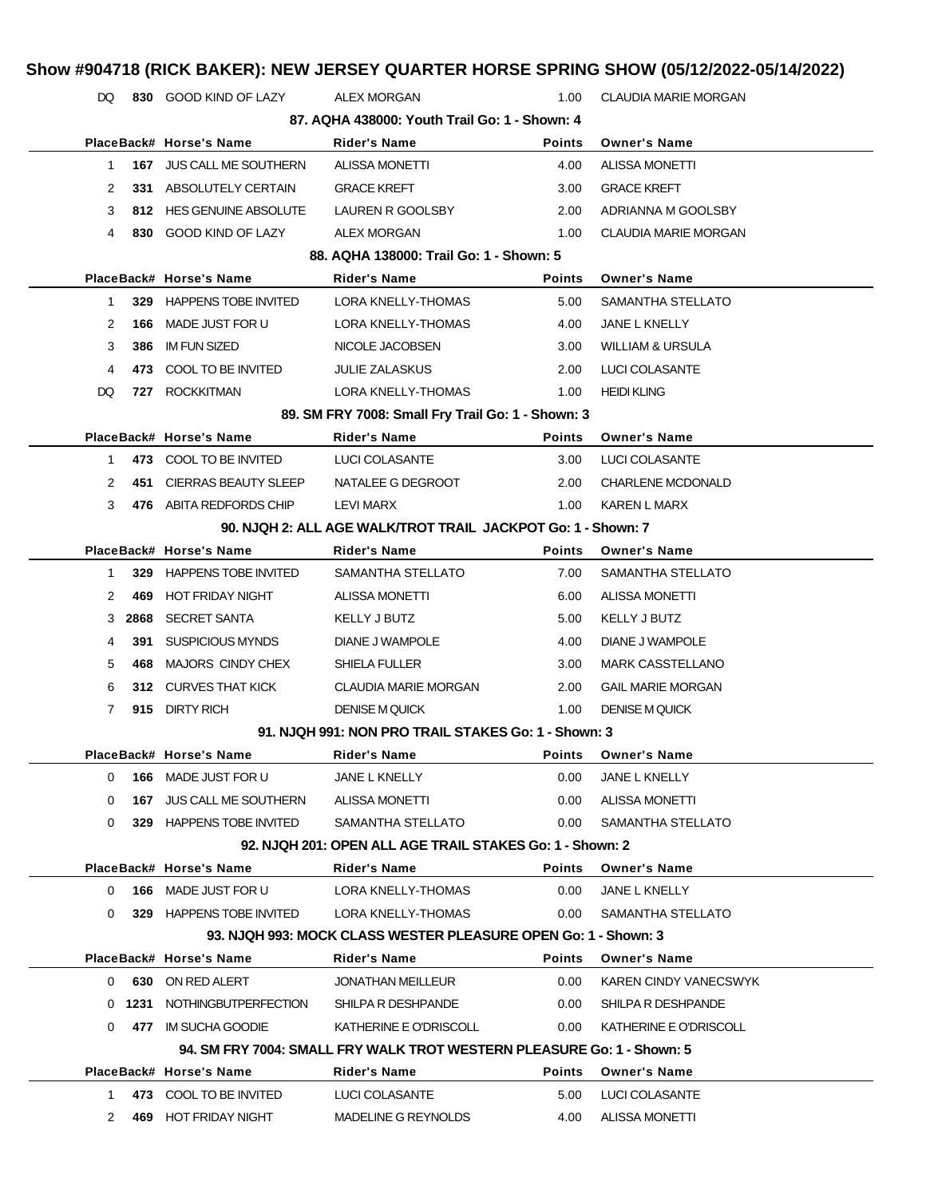|                                                              |                             |                                                                        |               | Show #904718 (RICK BAKER): NEW JERSEY QUARTER HORSE SPRING SHOW (05/12/2022-05/14/2022) |  |  |
|--------------------------------------------------------------|-----------------------------|------------------------------------------------------------------------|---------------|-----------------------------------------------------------------------------------------|--|--|
| DQ.                                                          | 830 GOOD KIND OF LAZY       | <b>ALEX MORGAN</b>                                                     | 1.00          | <b>CLAUDIA MARIE MORGAN</b>                                                             |  |  |
|                                                              |                             | 87. AQHA 438000: Youth Trail Go: 1 - Shown: 4                          |               |                                                                                         |  |  |
|                                                              | PlaceBack# Horse's Name     | Rider's Name                                                           | <b>Points</b> | <b>Owner's Name</b>                                                                     |  |  |
| 1                                                            | 167 JUS CALL ME SOUTHERN    | <b>ALISSA MONETTI</b>                                                  | 4.00          | <b>ALISSA MONETTI</b>                                                                   |  |  |
| 2                                                            | 331 ABSOLUTELY CERTAIN      | <b>GRACE KREFT</b>                                                     | 3.00          | <b>GRACE KREFT</b>                                                                      |  |  |
| 3                                                            | 812 HES GENUINE ABSOLUTE    | LAUREN R GOOLSBY                                                       | 2.00          | ADRIANNA M GOOLSBY                                                                      |  |  |
| 4                                                            | 830 GOOD KIND OF LAZY       | <b>ALEX MORGAN</b>                                                     | 1.00          | <b>CLAUDIA MARIE MORGAN</b>                                                             |  |  |
|                                                              |                             | 88. AQHA 138000: Trail Go: 1 - Shown: 5                                |               |                                                                                         |  |  |
|                                                              | PlaceBack# Horse's Name     | Rider's Name                                                           | <b>Points</b> | <b>Owner's Name</b>                                                                     |  |  |
| $\mathbf{1}$                                                 | 329 HAPPENS TOBE INVITED    | LORA KNELLY-THOMAS                                                     | 5.00          | SAMANTHA STELLATO                                                                       |  |  |
| 2<br>166                                                     | MADE JUST FOR U             | LORA KNELLY-THOMAS                                                     | 4.00          | JANE L KNELLY                                                                           |  |  |
| 3<br>386                                                     | <b>IM FUN SIZED</b>         | NICOLE JACOBSEN                                                        | 3.00          | <b>WILLIAM &amp; URSULA</b>                                                             |  |  |
| 4<br>473                                                     | COOL TO BE INVITED          | <b>JULIE ZALASKUS</b>                                                  | 2.00          | <b>LUCI COLASANTE</b>                                                                   |  |  |
| DQ<br>727                                                    | <b>ROCKKITMAN</b>           | LORA KNELLY-THOMAS                                                     | 1.00          | <b>HEIDI KLING</b>                                                                      |  |  |
|                                                              |                             | 89. SM FRY 7008: Small Fry Trail Go: 1 - Shown: 3                      |               |                                                                                         |  |  |
|                                                              | PlaceBack# Horse's Name     | Rider's Name                                                           | <b>Points</b> | <b>Owner's Name</b>                                                                     |  |  |
| 1                                                            | 473 COOL TO BE INVITED      | LUCI COLASANTE                                                         | 3.00          | LUCI COLASANTE                                                                          |  |  |
| 2<br>451                                                     | CIERRAS BEAUTY SLEEP        | NATALEE G DEGROOT                                                      | 2.00          | <b>CHARLENE MCDONALD</b>                                                                |  |  |
| 3                                                            | 476 ABITA REDFORDS CHIP     | <b>LEVI MARX</b>                                                       | 1.00          | KAREN L MARX                                                                            |  |  |
| 90. NJQH 2: ALL AGE WALK/TROT TRAIL JACKPOT Go: 1 - Shown: 7 |                             |                                                                        |               |                                                                                         |  |  |
|                                                              | PlaceBack# Horse's Name     | <b>Rider's Name</b>                                                    | <b>Points</b> | <b>Owner's Name</b>                                                                     |  |  |
| $\mathbf{1}$                                                 | 329 HAPPENS TOBE INVITED    | SAMANTHA STELLATO                                                      | 7.00          | SAMANTHA STELLATO                                                                       |  |  |
| 2<br>469                                                     | HOT FRIDAY NIGHT            | ALISSA MONETTI                                                         | 6.00          | <b>ALISSA MONETTI</b>                                                                   |  |  |
| 2868<br>3                                                    | <b>SECRET SANTA</b>         | KELLY J BUTZ                                                           | 5.00          | KELLY J BUTZ                                                                            |  |  |
| 4<br>391                                                     | <b>SUSPICIOUS MYNDS</b>     | DIANE J WAMPOLE                                                        | 4.00          | DIANE J WAMPOLE                                                                         |  |  |
| 5<br>468                                                     | MAJORS CINDY CHEX           | <b>SHIELA FULLER</b>                                                   | 3.00          | <b>MARK CASSTELLANO</b>                                                                 |  |  |
| 6                                                            | 312 CURVES THAT KICK        | CLAUDIA MARIE MORGAN                                                   | 2.00          | <b>GAIL MARIE MORGAN</b>                                                                |  |  |
| 7<br>915                                                     | <b>DIRTY RICH</b>           | <b>DENISE M QUICK</b>                                                  | 1.00          | <b>DENISE M QUICK</b>                                                                   |  |  |
|                                                              |                             | 91. NJQH 991: NON PRO TRAIL STAKES Go: 1 - Shown: 3                    |               |                                                                                         |  |  |
|                                                              | PlaceBack# Horse's Name     | <b>Rider's Name</b>                                                    | <b>Points</b> | <b>Owner's Name</b>                                                                     |  |  |
| 0                                                            | 166 MADE JUST FOR U         | JANE L KNELLY                                                          | 0.00          | JANE L KNELLY                                                                           |  |  |
| 0                                                            | 167 JUS CALL ME SOUTHERN    | ALISSA MONETTI                                                         | $0.00\,$      | <b>ALISSA MONETTI</b>                                                                   |  |  |
| 0                                                            | 329 HAPPENS TOBE INVITED    | SAMANTHA STELLATO                                                      | 0.00          | SAMANTHA STELLATO                                                                       |  |  |
|                                                              |                             | 92. NJQH 201: OPEN ALL AGE TRAIL STAKES Go: 1 - Shown: 2               |               |                                                                                         |  |  |
|                                                              | PlaceBack# Horse's Name     | Rider's Name                                                           | <b>Points</b> | <b>Owner's Name</b>                                                                     |  |  |
| 0                                                            | 166 MADE JUST FOR U         | LORA KNELLY-THOMAS                                                     | 0.00          | JANE L KNELLY                                                                           |  |  |
| 0                                                            | 329 HAPPENS TOBE INVITED    | LORA KNELLY-THOMAS                                                     | 0.00          | SAMANTHA STELLATO                                                                       |  |  |
|                                                              |                             | 93. NJQH 993: MOCK CLASS WESTER PLEASURE OPEN Go: 1 - Shown: 3         |               |                                                                                         |  |  |
|                                                              | PlaceBack# Horse's Name     | Rider's Name                                                           | <b>Points</b> | <b>Owner's Name</b>                                                                     |  |  |
| $\Omega$                                                     | 630 ON RED ALERT            | <b>JONATHAN MEILLEUR</b>                                               | $0.00\,$      | KAREN CINDY VANECSWYK                                                                   |  |  |
|                                                              | 0 1231 NOTHINGBUTPERFECTION | SHILPA R DESHPANDE                                                     | $0.00\,$      | SHILPA R DESHPANDE                                                                      |  |  |
| 0                                                            | 477 IM SUCHA GOODIE         | KATHERINE E O'DRISCOLL                                                 | $0.00\,$      | KATHERINE E O'DRISCOLL                                                                  |  |  |
|                                                              |                             | 94. SM FRY 7004: SMALL FRY WALK TROT WESTERN PLEASURE Go: 1 - Shown: 5 |               |                                                                                         |  |  |
|                                                              | PlaceBack# Horse's Name     | <b>Rider's Name</b>                                                    | <b>Points</b> | <b>Owner's Name</b>                                                                     |  |  |
| $1 \quad$                                                    | 473 COOL TO BE INVITED      | LUCI COLASANTE                                                         | 5.00          | LUCI COLASANTE                                                                          |  |  |
| 2                                                            | 469 HOT FRIDAY NIGHT        | MADELINE G REYNOLDS                                                    | 4.00          | ALISSA MONETTI                                                                          |  |  |
|                                                              |                             |                                                                        |               |                                                                                         |  |  |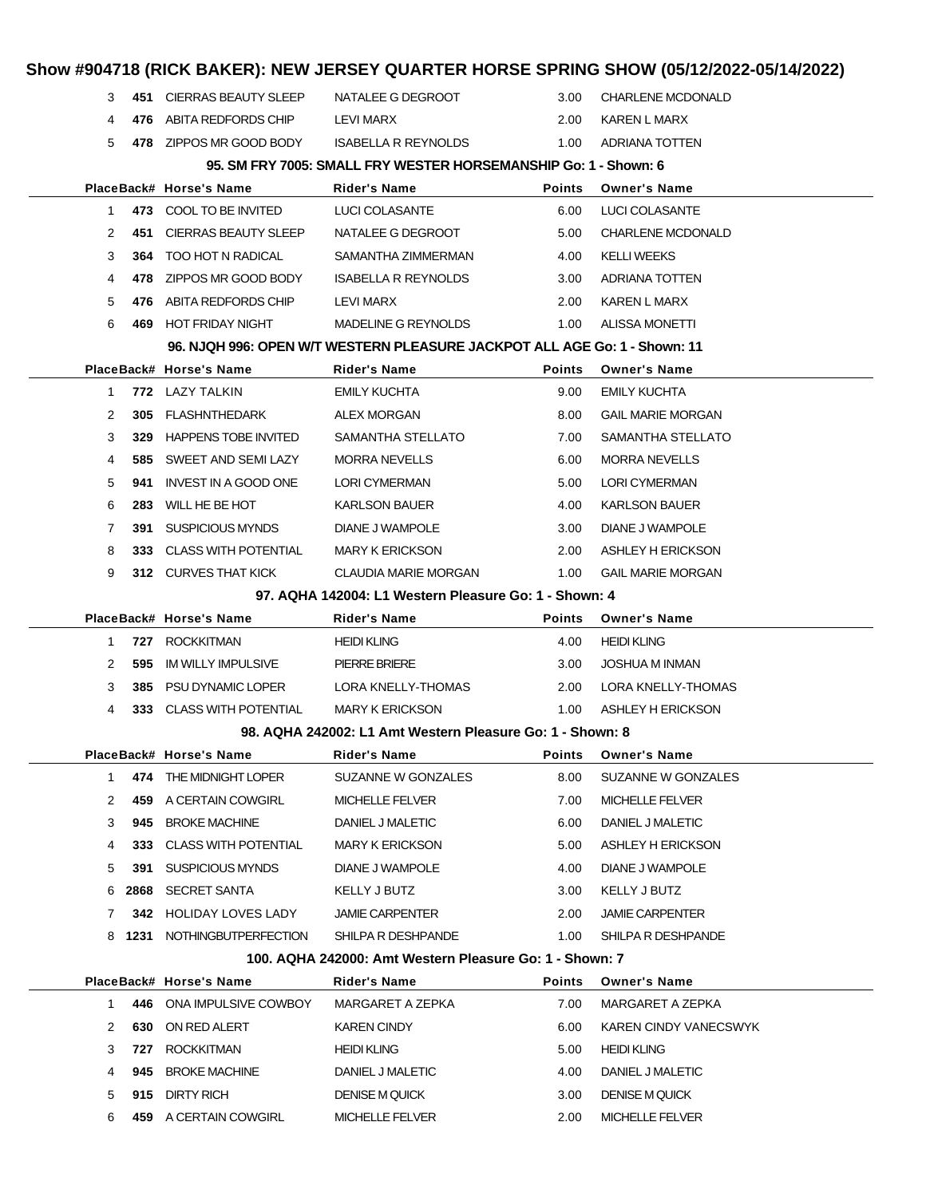|              |     |                                     |                                                                           |               | Show #904718 (RICK BAKER): NEW JERSEY QUARTER HORSE SPRING SHOW (05/12/2022-05/14/2022) |  |
|--------------|-----|-------------------------------------|---------------------------------------------------------------------------|---------------|-----------------------------------------------------------------------------------------|--|
| 3            |     | 451 CIERRAS BEAUTY SLEEP            | NATALEE G DEGROOT                                                         | 3.00          | <b>CHARLENE MCDONALD</b>                                                                |  |
| 4            | 476 | ABITA REDFORDS CHIP                 | LEVI MARX                                                                 | 2.00          | KAREN L MARX                                                                            |  |
| 5            |     | 478 ZIPPOS MR GOOD BODY             | <b>ISABELLA R REYNOLDS</b>                                                | 1.00          | ADRIANA TOTTEN                                                                          |  |
|              |     |                                     | 95. SM FRY 7005: SMALL FRY WESTER HORSEMANSHIP Go: 1 - Shown: 6           |               |                                                                                         |  |
|              |     | PlaceBack# Horse's Name             | Rider's Name                                                              | <b>Points</b> | <b>Owner's Name</b>                                                                     |  |
| 1            |     | 473 COOL TO BE INVITED              | <b>LUCI COLASANTE</b>                                                     | 6.00          | LUCI COLASANTE                                                                          |  |
| 2            |     | 451 CIERRAS BEAUTY SLEEP            | NATALEE G DEGROOT                                                         | 5.00          | <b>CHARLENE MCDONALD</b>                                                                |  |
| 3            | 364 | TOO HOT N RADICAL                   | SAMANTHA ZIMMERMAN                                                        | 4.00          | <b>KELLI WEEKS</b>                                                                      |  |
| 4            |     | 478 ZIPPOS MR GOOD BODY             | <b>ISABELLA R REYNOLDS</b>                                                | 3.00          | ADRIANA TOTTEN                                                                          |  |
| 5            | 476 | ABITA REDFORDS CHIP                 | LEVI MARX                                                                 | 2.00          | KAREN L MARX                                                                            |  |
| 6            | 469 | HOT FRIDAY NIGHT                    | MADELINE G REYNOLDS                                                       | 1.00          | <b>ALISSA MONETTI</b>                                                                   |  |
|              |     |                                     | 96. NJQH 996: OPEN W/T WESTERN PLEASURE JACKPOT ALL AGE Go: 1 - Shown: 11 |               |                                                                                         |  |
|              |     | PlaceBack# Horse's Name             | Rider's Name                                                              | <b>Points</b> | <b>Owner's Name</b>                                                                     |  |
| $\mathbf{1}$ |     | 772 LAZY TALKIN                     | <b>EMILY KUCHTA</b>                                                       | 9.00          | <b>EMILY KUCHTA</b>                                                                     |  |
| 2            | 305 | FLASHNTHEDARK                       | ALEX MORGAN                                                               | 8.00          | <b>GAIL MARIE MORGAN</b>                                                                |  |
| 3            | 329 | <b>HAPPENS TOBE INVITED</b>         | SAMANTHA STELLATO                                                         | 7.00          | SAMANTHA STELLATO                                                                       |  |
| 4            | 585 | SWEET AND SEMI LAZY                 | <b>MORRA NEVELLS</b>                                                      | 6.00          | <b>MORRA NEVELLS</b>                                                                    |  |
| 5            | 941 | INVEST IN A GOOD ONE                | <b>LORI CYMERMAN</b>                                                      | 5.00          | <b>LORI CYMERMAN</b>                                                                    |  |
| 6            | 283 | WILL HE BE HOT                      | <b>KARLSON BAUER</b>                                                      | 4.00          | <b>KARLSON BAUER</b>                                                                    |  |
| 7            | 391 | SUSPICIOUS MYNDS                    | DIANE J WAMPOLE                                                           | 3.00          | DIANE J WAMPOLE                                                                         |  |
| 8            |     | 333 CLASS WITH POTENTIAL            | <b>MARY K ERICKSON</b>                                                    | 2.00          | ASHLEY H ERICKSON                                                                       |  |
| 9            |     | 312 CURVES THAT KICK                | <b>CLAUDIA MARIE MORGAN</b>                                               | 1.00          | <b>GAIL MARIE MORGAN</b>                                                                |  |
|              |     |                                     | 97. AQHA 142004: L1 Western Pleasure Go: 1 - Shown: 4                     |               |                                                                                         |  |
|              |     | PlaceBack# Horse's Name             | Rider's Name                                                              | <b>Points</b> | <b>Owner's Name</b>                                                                     |  |
| 1            |     | 727 ROCKKITMAN                      | <b>HEIDI KLING</b>                                                        | 4.00          | <b>HEIDI KLING</b>                                                                      |  |
| 2            | 595 | <b>IM WILLY IMPULSIVE</b>           | PIERRE BRIERE                                                             | 3.00          | <b>JOSHUA M INMAN</b>                                                                   |  |
| 3            | 385 | PSU DYNAMIC LOPER                   | LORA KNELLY-THOMAS                                                        | 2.00          | LORA KNELLY-THOMAS                                                                      |  |
| 4            |     | 333 CLASS WITH POTENTIAL            | <b>MARY K ERICKSON</b>                                                    | 1.00          | ASHLEY H ERICKSON                                                                       |  |
|              |     |                                     | 98. AQHA 242002: L1 Amt Western Pleasure Go: 1 - Shown: 8                 |               |                                                                                         |  |
|              |     | PlaceBack# Horse's Name             | Rider's Name                                                              | <b>Points</b> | <b>Owner's Name</b>                                                                     |  |
| $\mathbf{1}$ |     | 474 THE MIDNIGHT LOPER              | SUZANNE W GONZALES                                                        | 8.00          | SUZANNE W GONZALES                                                                      |  |
| 2            | 459 | A CERTAIN COWGIRL                   | <b>MICHELLE FELVER</b>                                                    | 7.00          | <b>MICHELLE FELVER</b>                                                                  |  |
|              |     |                                     |                                                                           |               |                                                                                         |  |
| 3            | 945 | <b>BROKE MACHINE</b>                | DANIEL J MALETIC                                                          | 6.00          | DANIEL J MALETIC                                                                        |  |
| 4            |     | 333 CLASS WITH POTENTIAL            | <b>MARY K ERICKSON</b>                                                    | 5.00          | ASHLEY H ERICKSON                                                                       |  |
| 5            | 391 | SUSPICIOUS MYNDS                    | DIANE J WAMPOLE                                                           | 4.00          | DIANE J WAMPOLE                                                                         |  |
| 6            |     | 2868 SECRET SANTA                   | KELLY J BUTZ                                                              | 3.00          | KELLY J BUTZ                                                                            |  |
| 7            |     | <b>342 HOLIDAY LOVES LADY</b>       | <b>JAMIE CARPENTER</b>                                                    | 2.00          | <b>JAMIE CARPENTER</b>                                                                  |  |
| 8            |     | 1231 NOTHINGBUTPERFECTION           | SHILPA R DESHPANDE                                                        | 1.00          | SHILPA R DESHPANDE                                                                      |  |
|              |     |                                     | 100. AQHA 242000: Amt Western Pleasure Go: 1 - Shown: 7                   |               |                                                                                         |  |
|              |     | PlaceBack# Horse's Name             | Rider's Name                                                              | <b>Points</b> | <b>Owner's Name</b>                                                                     |  |
| 1            |     | 446 ONA IMPULSIVE COWBOY            | MARGARET A ZEPKA                                                          | 7.00          | MARGARET A ZEPKA                                                                        |  |
| 2            |     | 630 ON RED ALERT                    | <b>KAREN CINDY</b>                                                        | 6.00          | KAREN CINDY VANECSWYK                                                                   |  |
| 3            | 727 | <b>ROCKKITMAN</b>                   | <b>HEIDI KLING</b>                                                        | 5.00          | <b>HEIDI KLING</b>                                                                      |  |
| 4            | 945 | <b>BROKE MACHINE</b>                | DANIEL J MALETIC                                                          | 4.00          | DANIEL J MALETIC                                                                        |  |
| 5<br>6       | 915 | DIRTY RICH<br>459 A CERTAIN COWGIRL | <b>DENISE M QUICK</b><br><b>MICHELLE FELVER</b>                           | 3.00<br>2.00  | <b>DENISE M QUICK</b><br><b>MICHELLE FELVER</b>                                         |  |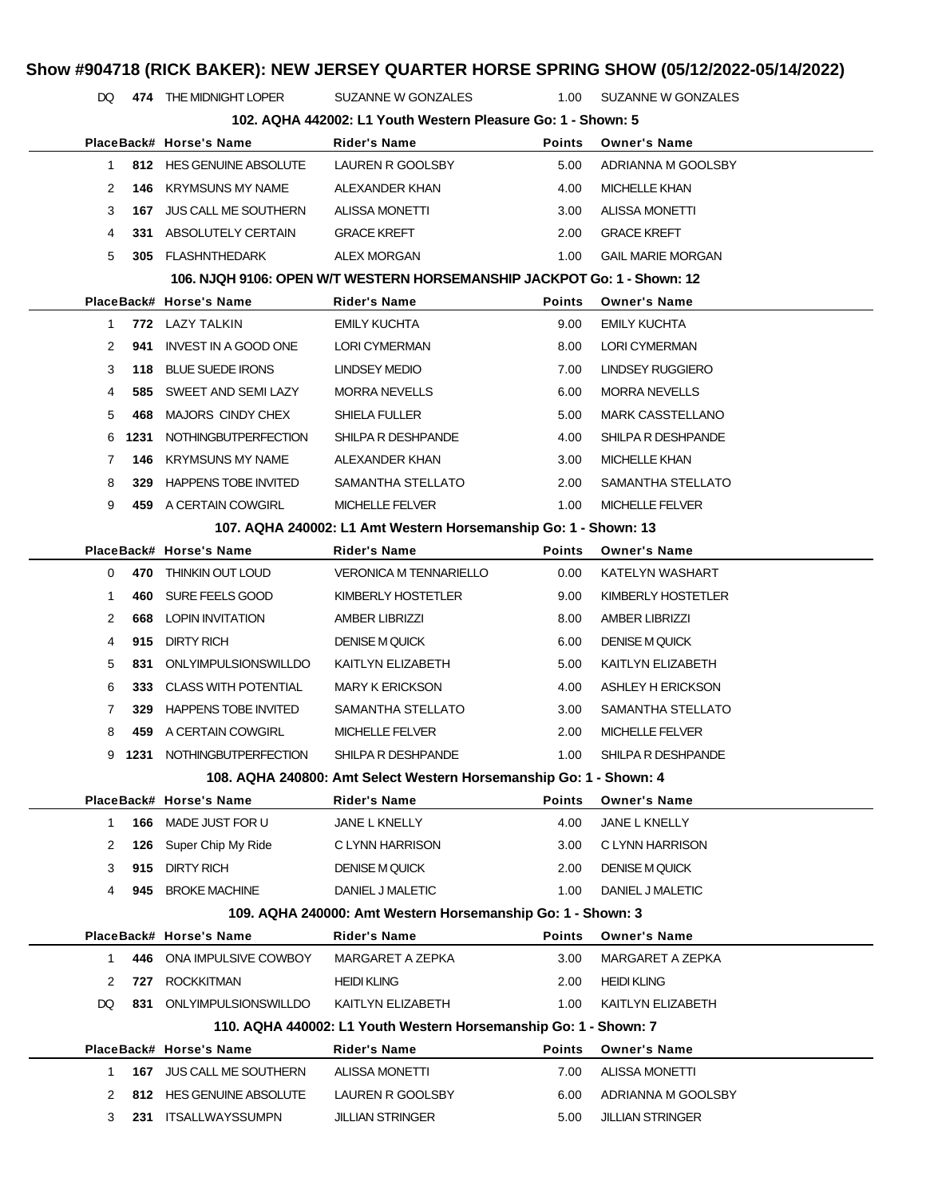DQ **474** THE MIDNIGHT LOPER SUZANNE W GONZALES 1.00 SUZANNE W GONZALES

|             |      |                             | 102. AQHA 442002: L1 Youth Western Pleasure Go: 1 - Shown: 5            |               |                          |
|-------------|------|-----------------------------|-------------------------------------------------------------------------|---------------|--------------------------|
|             |      | PlaceBack# Horse's Name     | Rider's Name                                                            | <b>Points</b> | <b>Owner's Name</b>      |
| $\mathbf 1$ |      | 812 HES GENUINE ABSOLUTE    | LAUREN R GOOLSBY                                                        | 5.00          | ADRIANNA M GOOLSBY       |
| 2           | 146  | KRYMSUNS MY NAME            | ALEXANDER KHAN                                                          | 4.00          | <b>MICHELLE KHAN</b>     |
| 3           | 167  | <b>JUS CALL ME SOUTHERN</b> | <b>ALISSA MONETTI</b>                                                   | 3.00          | <b>ALISSA MONETTI</b>    |
| 4           |      | 331 ABSOLUTELY CERTAIN      | <b>GRACE KREFT</b>                                                      | 2.00          | <b>GRACE KREFT</b>       |
| 5           |      | 305 FLASHNTHEDARK           | <b>ALEX MORGAN</b>                                                      | 1.00          | <b>GAIL MARIE MORGAN</b> |
|             |      |                             | 106. NJQH 9106: OPEN W/T WESTERN HORSEMANSHIP JACKPOT Go: 1 - Shown: 12 |               |                          |
|             |      | PlaceBack# Horse's Name     | Rider's Name                                                            | Points        | <b>Owner's Name</b>      |
| 1           |      | 772 LAZY TALKIN             | <b>EMILY KUCHTA</b>                                                     | 9.00          | <b>EMILY KUCHTA</b>      |
| 2           | 941  | INVEST IN A GOOD ONE        | LORI CYMERMAN                                                           | 8.00          | <b>LORI CYMERMAN</b>     |
| 3           | 118  | <b>BLUE SUEDE IRONS</b>     | LINDSEY MEDIO                                                           | 7.00          | LINDSEY RUGGIERO         |
| 4           | 585  | SWEET AND SEMI LAZY         | <b>MORRA NEVELLS</b>                                                    | 6.00          | <b>MORRA NEVELLS</b>     |
| 5           | 468  | MAJORS CINDY CHEX           | SHIELA FULLER                                                           | 5.00          | <b>MARK CASSTELLANO</b>  |
| 6           | 1231 | <b>NOTHINGBUTPERFECTION</b> | SHILPA R DESHPANDE                                                      | 4.00          | SHILPA R DESHPANDE       |
| 7           | 146  | <b>KRYMSUNS MY NAME</b>     | ALEXANDER KHAN                                                          | 3.00          | <b>MICHELLE KHAN</b>     |
| 8           | 329  | <b>HAPPENS TOBE INVITED</b> | SAMANTHA STELLATO                                                       | 2.00          | SAMANTHA STELLATO        |
| 9           |      | 459 A CERTAIN COWGIRL       | <b>MICHELLE FELVER</b>                                                  | 1.00          | <b>MICHELLE FELVER</b>   |
|             |      |                             | 107. AQHA 240002: L1 Amt Western Horsemanship Go: 1 - Shown: 13         |               |                          |
|             |      | PlaceBack# Horse's Name     | Rider's Name                                                            | <b>Points</b> | <b>Owner's Name</b>      |
| 0           |      | 470 THINKIN OUT LOUD        | <b>VERONICA M TENNARIELLO</b>                                           | 0.00          | KATELYN WASHART          |
| -1          |      | 460 SURE FEELS GOOD         | KIMBERLY HOSTETLER                                                      | 9.00          | KIMBERLY HOSTETLER       |
| 2           | 668  | LOPIN INVITATION            | <b>AMBER LIBRIZZI</b>                                                   | 8.00          | <b>AMBER LIBRIZZI</b>    |
| 4           | 915  | DIRTY RICH                  | <b>DENISE M QUICK</b>                                                   | 6.00          | <b>DENISE M QUICK</b>    |
| 5           | 831  | ONLYIMPULSIONSWILLDO        | KAITLYN ELIZABETH                                                       | 5.00          | KAITLYN ELIZABETH        |
| 6           |      | 333 CLASS WITH POTENTIAL    | <b>MARY K ERICKSON</b>                                                  | 4.00          | ASHLEY H ERICKSON        |
| 7           |      | 329 HAPPENS TOBE INVITED    | SAMANTHA STELLATO                                                       | 3.00          | SAMANTHA STELLATO        |
| 8           | 459  | A CERTAIN COWGIRL           | <b>MICHELLE FELVER</b>                                                  | 2.00          | <b>MICHELLE FELVER</b>   |
| 9           | 1231 | <b>NOTHINGBUTPERFECTION</b> | SHILPA R DESHPANDE                                                      | 1.00          | SHILPA R DESHPANDE       |
|             |      |                             | 108. AQHA 240800: Amt Select Western Horsemanship Go: 1 - Shown: 4      |               |                          |
|             |      | PlaceBack# Horse's Name     | <b>Rider's Name</b>                                                     | Points        | <b>Owner's Name</b>      |
| 1           | 166  | MADE JUST FOR U             | JANE L KNELLY                                                           | 4.00          | JANE L KNELLY            |
| 2           | 126  | Super Chip My Ride          | C LYNN HARRISON                                                         | 3.00          | C LYNN HARRISON          |
| 3           | 915  | <b>DIRTY RICH</b>           | <b>DENISE M QUICK</b>                                                   | 2.00          | <b>DENISE M QUICK</b>    |
| 4           | 945  | <b>BROKE MACHINE</b>        | DANIEL J MALETIC                                                        | 1.00          | DANIEL J MALETIC         |
|             |      |                             | 109. AQHA 240000: Amt Western Horsemanship Go: 1 - Shown: 3             |               |                          |
|             |      | PlaceBack# Horse's Name     | Rider's Name                                                            | Points        | <b>Owner's Name</b>      |
| 1           |      | 446 ONA IMPULSIVE COWBOY    | MARGARET A ZEPKA                                                        | 3.00          | MARGARET A ZEPKA         |
| 2           | 727  | <b>ROCKKITMAN</b>           | <b>HEIDI KLING</b>                                                      | 2.00          | <b>HEIDI KLING</b>       |
| DQ.         |      | 831 ONLYIMPULSIONSWILLDO    | KAITLYN ELIZABETH                                                       | 1.00          | KAITLYN ELIZABETH        |
|             |      |                             | 110. AQHA 440002: L1 Youth Western Horsemanship Go: 1 - Shown: 7        |               |                          |
|             |      | PlaceBack# Horse's Name     | Rider's Name                                                            | <b>Points</b> | <b>Owner's Name</b>      |
| 1           | 167  | <b>JUS CALL ME SOUTHERN</b> | <b>ALISSA MONETTI</b>                                                   | 7.00          | ALISSA MONETTI           |
| 2           |      | 812 HES GENUINE ABSOLUTE    | LAUREN R GOOLSBY                                                        | 6.00          | ADRIANNA M GOOLSBY       |
| 3           |      | 231 ITSALLWAYSSUMPN         | <b>JILLIAN STRINGER</b>                                                 | 5.00          | <b>JILLIAN STRINGER</b>  |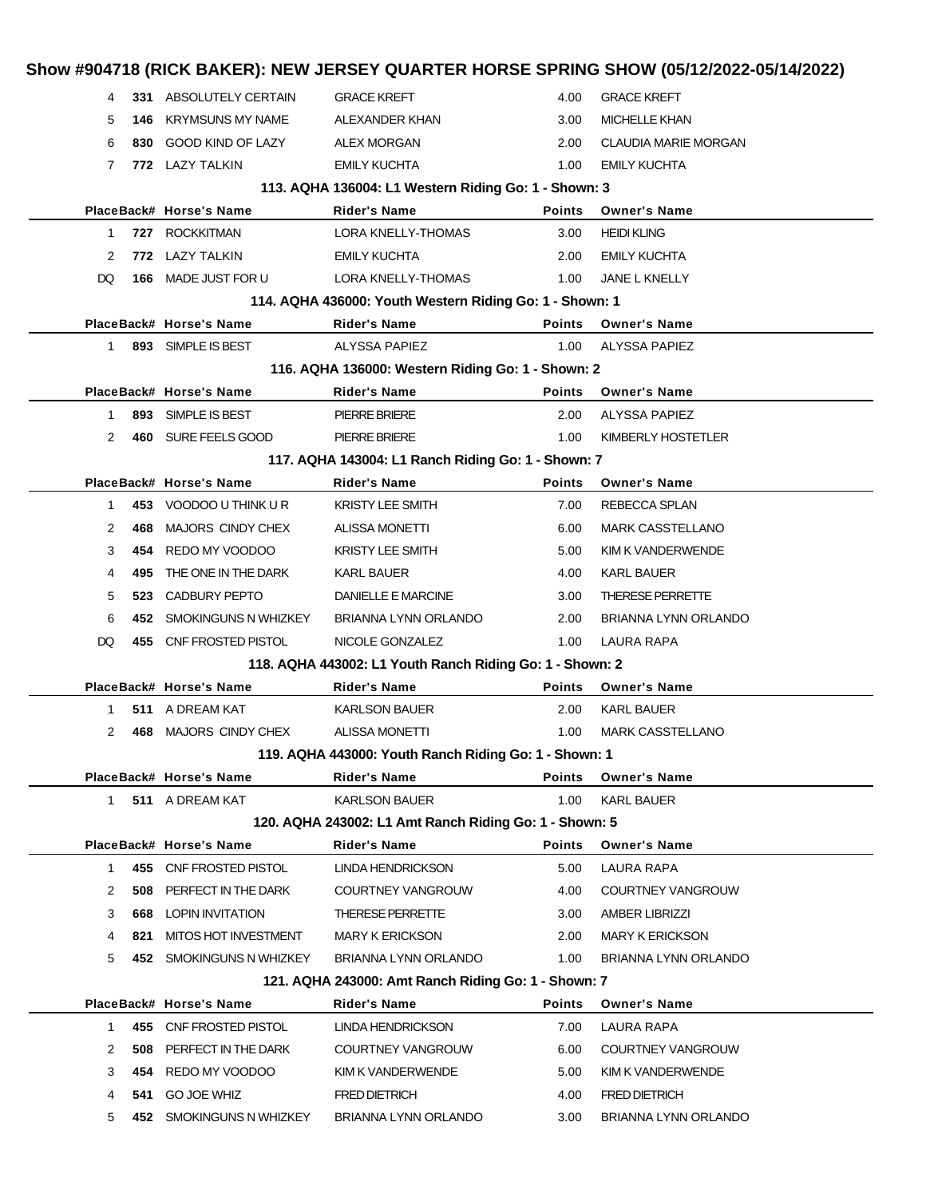| 4  |      | 331 ABSOLUTELY CERTAIN      | <b>GRACE KREFT</b>                                       | 4.00          | <b>GRACE KREFT</b>          |
|----|------|-----------------------------|----------------------------------------------------------|---------------|-----------------------------|
| 5  | 146  | <b>KRYMSUNS MY NAME</b>     | ALEXANDER KHAN                                           | 3.00          | <b>MICHELLE KHAN</b>        |
| 6  | 830  | GOOD KIND OF LAZY           | <b>ALEX MORGAN</b>                                       | 2.00          | <b>CLAUDIA MARIE MORGAN</b> |
| 7  |      | 772 LAZY TALKIN             | <b>EMILY KUCHTA</b>                                      | 1.00          | <b>EMILY KUCHTA</b>         |
|    |      |                             | 113. AQHA 136004: L1 Western Riding Go: 1 - Shown: 3     |               |                             |
|    |      | PlaceBack# Horse's Name     | Rider's Name                                             | <b>Points</b> | <b>Owner's Name</b>         |
| 1  |      | 727 ROCKKITMAN              | LORA KNELLY-THOMAS                                       | 3.00          | <b>HEIDI KLING</b>          |
| 2  | 772  | LAZY TALKIN                 | <b>EMILY KUCHTA</b>                                      | 2.00          | <b>EMILY KUCHTA</b>         |
| DQ | 166  | MADE JUST FOR U             | LORA KNELLY-THOMAS                                       | 1.00          | <b>JANE L KNELLY</b>        |
|    |      |                             | 114. AQHA 436000: Youth Western Riding Go: 1 - Shown: 1  |               |                             |
|    |      | PlaceBack# Horse's Name     | <b>Rider's Name</b>                                      | <b>Points</b> | <b>Owner's Name</b>         |
| 1  |      | 893 SIMPLE IS BEST          | ALYSSA PAPIEZ                                            | 1.00          | <b>ALYSSA PAPIEZ</b>        |
|    |      |                             | 116. AQHA 136000: Western Riding Go: 1 - Shown: 2        |               |                             |
|    |      | PlaceBack# Horse's Name     | <b>Rider's Name</b>                                      | <b>Points</b> | <b>Owner's Name</b>         |
| 1. | 893  | SIMPLE IS BEST              | <b>PIERRE BRIERE</b>                                     | 2.00          | ALYSSA PAPIEZ               |
| 2  |      | 460 SURE FEELS GOOD         | <b>PIERRE BRIERE</b>                                     | 1.00          | KIMBERLY HOSTETLER          |
|    |      |                             | 117. AQHA 143004: L1 Ranch Riding Go: 1 - Shown: 7       |               |                             |
|    |      | PlaceBack# Horse's Name     | <b>Rider's Name</b>                                      | <b>Points</b> | <b>Owner's Name</b>         |
| 1  |      | 453 VOODOO U THINK U R      | <b>KRISTY LEE SMITH</b>                                  | 7.00          | REBECCA SPLAN               |
| 2  | 468  | MAJORS CINDY CHEX           | <b>ALISSA MONETTI</b>                                    | 6.00          | <b>MARK CASSTELLANO</b>     |
| 3  | 454  | REDO MY VOODOO              | <b>KRISTY LEE SMITH</b>                                  | 5.00          | KIM K VANDERWENDE           |
| 4  | 495  | THE ONE IN THE DARK         | KARL BAUER                                               | 4.00          | KARL BAUER                  |
| 5  | 523  | CADBURY PEPTO               | DANIELLE E MARCINE                                       | 3.00          | <b>THERESE PERRETTE</b>     |
| 6  | 452. | SMOKINGUNS N WHIZKEY        | BRIANNA LYNN ORLANDO                                     | 2.00          | BRIANNA LYNN ORLANDO        |
| DQ |      | 455 CNF FROSTED PISTOL      | NICOLE GONZALEZ                                          | 1.00          | LAURA RAPA                  |
|    |      |                             | 118. AQHA 443002: L1 Youth Ranch Riding Go: 1 - Shown: 2 |               |                             |
|    |      | PlaceBack# Horse's Name     | Rider's Name                                             | <b>Points</b> | <b>Owner's Name</b>         |
| 1  |      | 511 A DREAM KAT             | <b>KARLSON BAUER</b>                                     | 2.00          | KARL BAUER                  |
| 2  | 468  | MAJORS CINDY CHEX           | <b>ALISSA MONETTI</b>                                    | 1.00          | <b>MARK CASSTELLANO</b>     |
|    |      |                             | 119. AQHA 443000: Youth Ranch Riding Go: 1 - Shown: 1    |               |                             |
|    |      | PlaceBack# Horse's Name     | Rider's Name                                             | <b>Points</b> | <b>Owner's Name</b>         |
| 1. |      | 511 A DREAM KAT             | <b>KARLSON BAUER</b>                                     | 1.00          | <b>KARL BAUER</b>           |
|    |      |                             | 120. AQHA 243002: L1 Amt Ranch Riding Go: 1 - Shown: 5   |               |                             |
|    |      | PlaceBack# Horse's Name     | Rider's Name                                             | <b>Points</b> | <b>Owner's Name</b>         |
| 1  | 455  | CNF FROSTED PISTOL          | LINDA HENDRICKSON                                        | 5.00          | LAURA RAPA                  |
| 2  | 508  | PERFECT IN THE DARK         | COURTNEY VANGROUW                                        | 4.00          | COURTNEY VANGROUW           |
| 3  | 668  | <b>LOPIN INVITATION</b>     | <b>THERESE PERRETTE</b>                                  | 3.00          | <b>AMBER LIBRIZZI</b>       |
| 4  | 821  | <b>MITOS HOT INVESTMENT</b> | <b>MARY K ERICKSON</b>                                   | 2.00          | <b>MARY K ERICKSON</b>      |
| 5  |      | 452 SMOKINGUNS N WHIZKEY    | BRIANNA LYNN ORLANDO                                     | 1.00          | BRIANNA LYNN ORLANDO        |
|    |      |                             | 121. AQHA 243000: Amt Ranch Riding Go: 1 - Shown: 7      |               |                             |
|    |      | PlaceBack# Horse's Name     | Rider's Name                                             | Points        | <b>Owner's Name</b>         |
| 1  | 455  | CNF FROSTED PISTOL          | LINDA HENDRICKSON                                        | 7.00          | LAURA RAPA                  |
|    | 508  | PERFECT IN THE DARK         | COURTNEY VANGROUW                                        | 6.00          | COURTNEY VANGROUW           |
| 2  |      |                             | KIM K VANDERWENDE                                        | 5.00          | KIM K VANDERWENDE           |
| 3  | 454  | REDO MY VOODOO              |                                                          |               |                             |
| 4  | 541  | <b>GO JOE WHIZ</b>          | <b>FRED DIETRICH</b>                                     | 4.00          | <b>FRED DIETRICH</b>        |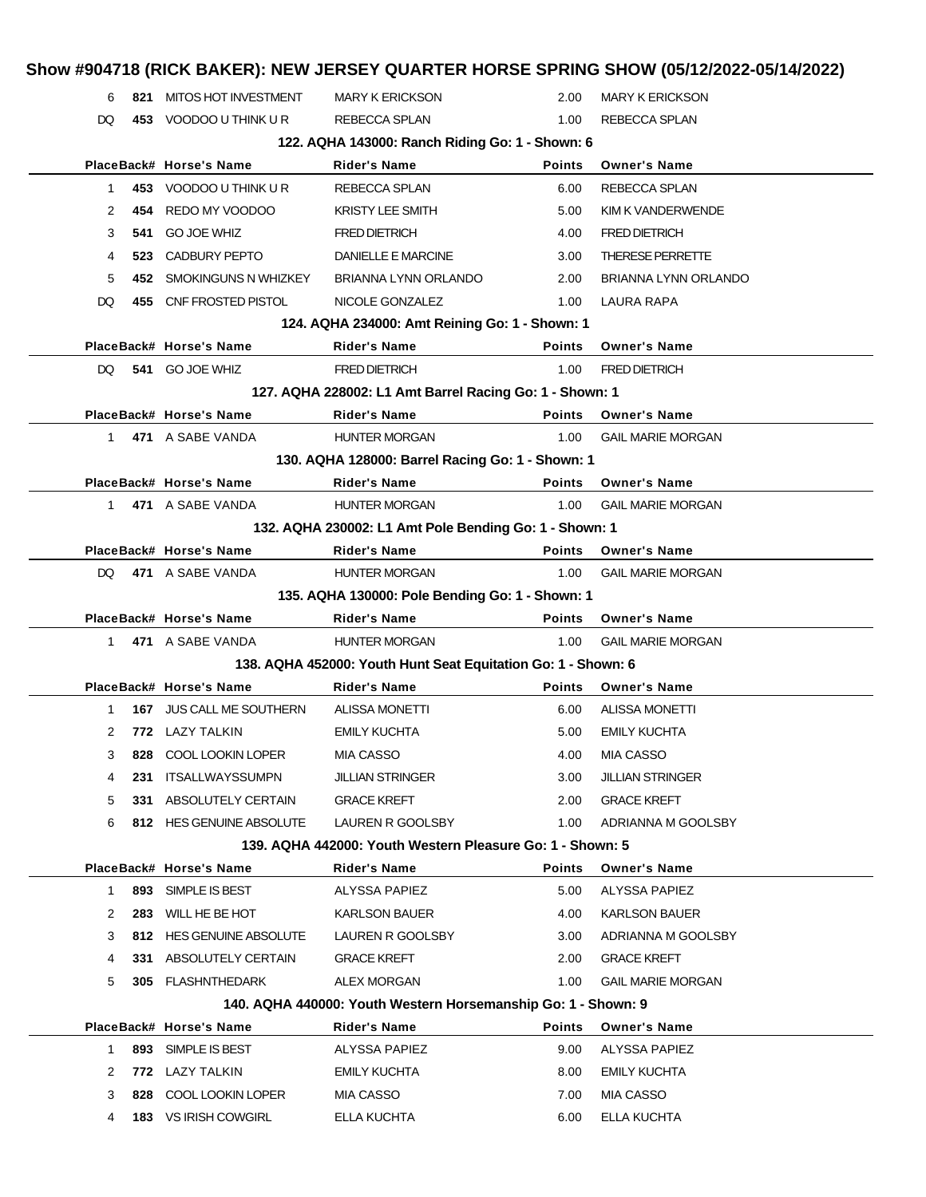### **Show #904718 (RICK BAKER): NEW JERSEY QUARTER HORSE SPRING SHOW (05/12/2022-05/14/2022)** 6 **821** MITOS HOT INVESTMENT MARY K ERICKSON 2.00 MARY K ERICKSON DQ 453 VOODOO U THINK U R REBECCA SPLAN 1.00 REBECCA SPLAN **122. AQHA 143000: Ranch Riding Go: 1 - Shown: 6 PlaceBack# Horse's Name Rider's Name Points Owner's Name** 1 **453** VOODOO U THINK U R REBECCA SPLAN 6.00 REBECCA SPLAN 2 **454** REDO MY VOODOO KRISTY LEE SMITH 5.00 KIM K VANDERWENDE 3 **541** GO JOE WHIZ FRED DIETRICH 4.00 FRED DIETRICH 4 **523** CADBURY PEPTO DANIELLE E MARCINE 3.00 THERESE PERRETTE 5 **452** SMOKINGUNS N WHIZKEY BRIANNA LYNN ORLANDO 2.00 BRIANNA LYNN ORLANDO DQ **455** CNF FROSTED PISTOL NICOLE GONZALEZ 1.00 LAURA RAPA **124. AQHA 234000: Amt Reining Go: 1 - Shown: 1 PlaceBack# Horse's Name Rider's Name Points Owner's Name** DQ **541** GO JOE WHIZ FRED DIETRICH 1.00 FRED DIETRICH **127. AQHA 228002: L1 Amt Barrel Racing Go: 1 - Shown: 1 PlaceBack# Horse's Name Rider's Name Points Owner's Name** 1 **471** A SABE VANDA HUNTER MORGAN 1.00 GAIL MARIE MORGAN **130. AQHA 128000: Barrel Racing Go: 1 - Shown: 1 PlaceBack# Horse's Name Rider's Name Points Owner's Name** 1 **471** A SABE VANDA **HUNTER MORGAN** 1.00 GAIL MARIE MORGAN **132. AQHA 230002: L1 Amt Pole Bending Go: 1 - Shown: 1 PlaceBack# Horse's Name Rider's Name Points Owner's Name** DQ **471** A SABE VANDA HUNTER MORGAN 1.00 GAIL MARIE MORGAN **135. AQHA 130000: Pole Bending Go: 1 - Shown: 1 PlaceBack# Horse's Name Rider's Name Points Owner's Name** 1 **471** A SABE VANDA HUNTER MORGAN 1.00 GAIL MARIE MORGAN **138. AQHA 452000: Youth Hunt Seat Equitation Go: 1 - Shown: 6 PlaceBack# Horse's Name Rider's Name Points Owner's Name** 1 **167** JUS CALL ME SOUTHERN ALISSA MONETTI 6.00 ALISSA MONETTI 2 **772** LAZY TALKIN EMILY KUCHTA 5.00 EMILY KUCHTA 3 **828** COOL LOOKIN LOPER MIA CASSO 4.00 MIA CASSO 4 **231** ITSALLWAYSSUMPN JILLIAN STRINGER 3.00 JILLIAN STRINGER 5 **331** ABSOLUTELY CERTAIN GRACE KREFT 2.00 GRACE KREFT 6 **812** HES GENUINE ABSOLUTE LAUREN R GOOLSBY 1.00 ADRIANNA M GOOLSBY **139. AQHA 442000: Youth Western Pleasure Go: 1 - Shown: 5 PlaceBack# Horse's Name Rider's Name Points Owner's Name** 1 **893** SIMPLE IS BEST ALYSSA PAPIEZ 5.00 ALYSSA PAPIEZ 2 **283** WILL HE BE HOT **KARLSON BAUER** 4.00 KARLSON BAUER 3 **812** HES GENUINE ABSOLUTE LAUREN R GOOLSBY 3.00 ADRIANNA M GOOLSBY 4 **331** ABSOLUTELY CERTAIN GRACE KREFT 2.00 GRACE KREFT 5 **305** FLASHNTHEDARK ALEX MORGAN 1.00 GAIL MARIE MORGAN **140. AQHA 440000: Youth Western Horsemanship Go: 1 - Shown: 9 PlaceBack# Horse's Name Rider's Name Points Owner's Name** 1 **893** SIMPLE IS BEST ALYSSA PAPIEZ 9.00 ALYSSA PAPIEZ 2 **772** LAZY TALKIN **EMILY KUCHTA** 8.00 EMILY KUCHTA 3 **828** COOL LOOKIN LOPER MIA CASSO 7.00 MIA CASSO 4 **183** VS IRISH COWGIRL ELLA KUCHTA 6.00 ELLA KUCHTA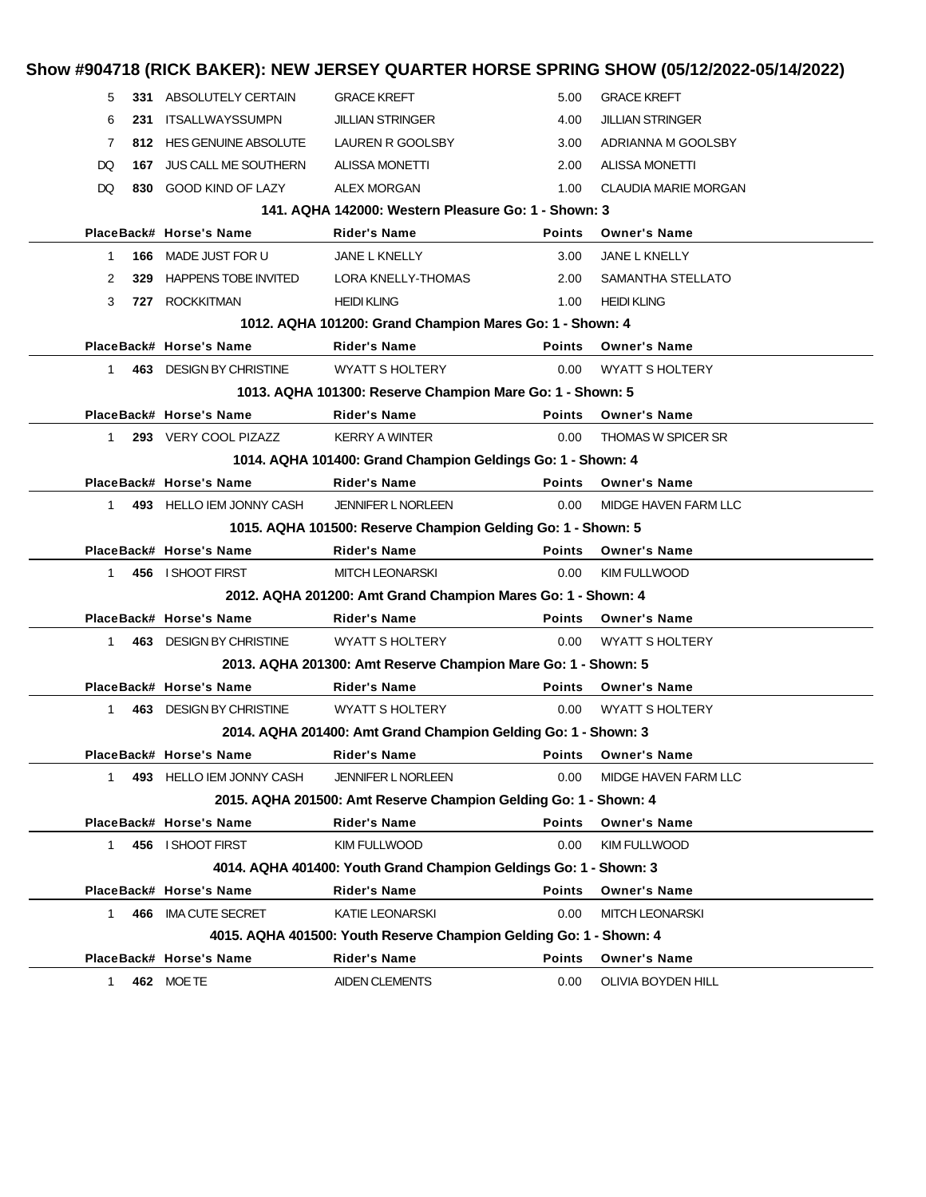|              |     |                             |                                                                    |               | Show #904718 (RICK BAKER): NEW JERSEY QUARTER HORSE SPRING SHOW (05/12/2022-05/14/2022) |  |
|--------------|-----|-----------------------------|--------------------------------------------------------------------|---------------|-----------------------------------------------------------------------------------------|--|
| 5            |     | 331 ABSOLUTELY CERTAIN      | <b>GRACE KREFT</b>                                                 | 5.00          | <b>GRACE KREFT</b>                                                                      |  |
| 6            |     | 231 ITSALLWAYSSUMPN         | <b>JILLIAN STRINGER</b>                                            | 4.00          | <b>JILLIAN STRINGER</b>                                                                 |  |
| 7            |     | 812 HES GENUINE ABSOLUTE    | LAUREN R GOOLSBY                                                   | 3.00          | ADRIANNA M GOOLSBY                                                                      |  |
| DQ           | 167 | <b>JUS CALL ME SOUTHERN</b> | <b>ALISSA MONETTI</b>                                              | 2.00          | <b>ALISSA MONETTI</b>                                                                   |  |
| DQ           |     | 830 GOOD KIND OF LAZY       | <b>ALEX MORGAN</b>                                                 | 1.00          | <b>CLAUDIA MARIE MORGAN</b>                                                             |  |
|              |     |                             | 141. AQHA 142000: Western Pleasure Go: 1 - Shown: 3                |               |                                                                                         |  |
|              |     | PlaceBack# Horse's Name     | Rider's Name                                                       | <b>Points</b> | <b>Owner's Name</b>                                                                     |  |
| 1            |     | 166 MADE JUST FOR U         | JANE L KNELLY                                                      | 3.00          | JANE L KNELLY                                                                           |  |
| 2            | 329 | <b>HAPPENS TOBE INVITED</b> | LORA KNELLY-THOMAS                                                 | 2.00          | SAMANTHA STELLATO                                                                       |  |
| 3            |     | 727 ROCKKITMAN              | <b>HEIDI KLING</b>                                                 | 1.00          | <b>HEIDI KLING</b>                                                                      |  |
|              |     |                             | 1012. AQHA 101200: Grand Champion Mares Go: 1 - Shown: 4           |               |                                                                                         |  |
|              |     | PlaceBack# Horse's Name     | <b>Rider's Name</b>                                                | <b>Points</b> | <b>Owner's Name</b>                                                                     |  |
| $\mathbf 1$  |     | 463 DESIGN BY CHRISTINE     | <b>WYATT S HOLTERY</b>                                             | 0.00          | <b>WYATT S HOLTERY</b>                                                                  |  |
|              |     |                             | 1013. AQHA 101300: Reserve Champion Mare Go: 1 - Shown: 5          |               |                                                                                         |  |
|              |     | PlaceBack# Horse's Name     | <b>Rider's Name</b>                                                | <b>Points</b> | <b>Owner's Name</b>                                                                     |  |
| $\mathbf{1}$ |     | 293 VERY COOL PIZAZZ        | <b>KERRY A WINTER</b>                                              | 0.00          | <b>THOMAS W SPICER SR</b>                                                               |  |
|              |     |                             | 1014. AQHA 101400: Grand Champion Geldings Go: 1 - Shown: 4        |               |                                                                                         |  |
|              |     | PlaceBack# Horse's Name     | <b>Rider's Name</b>                                                | <b>Points</b> | <b>Owner's Name</b>                                                                     |  |
| $1 \quad$    |     | 493 HELLO IEM JONNY CASH    | <b>JENNIFER L NORLEEN</b>                                          | 0.00          | MIDGE HAVEN FARM LLC                                                                    |  |
|              |     |                             | 1015. AQHA 101500: Reserve Champion Gelding Go: 1 - Shown: 5       |               |                                                                                         |  |
|              |     | PlaceBack# Horse's Name     | <b>Rider's Name</b>                                                | <b>Points</b> | <b>Owner's Name</b>                                                                     |  |
| $\mathbf{1}$ |     | 456 I SHOOT FIRST           | <b>MITCH LEONARSKI</b>                                             | 0.00          | KIM FULLWOOD                                                                            |  |
|              |     |                             | 2012. AQHA 201200: Amt Grand Champion Mares Go: 1 - Shown: 4       |               |                                                                                         |  |
|              |     | PlaceBack# Horse's Name     | <b>Rider's Name</b>                                                | <b>Points</b> | <b>Owner's Name</b>                                                                     |  |
| $\mathbf 1$  |     | 463 DESIGN BY CHRISTINE     | <b>WYATT S HOLTERY</b>                                             | 0.00          | <b>WYATT S HOLTERY</b>                                                                  |  |
|              |     |                             | 2013. AQHA 201300: Amt Reserve Champion Mare Go: 1 - Shown: 5      |               |                                                                                         |  |
|              |     | PlaceBack# Horse's Name     | <b>Rider's Name</b>                                                | <b>Points</b> | <b>Owner's Name</b>                                                                     |  |
| $\mathbf 1$  |     | 463 DESIGN BY CHRISTINE     | <b>WYATT S HOLTERY</b>                                             | 0.00          | <b>WYATT S HOLTERY</b>                                                                  |  |
|              |     |                             | 2014. AQHA 201400: Amt Grand Champion Gelding Go: 1 - Shown: 3     |               |                                                                                         |  |
|              |     | PlaceBack# Horse's Name     | <b>Rider's Name</b>                                                | <b>Points</b> | <b>Owner's Name</b>                                                                     |  |
| $\mathbf{1}$ |     | 493 HELLO IEM JONNY CASH    | <b>JENNIFER L NORLEEN</b>                                          | 0.00          | MIDGE HAVEN FARM LLC                                                                    |  |
|              |     |                             | 2015. AQHA 201500: Amt Reserve Champion Gelding Go: 1 - Shown: 4   |               |                                                                                         |  |
|              |     | PlaceBack# Horse's Name     | <b>Rider's Name</b>                                                | <b>Points</b> | <b>Owner's Name</b>                                                                     |  |
| $\mathbf{1}$ |     | 456 I SHOOT FIRST           | KIM FULLWOOD                                                       | 0.00          | <b>KIM FULLWOOD</b>                                                                     |  |
|              |     |                             | 4014. AQHA 401400: Youth Grand Champion Geldings Go: 1 - Shown: 3  |               |                                                                                         |  |
|              |     | PlaceBack# Horse's Name     | <b>Rider's Name</b>                                                | <b>Points</b> | <b>Owner's Name</b>                                                                     |  |
| 1            |     | 466 IMA CUTE SECRET         | KATIE LEONARSKI                                                    | 0.00          | <b>MITCH LEONARSKI</b>                                                                  |  |
|              |     |                             | 4015. AQHA 401500: Youth Reserve Champion Gelding Go: 1 - Shown: 4 |               |                                                                                         |  |
|              |     | PlaceBack# Horse's Name     | <b>Rider's Name</b>                                                | <b>Points</b> | <b>Owner's Name</b>                                                                     |  |
| 1            |     | 462 MOETE                   | <b>AIDEN CLEMENTS</b>                                              | 0.00          | OLIVIA BOYDEN HILL                                                                      |  |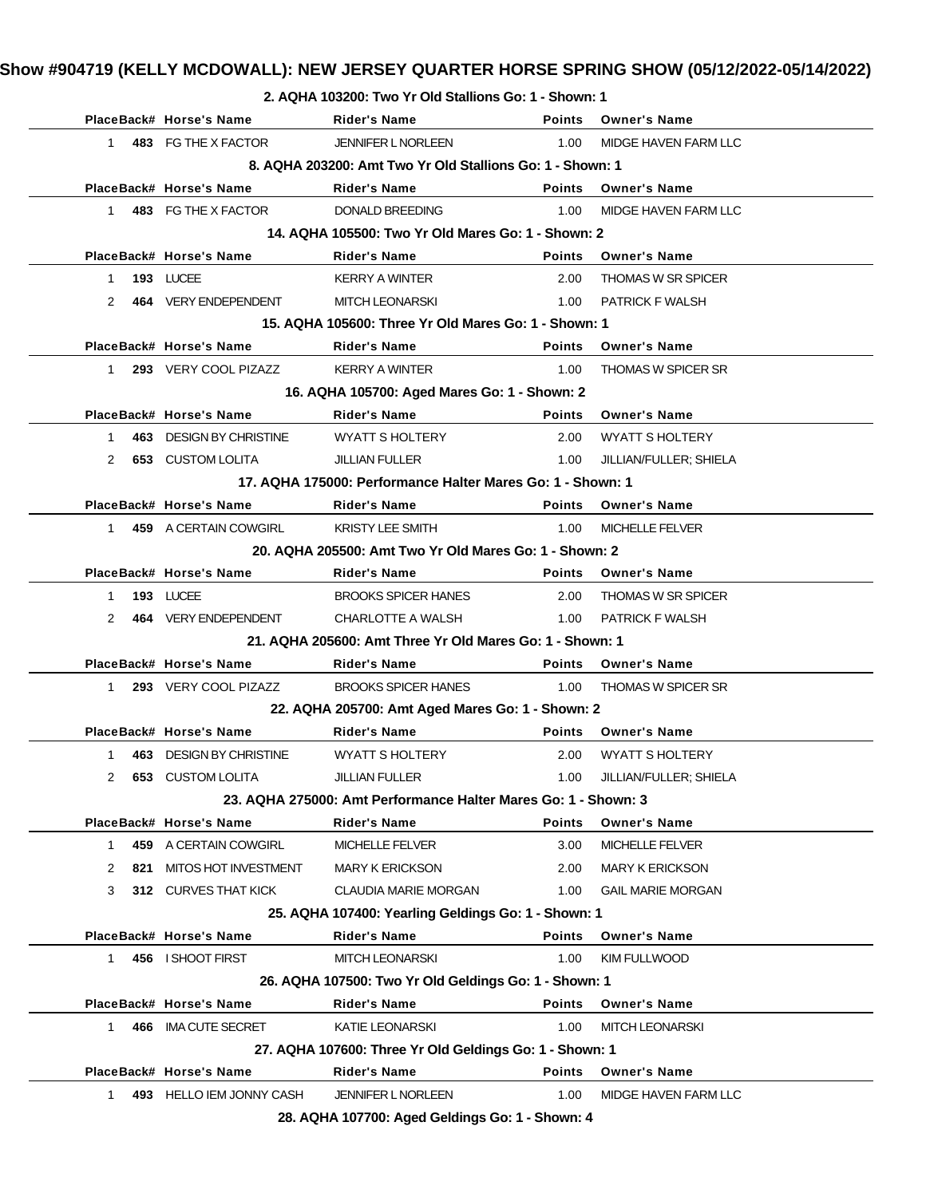| 2. AQHA 103200: Two Yr Old Stallions Go: 1 - Shown: 1     |  |                         |                           |               |                      |  |  |
|-----------------------------------------------------------|--|-------------------------|---------------------------|---------------|----------------------|--|--|
|                                                           |  | PlaceBack# Horse's Name | Rider's Name              | <b>Points</b> | <b>Owner's Name</b>  |  |  |
|                                                           |  | 483 FG THE X FACTOR     | <b>JENNIFER L NORLEEN</b> | 1.00.         | MIDGE HAVEN FARM LLC |  |  |
| 8. AQHA 203200: Amt Two Yr Old Stallions Go: 1 - Shown: 1 |  |                         |                           |               |                      |  |  |
| .                                                         |  |                         |                           |               |                      |  |  |

|              |     |                          | 0. AWNA 200200. ANII TWO TI UIU SIAIIIUNS GO. T-SHOWII. T      |               |                           |
|--------------|-----|--------------------------|----------------------------------------------------------------|---------------|---------------------------|
|              |     | PlaceBack# Horse's Name  | Rider's Name                                                   | <b>Points</b> | <b>Owner's Name</b>       |
| $1 \quad$    |     | 483 FG THE X FACTOR      | <b>DONALD BREEDING</b>                                         | 1.00          | MIDGE HAVEN FARM LLC      |
|              |     |                          | 14. AQHA 105500: Two Yr Old Mares Go: 1 - Shown: 2             |               |                           |
|              |     | PlaceBack# Horse's Name  | <b>Rider's Name</b>                                            | <b>Points</b> | <b>Owner's Name</b>       |
| $\mathbf{1}$ |     | 193 LUCEE                | <b>KERRY A WINTER</b>                                          | 2.00          | <b>THOMAS W SR SPICER</b> |
| 2            |     | 464 VERY ENDEPENDENT     | <b>MITCH LEONARSKI</b>                                         | 1.00          | <b>PATRICK F WALSH</b>    |
|              |     |                          | 15. AQHA 105600: Three Yr Old Mares Go: 1 - Shown: 1           |               |                           |
|              |     | PlaceBack# Horse's Name  | <b>Rider's Name</b>                                            | <b>Points</b> | <b>Owner's Name</b>       |
| 1            |     | 293 VERY COOL PIZAZZ     | <b>KERRY A WINTER</b>                                          | 1.00          | <b>THOMAS W SPICER SR</b> |
|              |     |                          | 16. AQHA 105700: Aged Mares Go: 1 - Shown: 2                   |               |                           |
|              |     | PlaceBack# Horse's Name  | <b>Rider's Name</b>                                            | <b>Points</b> | <b>Owner's Name</b>       |
| $1 \quad$    |     | 463 DESIGN BY CHRISTINE  | <b>WYATT S HOLTERY</b>                                         | 2.00          | <b>WYATT S HOLTERY</b>    |
| 2            |     | <b>653 CUSTOM LOLITA</b> | <b>JILLIAN FULLER</b>                                          | 1.00          | JILLIAN/FULLER; SHIELA    |
|              |     |                          | 17. AQHA 175000: Performance Halter Mares Go: 1 - Shown: 1     |               |                           |
|              |     | PlaceBack# Horse's Name  | <b>Rider's Name</b>                                            | <b>Points</b> | <b>Owner's Name</b>       |
|              |     | 1 459 A CERTAIN COWGIRL  | <b>KRISTY LEE SMITH</b>                                        | 1.00          | <b>MICHELLE FELVER</b>    |
|              |     |                          | 20. AQHA 205500: Amt Two Yr Old Mares Go: 1 - Shown: 2         |               |                           |
|              |     | PlaceBack# Horse's Name  | <b>Rider's Name</b>                                            |               | Points Owner's Name       |
| $\mathbf{1}$ |     | 193 LUCEE                | <b>BROOKS SPICER HANES</b>                                     | 2.00          | <b>THOMAS W SR SPICER</b> |
| 2            |     | 464 VERY ENDEPENDENT     | CHARLOTTE A WALSH                                              |               | 1.00 PATRICK F WALSH      |
|              |     |                          | 21. AQHA 205600: Amt Three Yr Old Mares Go: 1 - Shown: 1       |               |                           |
|              |     | PlaceBack# Horse's Name  | <b>Rider's Name</b>                                            | <b>Points</b> | <b>Owner's Name</b>       |
| $1 \quad$    |     | 293 VERY COOL PIZAZZ     | <b>BROOKS SPICER HANES</b>                                     | 1.00          | <b>THOMAS W SPICER SR</b> |
|              |     |                          | 22. AQHA 205700: Amt Aged Mares Go: 1 - Shown: 2               |               |                           |
|              |     | PlaceBack# Horse's Name  | <b>Rider's Name</b>                                            | <b>Points</b> | <b>Owner's Name</b>       |
| 1            |     | 463 DESIGN BY CHRISTINE  | <b>WYATT S HOLTERY</b>                                         | 2.00          | <b>WYATT S HOLTERY</b>    |
| 2            |     | <b>653 CUSTOM LOLITA</b> | <b>JILLIAN FULLER</b>                                          | 1.00          | JILLIAN/FULLER; SHIELA    |
|              |     |                          | 23. AQHA 275000: Amt Performance Halter Mares Go: 1 - Shown: 3 |               |                           |
|              |     | PlaceBack# Horse's Name  | <b>Rider's Name</b>                                            | Points        | <b>Owner's Name</b>       |
|              |     | 459 A CERTAIN COWGIRL    | MICHELLE FELVER                                                | 3.00          | MICHELLE FELVER           |
| 2            | 821 | MITOS HOT INVESTMENT     | <b>MARY K ERICKSON</b>                                         | 2.00          | <b>MARY K ERICKSON</b>    |
| 3            |     | 312 CURVES THAT KICK     | <b>CLAUDIA MARIE MORGAN</b>                                    | 1.00          | <b>GAIL MARIE MORGAN</b>  |
|              |     |                          | 25. AQHA 107400: Yearling Geldings Go: 1 - Shown: 1            |               |                           |
|              |     | PlaceBack# Horse's Name  | <b>Rider's Name</b>                                            | <b>Points</b> | <b>Owner's Name</b>       |
| $\mathbf{1}$ |     | 456 I SHOOT FIRST        | <b>MITCH LEONARSKI</b>                                         | 1.00          | <b>KIM FULLWOOD</b>       |
|              |     |                          | 26. AQHA 107500: Two Yr Old Geldings Go: 1 - Shown: 1          |               |                           |
|              |     | PlaceBack# Horse's Name  | <b>Rider's Name</b>                                            | <b>Points</b> | <b>Owner's Name</b>       |
| 1            |     | 466 IMA CUTE SECRET      | <b>KATIE LEONARSKI</b>                                         | 1.00          | <b>MITCH LEONARSKI</b>    |
|              |     |                          | 27. AQHA 107600: Three Yr Old Geldings Go: 1 - Shown: 1        |               |                           |
|              |     | PlaceBack# Horse's Name  | <b>Rider's Name</b>                                            | <b>Points</b> | <b>Owner's Name</b>       |
| $\mathbf 1$  |     | 493 HELLO IEM JONNY CASH | <b>JENNIFER L NORLEEN</b>                                      | 1.00          | MIDGE HAVEN FARM LLC      |
|              |     |                          | 28 AOUA 107700: Agod Coldings Cord., Shown: 4                  |               |                           |

**28. AQHA 107700: Aged Geldings Go: 1 - Shown: 4**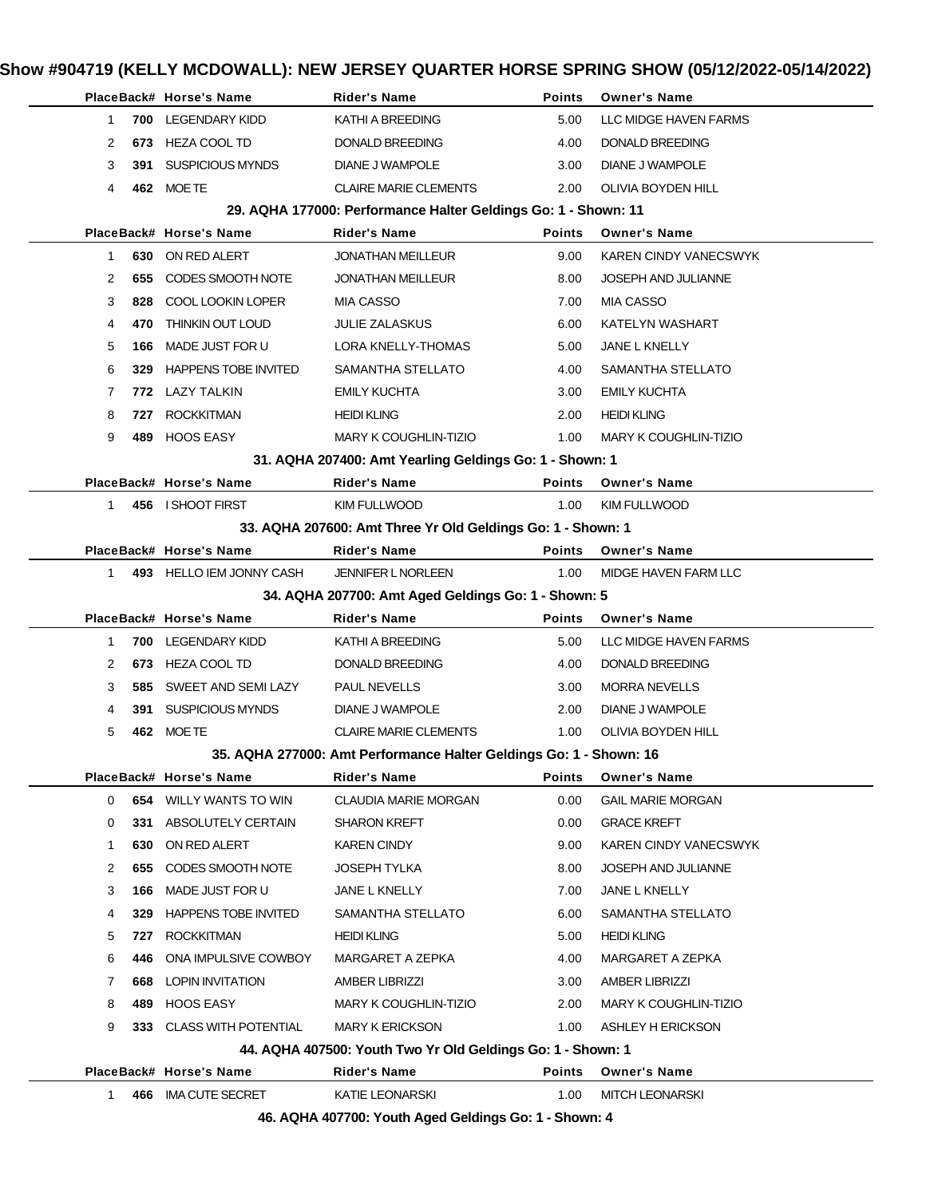|              |     | PlaceBack# Horse's Name     | <b>Rider's Name</b>                                                | <b>Points</b> | <b>Owner's Name</b>          |
|--------------|-----|-----------------------------|--------------------------------------------------------------------|---------------|------------------------------|
| 1            |     | 700 LEGENDARY KIDD          | KATHI A BREEDING                                                   | 5.00          | LLC MIDGE HAVEN FARMS        |
| 2            | 673 | <b>HEZA COOL TD</b>         | DONALD BREEDING                                                    | 4.00          | <b>DONALD BREEDING</b>       |
| 3            | 391 | SUSPICIOUS MYNDS            | DIANE J WAMPOLE                                                    | 3.00          | DIANE J WAMPOLE              |
| 4            |     | 462 MOETE                   | <b>CLAIRE MARIE CLEMENTS</b>                                       | 2.00          | OLIVIA BOYDEN HILL           |
|              |     |                             | 29. AQHA 177000: Performance Halter Geldings Go: 1 - Shown: 11     |               |                              |
|              |     | PlaceBack# Horse's Name     | <b>Rider's Name</b>                                                | <b>Points</b> | <b>Owner's Name</b>          |
| 1            |     | 630 ON RED ALERT            | <b>JONATHAN MEILLEUR</b>                                           | 9.00          | KAREN CINDY VANECSWYK        |
| 2            | 655 | CODES SMOOTH NOTE           | <b>JONATHAN MEILLEUR</b>                                           | 8.00          | <b>JOSEPH AND JULIANNE</b>   |
| 3            | 828 | COOL LOOKIN LOPER           | <b>MIA CASSO</b>                                                   | 7.00          | <b>MIA CASSO</b>             |
| 4            | 470 | THINKIN OUT LOUD            | <b>JULIE ZALASKUS</b>                                              | 6.00          | KATELYN WASHART              |
| 5            | 166 | MADE JUST FOR U             | LORA KNELLY-THOMAS                                                 | 5.00          | JANE L KNELLY                |
| 6            | 329 | <b>HAPPENS TOBE INVITED</b> | SAMANTHA STELLATO                                                  | 4.00          | SAMANTHA STELLATO            |
| 7            |     | 772 LAZY TALKIN             | <b>EMILY KUCHTA</b>                                                | 3.00          | <b>EMILY KUCHTA</b>          |
| 8            | 727 | <b>ROCKKITMAN</b>           | <b>HEIDI KLING</b>                                                 | 2.00          | <b>HEIDI KLING</b>           |
| 9            | 489 | <b>HOOS EASY</b>            | MARY K COUGHLIN-TIZIO                                              | 1.00          | <b>MARY K COUGHLIN-TIZIO</b> |
|              |     |                             | 31. AQHA 207400: Amt Yearling Geldings Go: 1 - Shown: 1            |               |                              |
|              |     | PlaceBack# Horse's Name     | <b>Rider's Name</b>                                                | Points        | <b>Owner's Name</b>          |
| 1            |     | 456 I SHOOT FIRST           | <b>KIM FULLWOOD</b>                                                | 1.00          | <b>KIM FULLWOOD</b>          |
|              |     |                             | 33. AQHA 207600: Amt Three Yr Old Geldings Go: 1 - Shown: 1        |               |                              |
|              |     | PlaceBack# Horse's Name     | <b>Rider's Name</b>                                                | <b>Points</b> | <b>Owner's Name</b>          |
| $\mathbf{1}$ |     | 493 HELLO IEM JONNY CASH    | <b>JENNIFER L NORLEEN</b>                                          | 1.00          | MIDGE HAVEN FARM LLC         |
|              |     |                             | 34. AQHA 207700: Amt Aged Geldings Go: 1 - Shown: 5                |               |                              |
|              |     | PlaceBack# Horse's Name     | <b>Rider's Name</b>                                                | <b>Points</b> | <b>Owner's Name</b>          |
| $\mathbf{1}$ | 700 | <b>LEGENDARY KIDD</b>       | KATHI A BREEDING                                                   | 5.00          | LLC MIDGE HAVEN FARMS        |
| 2            | 673 | HEZA COOL TD                | DONALD BREEDING                                                    | 4.00          | DONALD BREEDING              |
| 3            | 585 | SWEET AND SEMI LAZY         | <b>PAUL NEVELLS</b>                                                | 3.00          | <b>MORRA NEVELLS</b>         |
| 4            | 391 | SUSPICIOUS MYNDS            | DIANE J WAMPOLE                                                    | 2.00          | DIANE J WAMPOLE              |
| 5            |     | 462 MOETE                   | <b>CLAIRE MARIE CLEMENTS</b>                                       | 1.00          | OLIVIA BOYDEN HILL           |
|              |     |                             | 35. AQHA 277000: Amt Performance Halter Geldings Go: 1 - Shown: 16 |               |                              |
|              |     | PlaceBack# Horse's Name     | Rider's Name                                                       | Points        | <b>Owner's Name</b>          |
| 0            |     | 654 WILLY WANTS TO WIN      | <b>CLAUDIA MARIE MORGAN</b>                                        | 0.00          | <b>GAIL MARIE MORGAN</b>     |
| 0            |     | 331 ABSOLUTELY CERTAIN      | <b>SHARON KREFT</b>                                                | 0.00          | <b>GRACE KREFT</b>           |
| 1            | 630 | ON RED ALERT                | KAREN CINDY                                                        | 9.00          | KAREN CINDY VANECSWYK        |
| 2            | 655 | CODES SMOOTH NOTE           | JOSEPH TYLKA                                                       | 8.00          | JOSEPH AND JULIANNE          |
| 3            | 166 | MADE JUST FOR U             | JANE L KNELLY                                                      | 7.00          | JANE L KNELLY                |
| 4            |     | 329 HAPPENS TOBE INVITED    | SAMANTHA STELLATO                                                  | 6.00          | SAMANTHA STELLATO            |
| 5            | 727 | <b>ROCKKITMAN</b>           | <b>HEIDI KLING</b>                                                 | 5.00          | <b>HEIDI KLING</b>           |
| 6            | 446 | ONA IMPULSIVE COWBOY        | MARGARET A ZEPKA                                                   | 4.00          | MARGARET A ZEPKA             |
| 7            | 668 | LOPIN INVITATION            | AMBER LIBRIZZI                                                     | 3.00          | AMBER LIBRIZZI               |
| 8            | 489 | <b>HOOS EASY</b>            | MARY K COUGHLIN-TIZIO                                              | 2.00          | <b>MARY K COUGHLIN-TIZIO</b> |
| 9            |     | 333 CLASS WITH POTENTIAL    | <b>MARY K ERICKSON</b>                                             | 1.00          | ASHLEY H ERICKSON            |
|              |     |                             | 44. AQHA 407500: Youth Two Yr Old Geldings Go: 1 - Shown: 1        |               |                              |
|              |     | PlaceBack# Horse's Name     | <b>Rider's Name</b>                                                | Points        | <b>Owner's Name</b>          |
| $\mathbf{1}$ |     | 466 IMA CUTE SECRET         | KATIE LEONARSKI                                                    | 1.00          | <b>MITCH LEONARSKI</b>       |
|              |     |                             | 46. AQHA 407700: Youth Aged Geldings Go: 1 - Shown: 4              |               |                              |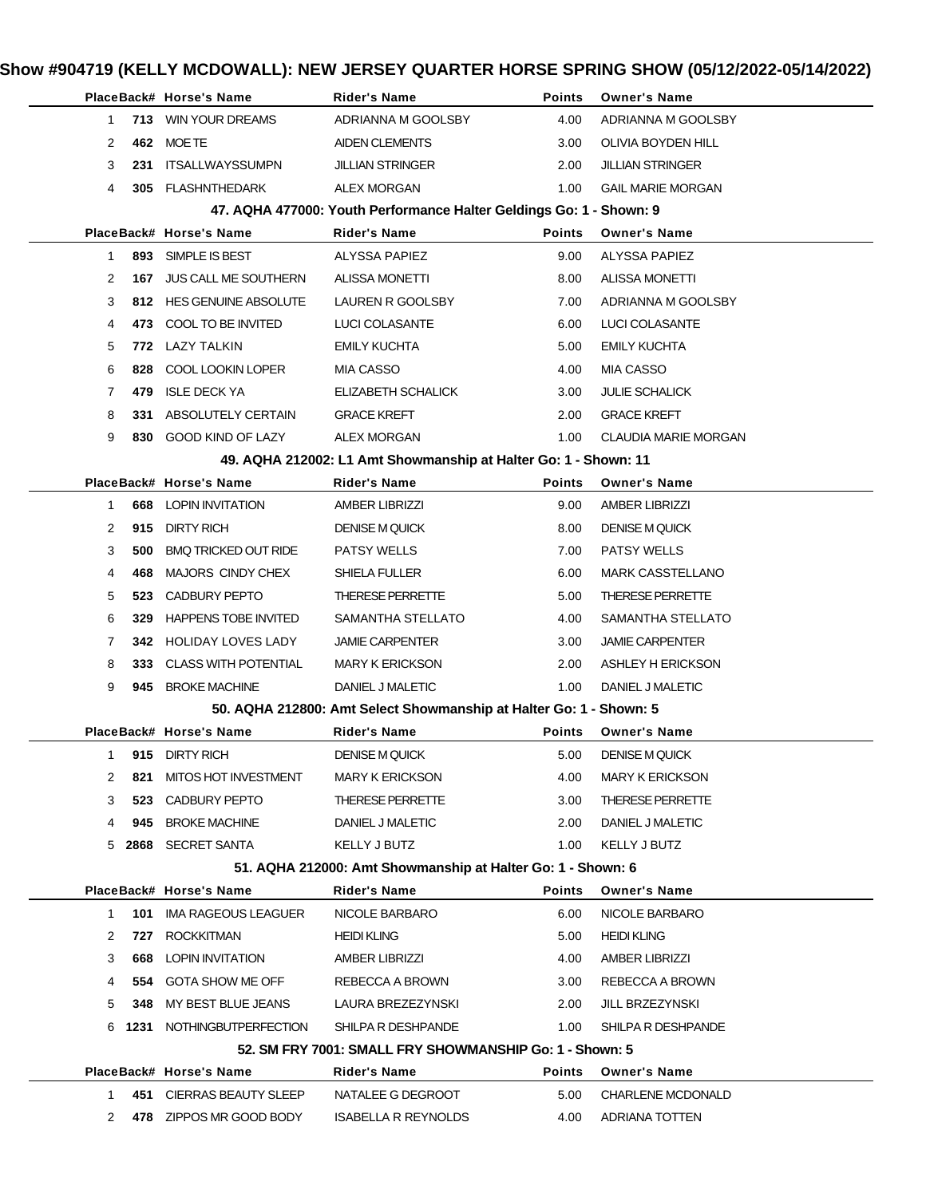|              |                                                             | PlaceBack# Horse's Name        | <b>Rider's Name</b>                                                 | Points        | <b>Owner's Name</b>      |  |  |  |
|--------------|-------------------------------------------------------------|--------------------------------|---------------------------------------------------------------------|---------------|--------------------------|--|--|--|
| $\mathbf{1}$ |                                                             | 713 WIN YOUR DREAMS            | ADRIANNA M GOOLSBY                                                  | 4.00          | ADRIANNA M GOOLSBY       |  |  |  |
| 2            |                                                             | 462 MOETE                      | AIDEN CLEMENTS                                                      | 3.00          | OLIVIA BOYDEN HILL       |  |  |  |
| 3            | 231                                                         | <b>ITSALLWAYSSUMPN</b>         | <b>JILLIAN STRINGER</b>                                             | 2.00          | <b>JILLIAN STRINGER</b>  |  |  |  |
| 4            | 305                                                         | <b>FLASHNTHEDARK</b>           | <b>ALEX MORGAN</b>                                                  | 1.00          | <b>GAIL MARIE MORGAN</b> |  |  |  |
|              |                                                             |                                | 47. AQHA 477000: Youth Performance Halter Geldings Go: 1 - Shown: 9 |               |                          |  |  |  |
|              |                                                             | PlaceBack# Horse's Name        | <b>Rider's Name</b>                                                 | <b>Points</b> | <b>Owner's Name</b>      |  |  |  |
| -1           | 893                                                         | SIMPLE IS BEST                 | ALYSSA PAPIEZ                                                       | 9.00          | ALYSSA PAPIEZ            |  |  |  |
| 2            | 167                                                         | <b>JUS CALL ME SOUTHERN</b>    | <b>ALISSA MONETTI</b>                                               | 8.00          | <b>ALISSA MONETTI</b>    |  |  |  |
| 3            |                                                             | 812 HES GENUINE ABSOLUTE       | LAUREN R GOOLSBY                                                    | 7.00          | ADRIANNA M GOOLSBY       |  |  |  |
| 4            | 473.                                                        | COOL TO BE INVITED             | LUCI COLASANTE                                                      | 6.00          | LUCI COLASANTE           |  |  |  |
| 5            | 772.                                                        | LAZY TALKIN                    | <b>EMILY KUCHTA</b>                                                 | 5.00          | <b>EMILY KUCHTA</b>      |  |  |  |
| 6            | 828                                                         | COOL LOOKIN LOPER              | MIA CASSO                                                           | 4.00          | MIA CASSO                |  |  |  |
| 7            | 479                                                         | <b>ISLE DECK YA</b>            | ELIZABETH SCHALICK                                                  | 3.00          | <b>JULIE SCHALICK</b>    |  |  |  |
| 8            | 331                                                         | ABSOLUTELY CERTAIN             | <b>GRACE KREFT</b>                                                  | 2.00          | <b>GRACE KREFT</b>       |  |  |  |
| 9            | 830                                                         | <b>GOOD KIND OF LAZY</b>       | <b>ALEX MORGAN</b>                                                  | 1.00          | CLAUDIA MARIE MORGAN     |  |  |  |
|              |                                                             |                                | 49. AQHA 212002: L1 Amt Showmanship at Halter Go: 1 - Shown: 11     |               |                          |  |  |  |
|              |                                                             | PlaceBack# Horse's Name        | <b>Rider's Name</b>                                                 | <b>Points</b> | <b>Owner's Name</b>      |  |  |  |
| $\mathbf{1}$ |                                                             | <b>668 LOPIN INVITATION</b>    | <b>AMBER LIBRIZZI</b>                                               | 9.00          | <b>AMBER LIBRIZZI</b>    |  |  |  |
| 2            | 915                                                         | <b>DIRTY RICH</b>              | <b>DENISE M QUICK</b>                                               | 8.00          | <b>DENISE M QUICK</b>    |  |  |  |
| 3            | 500                                                         | <b>BMQ TRICKED OUT RIDE</b>    | <b>PATSY WELLS</b>                                                  | 7.00          | <b>PATSY WELLS</b>       |  |  |  |
| 4            | 468                                                         | MAJORS CINDY CHEX              | SHIELA FULLER                                                       | 6.00          | <b>MARK CASSTELLANO</b>  |  |  |  |
| 5            | 523                                                         | <b>CADBURY PEPTO</b>           | <b>THERESE PERRETTE</b>                                             | 5.00          | <b>THERESE PERRETTE</b>  |  |  |  |
| 6            | 329                                                         | <b>HAPPENS TOBE INVITED</b>    | SAMANTHA STELLATO                                                   | 4.00          | SAMANTHA STELLATO        |  |  |  |
| 7            | 342.                                                        | HOLIDAY LOVES LADY             | <b>JAMIE CARPENTER</b>                                              | 3.00          | <b>JAMIE CARPENTER</b>   |  |  |  |
| 8            | 333.                                                        | <b>CLASS WITH POTENTIAL</b>    | <b>MARY K ERICKSON</b>                                              | 2.00          | ASHLEY H ERICKSON        |  |  |  |
| 9            | 945                                                         | <b>BROKE MACHINE</b>           | DANIEL J MALETIC                                                    | 1.00          | DANIEL J MALETIC         |  |  |  |
|              |                                                             |                                | 50. AQHA 212800: Amt Select Showmanship at Halter Go: 1 - Shown: 5  |               |                          |  |  |  |
|              |                                                             | PlaceBack# Horse's Name        | <b>Rider's Name</b>                                                 | <b>Points</b> | <b>Owner's Name</b>      |  |  |  |
| 1            |                                                             | 915 DIRTY RICH                 | <b>DENISE M QUICK</b>                                               | 5.00          | <b>DENISE M QUICK</b>    |  |  |  |
| 2            |                                                             | 821 MITOS HOT INVESTMENT       | <b>MARY K ERICKSON</b>                                              | 4.00          | <b>MARY K ERICKSON</b>   |  |  |  |
| 3            |                                                             | 523 CADBURY PEPTO              | THERESE PERRETTE                                                    | 3.00          | <b>THERESE PERRETTE</b>  |  |  |  |
| 4            |                                                             | 945 BROKE MACHINE              | DANIEL J MALETIC                                                    | 2.00          | DANIEL J MALETIC         |  |  |  |
|              |                                                             | 5 2868 SECRET SANTA            | <b>KELLY J BUTZ</b>                                                 | 1.00          | KELLY J BUTZ             |  |  |  |
|              | 51. AQHA 212000: Amt Showmanship at Halter Go: 1 - Shown: 6 |                                |                                                                     |               |                          |  |  |  |
|              |                                                             | PlaceBack# Horse's Name        | <b>Rider's Name</b>                                                 | Points        | <b>Owner's Name</b>      |  |  |  |
| 1            |                                                             | <b>101 IMA RAGEOUS LEAGUER</b> | NICOLE BARBARO                                                      | 6.00          | NICOLE BARBARO           |  |  |  |
| 2            | 727                                                         | ROCKKITMAN                     | <b>HEIDI KLING</b>                                                  | 5.00          | <b>HEIDI KLING</b>       |  |  |  |
| 3            |                                                             | <b>668 LOPIN INVITATION</b>    | AMBER LIBRIZZI                                                      | 4.00          | <b>AMBER LIBRIZZI</b>    |  |  |  |
| 4            |                                                             | 554 GOTA SHOW ME OFF           | REBECCA A BROWN                                                     | 3.00          | REBECCA A BROWN          |  |  |  |
| 5            |                                                             | 348 MY BEST BLUE JEANS         | LAURA BREZEZYNSKI                                                   | 2.00          | JILL BRZEZYNSKI          |  |  |  |
|              |                                                             | 6 1231 NOTHINGBUTPERFECTION    | SHILPA R DESHPANDE                                                  | 1.00          | SHILPA R DESHPANDE       |  |  |  |
|              |                                                             |                                | 52. SM FRY 7001: SMALL FRY SHOWMANSHIP Go: 1 - Shown: 5             |               |                          |  |  |  |
|              |                                                             | PlaceBack# Horse's Name        | Rider's Name                                                        | Points        | <b>Owner's Name</b>      |  |  |  |
| 1            |                                                             | 451 CIERRAS BEAUTY SLEEP       | NATALEE G DEGROOT                                                   | 5.00          | <b>CHARLENE MCDONALD</b> |  |  |  |
| 2            |                                                             | 478 ZIPPOS MR GOOD BODY        | <b>ISABELLA R REYNOLDS</b>                                          | 4.00          | ADRIANA TOTTEN           |  |  |  |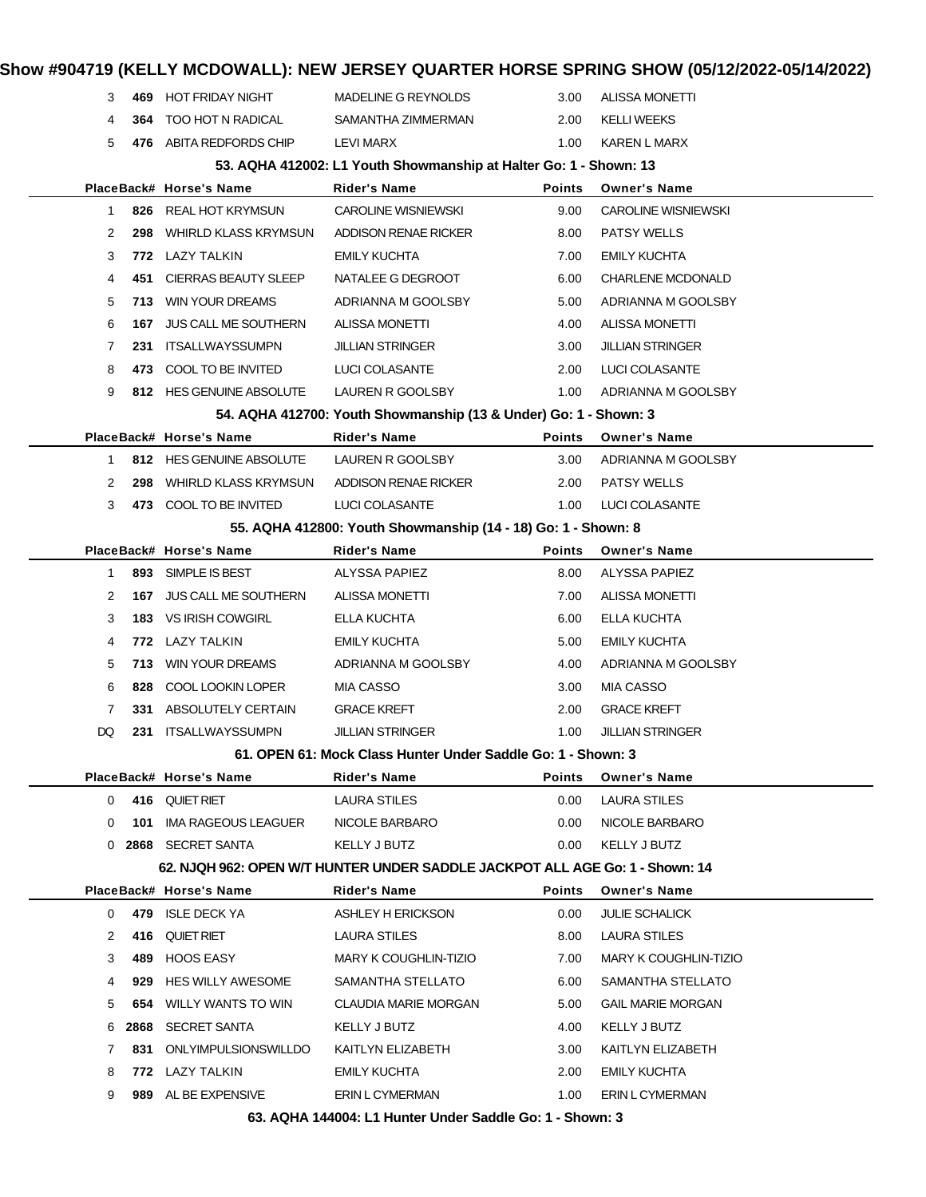### **Show #904719 (KELLY MCDOWALL): NEW JERSEY QUARTER HORSE SPRING SHOW (05/12/2022-05/14/2022) 469** HOT FRIDAY NIGHT MADELINE G REYNOLDS 3.00 ALISSA MONETTI **364** TOO HOT N RADICAL SAMANTHA ZIMMERMAN 2.00 KELLI WEEKS **476** ABITA REDFORDS CHIP LEVI MARX 1.00 KAREN L MARX **53. AQHA 412002: L1 Youth Showmanship at Halter Go: 1 - Shown: 13 PlaceBack# Horse's Name Rider's Name Points Owner's Name 826** REAL HOT KRYMSUN CAROLINE WISNIEWSKI 9.00 CAROLINE WISNIEWSKI **298** WHIRLD KLASS KRYMSUN ADDISON RENAE RICKER 8.00 PATSY WELLS **772** LAZY TALKIN EMILY KUCHTA 7.00 EMILY KUCHTA **451** CIERRAS BEAUTY SLEEP NATALEE G DEGROOT 6.00 CHARLENE MCDONALD **713** WIN YOUR DREAMS ADRIANNA M GOOLSBY 5.00 ADRIANNA M GOOLSBY **167** JUS CALL ME SOUTHERN ALISSA MONETTI 4.00 ALISSA MONETTI **231** ITSALLWAYSSUMPN JILLIAN STRINGER 3.00 JILLIAN STRINGER **473** COOL TO BE INVITED LUCI COLASANTE 2.00 LUCI COLASANTE **812** HES GENUINE ABSOLUTE LAUREN R GOOLSBY 1.00 ADRIANNA M GOOLSBY **54. AQHA 412700: Youth Showmanship (13 & Under) Go: 1 - Shown: 3 PlaceBack# Horse's Name Rider's Name Points Owner's Name 812** HES GENUINE ABSOLUTE LAUREN R GOOLSBY 3.00 ADRIANNA M GOOLSBY **298** WHIRLD KLASS KRYMSUN ADDISON RENAE RICKER 2.00 PATSY WELLS 3 473 COOL TO BE INVITED LUCI COLASANTE 1.00 LUCI COLASANTE **55. AQHA 412800: Youth Showmanship (14 - 18) Go: 1 - Shown: 8 PlaceBack# Horse's Name Rider's Name Points Owner's Name** 1 893 SIMPLE IS BEST ALYSSA PAPIEZ 8.00 ALYSSA PAPIEZ **167** JUS CALL ME SOUTHERN ALISSA MONETTI 7.00 ALISSA MONETTI **183** VS IRISH COWGIRL ELLA KUCHTA 6.00 ELLA KUCHTA **772** LAZY TALKIN EMILY KUCHTA 5.00 EMILY KUCHTA **713** WIN YOUR DREAMS ADRIANNA M GOOLSBY 4.00 ADRIANNA M GOOLSBY **828** COOL LOOKIN LOPER MIA CASSO 3.00 MIA CASSO **331** ABSOLUTELY CERTAIN GRACE KREFT 2.00 GRACE KREFT DQ **231** ITSALLWAYSSUMPN JILLIAN STRINGER 1.00 JILLIAN STRINGER **61. OPEN 61: Mock Class Hunter Under Saddle Go: 1 - Shown: 3 PlaceBack# Horse's Name Rider's Name Points Owner's Name 416** QUIET RIET **LAURA STILES** 0.00 LAURA STILES **101** IMA RAGEOUS LEAGUER NICOLE BARBARO 0.00 NICOLE BARBARO **2868** SECRET SANTA KELLY J BUTZ 0.00 KELLY J BUTZ **62. NJQH 962: OPEN W/T HUNTER UNDER SADDLE JACKPOT ALL AGE Go: 1 - Shown: 14 PlaceBack# Horse's Name Rider's Name Points Owner's Name 479** ISLE DECK YA ASHLEY H ERICKSON 0.00 JULIE SCHALICK 2 416 QUIET RIET LAURA STILES 8.00 LAURA STILES **489** HOOS EASY MARY K COUGHLIN-TIZIO 7.00 MARY K COUGHLIN-TIZIO **929** HES WILLY AWESOME SAMANTHA STELLATO 6.00 SAMANTHA STELLATO **654** WILLY WANTS TO WIN CLAUDIA MARIE MORGAN 5.00 GAIL MARIE MORGAN **2868** SECRET SANTA KELLY J BUTZ 4.00 KELLY J BUTZ **831** ONLYIMPULSIONSWILLDO KAITLYN ELIZABETH 3.00 KAITLYN ELIZABETH **772** LAZY TALKIN EMILY KUCHTA 2.00 EMILY KUCHTA **989** AL BE EXPENSIVE FRIN LOYMERMAN 1.00 FRIN LOYMERMAN

**63. AQHA 144004: L1 Hunter Under Saddle Go: 1 - Shown: 3**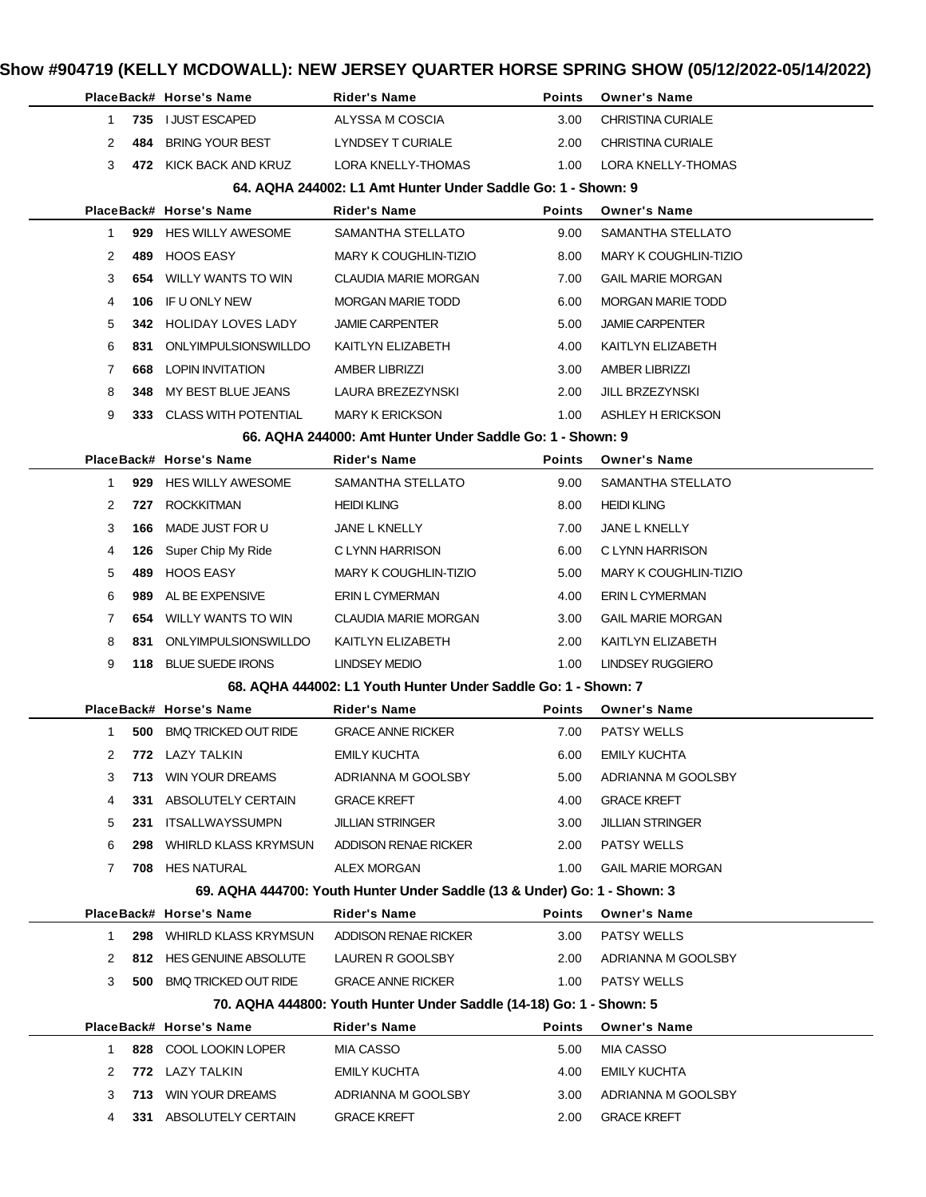|              |      | PlaceBack# Horse's Name         | Rider's Name                                                                            | <b>Points</b> | <b>Owner's Name</b>          |
|--------------|------|---------------------------------|-----------------------------------------------------------------------------------------|---------------|------------------------------|
| 1            | 735  | I JUST ESCAPED                  | ALYSSA M COSCIA                                                                         | 3.00          | <b>CHRISTINA CURIALE</b>     |
| 2            | 484  | <b>BRING YOUR BEST</b>          | LYNDSEY T CURIALE                                                                       | 2.00          | <b>CHRISTINA CURIALE</b>     |
| 3            |      | 472 KICK BACK AND KRUZ          | LORA KNELLY-THOMAS                                                                      | 1.00          | LORA KNELLY-THOMAS           |
|              |      |                                 | 64. AQHA 244002: L1 Amt Hunter Under Saddle Go: 1 - Shown: 9                            |               |                              |
|              |      | PlaceBack# Horse's Name         | Rider's Name                                                                            | <b>Points</b> | <b>Owner's Name</b>          |
| $\mathbf{1}$ |      | 929 HES WILLY AWESOME           | SAMANTHA STELLATO                                                                       | 9.00          | SAMANTHA STELLATO            |
| 2            | 489. | <b>HOOS EASY</b>                | <b>MARY K COUGHLIN-TIZIO</b>                                                            | 8.00          | <b>MARY K COUGHLIN-TIZIO</b> |
| 3            | 654  | WILLY WANTS TO WIN              | <b>CLAUDIA MARIE MORGAN</b>                                                             | 7.00          | <b>GAIL MARIE MORGAN</b>     |
| 4            | 106  | IF U ONLY NEW                   | <b>MORGAN MARIE TODD</b>                                                                | 6.00          | <b>MORGAN MARIE TODD</b>     |
| 5            | 342  | HOLIDAY LOVES LADY              | <b>JAMIE CARPENTER</b>                                                                  | 5.00          | <b>JAMIE CARPENTER</b>       |
| 6            | 831  | ONLYIMPULSIONSWILLDO            | KAITLYN ELIZABETH                                                                       | 4.00          | KAITLYN ELIZABETH            |
| 7            | 668  | LOPIN INVITATION                | AMBER LIBRIZZI                                                                          | 3.00          | <b>AMBER LIBRIZZI</b>        |
| 8            | 348  | MY BEST BLUE JEANS              | LAURA BREZEZYNSKI                                                                       | 2.00          | JILL BRZEZYNSKI              |
| 9            |      | 333 CLASS WITH POTENTIAL        | <b>MARY K ERICKSON</b>                                                                  | 1.00          | ASHLEY H ERICKSON            |
|              |      |                                 | 66. AQHA 244000: Amt Hunter Under Saddle Go: 1 - Shown: 9                               |               |                              |
|              |      | PlaceBack# Horse's Name         | <b>Rider's Name</b>                                                                     | <b>Points</b> | <b>Owner's Name</b>          |
| 1            |      | 929 HES WILLY AWESOME           | SAMANTHA STELLATO                                                                       | 9.00          | SAMANTHA STELLATO            |
| 2            | 727  | <b>ROCKKITMAN</b>               | <b>HEIDI KLING</b>                                                                      | 8.00          | <b>HEIDI KLING</b>           |
| 3            | 166  | MADE JUST FOR U                 | JANE L KNELLY                                                                           | 7.00          | JANE L KNELLY                |
| 4            | 126  | Super Chip My Ride              | C LYNN HARRISON                                                                         | 6.00          | C LYNN HARRISON              |
| 5            | 489. | <b>HOOS EASY</b>                | <b>MARY K COUGHLIN-TIZIO</b>                                                            | 5.00          | <b>MARY K COUGHLIN-TIZIO</b> |
| 6            | 989. | AL BE EXPENSIVE                 | ERIN L CYMERMAN                                                                         | 4.00          | ERIN L CYMERMAN              |
| 7            | 654  | WILLY WANTS TO WIN              | CLAUDIA MARIE MORGAN                                                                    | 3.00          | <b>GAIL MARIE MORGAN</b>     |
| 8            | 831  | ONLYIMPULSIONSWILLDO            | KAITLYN ELIZABETH                                                                       | 2.00          | KAITLYN ELIZABETH            |
| 9            | 118  | <b>BLUE SUEDE IRONS</b>         | LINDSEY MEDIO                                                                           | 1.00          | LINDSEY RUGGIERO             |
|              |      |                                 | 68. AQHA 444002: L1 Youth Hunter Under Saddle Go: 1 - Shown: 7                          |               |                              |
|              |      | PlaceBack# Horse's Name         | Rider's Name                                                                            | Points        | <b>Owner's Name</b>          |
| $\mathbf{1}$ |      | <b>500 BMQ TRICKED OUT RIDE</b> | <b>GRACE ANNE RICKER</b>                                                                | 7.00          | <b>PATSY WELLS</b>           |
| 2            |      | 772 LAZY TALKIN                 | <b>EMILY KUCHTA</b>                                                                     | 6.00          | <b>EMILY KUCHTA</b>          |
| 3            |      | 713 WIN YOUR DREAMS             | ADRIANNA M GOOLSBY                                                                      | 5.00          | ADRIANNA M GOOLSBY           |
| 4            | 331  | ABSOLUTELY CERTAIN              | <b>GRACE KREFT</b>                                                                      | 4.00          | <b>GRACE KREFT</b>           |
| 5            | 231  | <b>ITSALLWAYSSUMPN</b>          | JILLIAN STRINGER                                                                        | 3.00          | <b>JILLIAN STRINGER</b>      |
| 6            | 298  | WHIRLD KLASS KRYMSUN            | ADDISON RENAE RICKER                                                                    | 2.00          | <b>PATSY WELLS</b>           |
| 7            |      | 708 HES NATURAL                 | ALEX MORGAN<br>69. AQHA 444700: Youth Hunter Under Saddle (13 & Under) Go: 1 - Shown: 3 | 1.00          | <b>GAIL MARIE MORGAN</b>     |
|              |      | PlaceBack# Horse's Name         | <b>Rider's Name</b>                                                                     | <b>Points</b> | <b>Owner's Name</b>          |
| 1            |      | 298 WHIRLD KLASS KRYMSUN        | ADDISON RENAE RICKER                                                                    | 3.00          | <b>PATSY WELLS</b>           |
| 2            |      | 812 HES GENUINE ABSOLUTE        | LAUREN R GOOLSBY                                                                        | 2.00          | ADRIANNA M GOOLSBY           |
| 3            | 500  | <b>BMQ TRICKED OUT RIDE</b>     | <b>GRACE ANNE RICKER</b>                                                                | 1.00          | <b>PATSY WELLS</b>           |
|              |      |                                 | 70. AQHA 444800: Youth Hunter Under Saddle (14-18) Go: 1 - Shown: 5                     |               |                              |
|              |      | PlaceBack# Horse's Name         | Rider's Name                                                                            | <b>Points</b> | <b>Owner's Name</b>          |
| $\mathbf{1}$ |      | 828 COOL LOOKIN LOPER           | MIA CASSO                                                                               | 5.00          | MIA CASSO                    |
| 2            | 772  | LAZY TALKIN                     | <b>EMILY KUCHTA</b>                                                                     | 4.00          | <b>EMILY KUCHTA</b>          |
| 3            |      | 713 WIN YOUR DREAMS             | ADRIANNA M GOOLSBY                                                                      | 3.00          | ADRIANNA M GOOLSBY           |
| 4            |      | 331 ABSOLUTELY CERTAIN          | <b>GRACE KREFT</b>                                                                      | 2.00          | <b>GRACE KREFT</b>           |
|              |      |                                 |                                                                                         |               |                              |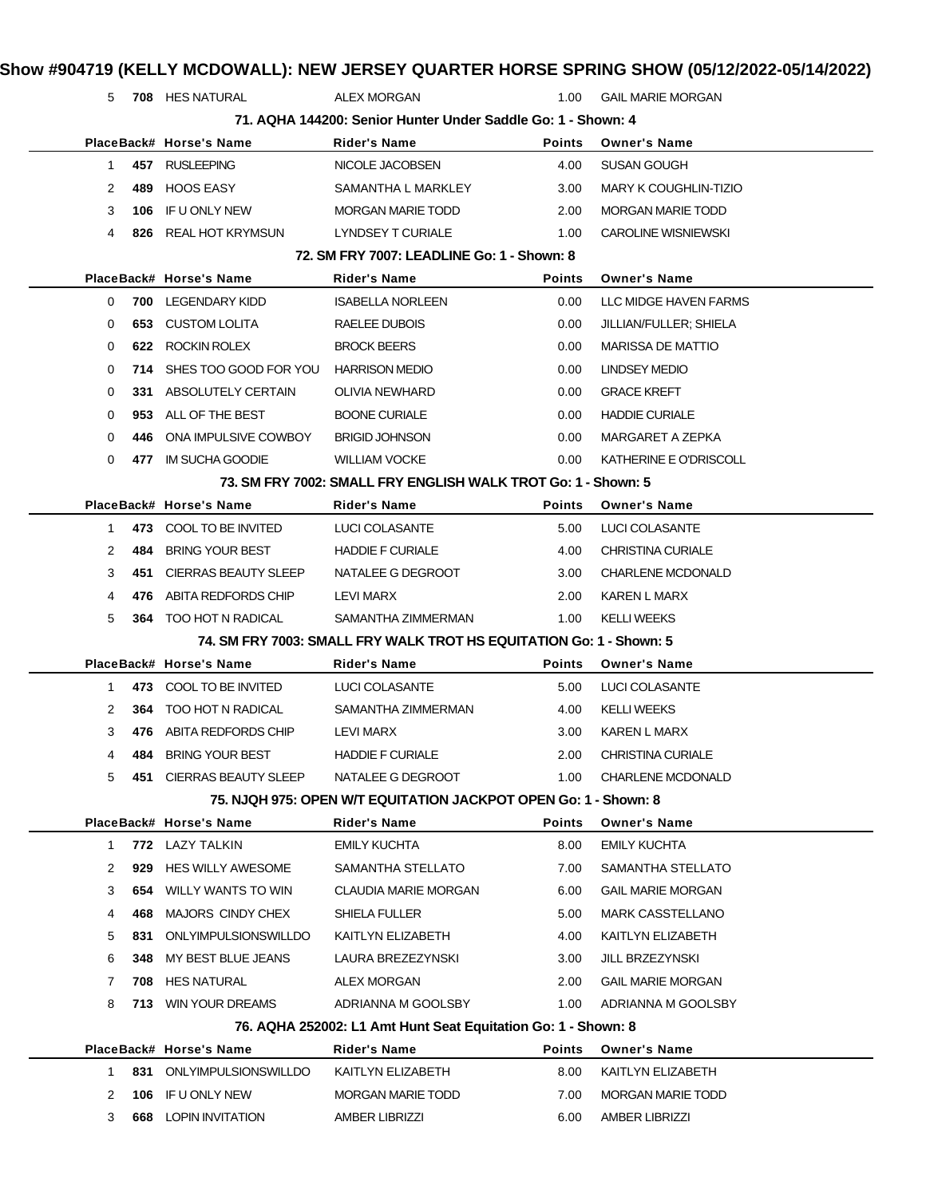| 5  |     | 708 HES NATURAL            | <b>ALEX MORGAN</b>                                                  | 1.00          | <b>GAIL MARIE MORGAN</b>     |
|----|-----|----------------------------|---------------------------------------------------------------------|---------------|------------------------------|
|    |     |                            | 71. AQHA 144200: Senior Hunter Under Saddle Go: 1 - Shown: 4        |               |                              |
|    |     | PlaceBack# Horse's Name    | <b>Rider's Name</b>                                                 | <b>Points</b> | <b>Owner's Name</b>          |
| 1. |     | 457 RUSLEEPING             | NICOLE JACOBSEN                                                     | 4.00          | SUSAN GOUGH                  |
| 2  | 489 | <b>HOOS EASY</b>           | SAMANTHA L MARKLEY                                                  | 3.00          | <b>MARY K COUGHLIN-TIZIO</b> |
| 3  | 106 | IF U ONLY NEW              | <b>MORGAN MARIE TODD</b>                                            | 2.00          | <b>MORGAN MARIE TODD</b>     |
| 4  |     | 826 REAL HOT KRYMSUN       | LYNDSEY T CURIALE                                                   | 1.00          | <b>CAROLINE WISNIEWSKI</b>   |
|    |     |                            | 72. SM FRY 7007: LEADLINE Go: 1 - Shown: 8                          |               |                              |
|    |     | PlaceBack# Horse's Name    | Rider's Name                                                        | Points        | <b>Owner's Name</b>          |
| 0  |     | 700 LEGENDARY KIDD         | <b>ISABELLA NORLEEN</b>                                             | 0.00          | LLC MIDGE HAVEN FARMS        |
| 0  | 653 | CUSTOM LOLITA              | RAELEE DUBOIS                                                       | 0.00          | JILLIAN/FULLER; SHIELA       |
| 0  |     | 622 ROCKIN ROLEX           | <b>BROCK BEERS</b>                                                  | 0.00          | <b>MARISSA DE MATTIO</b>     |
| 0  |     | 714 SHES TOO GOOD FOR YOU  | <b>HARRISON MEDIO</b>                                               | 0.00          | <b>LINDSEY MEDIO</b>         |
| 0  |     | 331 ABSOLUTELY CERTAIN     | OLIVIA NEWHARD                                                      | 0.00          | <b>GRACE KREFT</b>           |
| 0  | 953 | ALL OF THE BEST            | <b>BOONE CURIALE</b>                                                | 0.00          | <b>HADDIE CURIALE</b>        |
| 0  | 446 | ONA IMPULSIVE COWBOY       | <b>BRIGID JOHNSON</b>                                               | 0.00          | MARGARET A ZEPKA             |
| 0  |     | 477 IM SUCHA GOODIE        | <b>WILLIAM VOCKE</b>                                                | 0.00          | KATHERINE E O'DRISCOLL       |
|    |     |                            | 73. SM FRY 7002: SMALL FRY ENGLISH WALK TROT Go: 1 - Shown: 5       |               |                              |
|    |     | PlaceBack# Horse's Name    | Rider's Name                                                        | <b>Points</b> | <b>Owner's Name</b>          |
| 1  |     | 473 COOL TO BE INVITED     | LUCI COLASANTE                                                      | 5.00          | LUCI COLASANTE               |
| 2  | 484 | <b>BRING YOUR BEST</b>     | <b>HADDIE F CURIALE</b>                                             | 4.00          | <b>CHRISTINA CURIALE</b>     |
| 3  | 451 | CIERRAS BEAUTY SLEEP       | NATALEE G DEGROOT                                                   | 3.00          | <b>CHARLENE MCDONALD</b>     |
| 4  | 476 | ABITA REDFORDS CHIP        | LEVI MARX                                                           | 2.00          | KAREN L MARX                 |
| 5  |     | 364 TOO HOT N RADICAL      | SAMANTHA ZIMMERMAN                                                  | 1.00          | <b>KELLI WEEKS</b>           |
|    |     |                            | 74. SM FRY 7003: SMALL FRY WALK TROT HS EQUITATION Go: 1 - Shown: 5 |               |                              |
|    |     | PlaceBack# Horse's Name    | Rider's Name                                                        | Points        | <b>Owner's Name</b>          |
| 1  |     | 473 COOL TO BE INVITED     | LUCI COLASANTE                                                      | 5.00          | LUCI COLASANTE               |
| 2  |     | 364 TOO HOT N RADICAL      | SAMANTHA ZIMMERMAN                                                  | 4.00          | <b>KELLI WEEKS</b>           |
| 3  |     | 476 ABITA REDFORDS CHIP    | LEVI MARX                                                           | 3.00          | KAREN L MARX                 |
| 4  | 484 | <b>BRING YOUR BEST</b>     | <b>HADDIE F CURIALE</b>                                             | 2.00          | <b>CHRISTINA CURIALE</b>     |
| 5  |     | 451 CIERRAS BEAUTY SLEEP   | NATALEE G DEGROOT                                                   | 1.00          | <b>CHARLENE MCDONALD</b>     |
|    |     |                            | 75. NJQH 975: OPEN W/T EQUITATION JACKPOT OPEN Go: 1 - Shown: 8     |               |                              |
|    |     | PlaceBack# Horse's Name    | Rider's Name                                                        | Points        | <b>Owner's Name</b>          |
| 1  |     | 772 LAZY TALKIN            | EMILY KUCHTA                                                        | 8.00          | <b>EMILY KUCHTA</b>          |
| 2  | 929 | <b>HES WILLY AWESOME</b>   | SAMANTHA STELLATO                                                   | 7.00          | SAMANTHA STELLATO            |
| 3  | 654 | <b>WILLY WANTS TO WIN</b>  | <b>CLAUDIA MARIE MORGAN</b>                                         | 6.00          | <b>GAIL MARIE MORGAN</b>     |
| 4  | 468 | MAJORS CINDY CHEX          | SHIELA FULLER                                                       | 5.00          | <b>MARK CASSTELLANO</b>      |
| 5  | 831 | ONLYIMPULSIONSWILLDO       | KAITLYN ELIZABETH                                                   | 4.00          | KAITLYN ELIZABETH            |
| 6  | 348 | MY BEST BLUE JEANS         | LAURA BREZEZYNSKI                                                   | 3.00          | JILL BRZEZYNSKI              |
| 7  | 708 | HES NATURAL                | ALEX MORGAN                                                         | 2.00          | <b>GAIL MARIE MORGAN</b>     |
|    |     | <b>713 WIN YOUR DREAMS</b> | ADRIANNA M GOOLSBY                                                  | 1.00          | ADRIANNA M GOOLSBY           |
| 8  |     |                            | 76. AQHA 252002: L1 Amt Hunt Seat Equitation Go: 1 - Shown: 8       |               |                              |
|    |     |                            | Rider's Name                                                        | Points        | <b>Owner's Name</b>          |
|    |     | PlaceBack# Horse's Name    |                                                                     |               |                              |
| 1. |     | 831 ONLYIMPULSIONSWILLDO   | KAITLYN ELIZABETH                                                   | 8.00          | KAITLYN ELIZABETH            |
| 2  | 106 | IF U ONLY NEW              | <b>MORGAN MARIE TODD</b>                                            | 7.00          | <b>MORGAN MARIE TODD</b>     |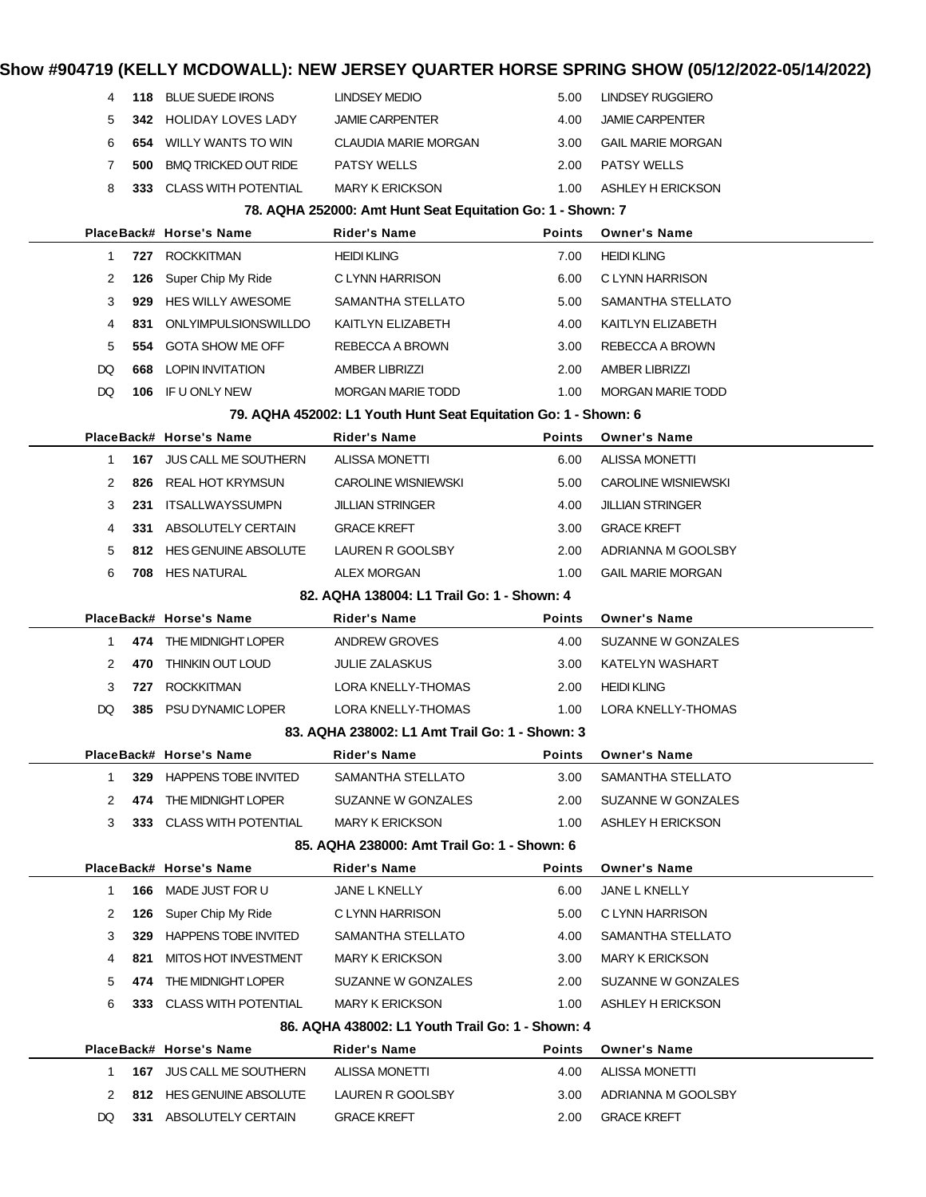| 4            | 118                                                        | <b>BLUE SUEDE IRONS</b>         | <b>LINDSEY MEDIO</b>                                            | 5.00          | LINDSEY RUGGIERO           |  |  |  |  |
|--------------|------------------------------------------------------------|---------------------------------|-----------------------------------------------------------------|---------------|----------------------------|--|--|--|--|
| 5            | 342.                                                       | <b>HOLIDAY LOVES LADY</b>       | <b>JAMIE CARPENTER</b>                                          | 4.00          | <b>JAMIE CARPENTER</b>     |  |  |  |  |
| 6            | 654                                                        | WILLY WANTS TO WIN              | CLAUDIA MARIE MORGAN                                            | 3.00          | <b>GAIL MARIE MORGAN</b>   |  |  |  |  |
| 7            | 500                                                        | <b>BMQ TRICKED OUT RIDE</b>     | <b>PATSY WELLS</b>                                              | 2.00          | <b>PATSY WELLS</b>         |  |  |  |  |
| 8            |                                                            | 333 CLASS WITH POTENTIAL        | <b>MARY K ERICKSON</b>                                          | 1.00          | ASHLEY H ERICKSON          |  |  |  |  |
|              | 78. AQHA 252000: Amt Hunt Seat Equitation Go: 1 - Shown: 7 |                                 |                                                                 |               |                            |  |  |  |  |
|              |                                                            | PlaceBack# Horse's Name         | <b>Rider's Name</b>                                             | <b>Points</b> | <b>Owner's Name</b>        |  |  |  |  |
| 1            | 727                                                        | <b>ROCKKITMAN</b>               | <b>HEIDI KLING</b>                                              | 7.00          | <b>HEIDI KLING</b>         |  |  |  |  |
| 2            | 126                                                        | Super Chip My Ride              | C LYNN HARRISON                                                 | 6.00          | C LYNN HARRISON            |  |  |  |  |
| 3            | 929                                                        | <b>HES WILLY AWESOME</b>        | SAMANTHA STELLATO                                               | 5.00          | SAMANTHA STELLATO          |  |  |  |  |
| 4            | 831                                                        | ONLYIMPULSIONSWILLDO            | KAITLYN ELIZABETH                                               | 4.00          | KAITLYN ELIZABETH          |  |  |  |  |
| 5            | 554                                                        | <b>GOTA SHOW ME OFF</b>         | REBECCA A BROWN                                                 | 3.00          | REBECCA A BROWN            |  |  |  |  |
| DQ           | 668                                                        | LOPIN INVITATION                | <b>AMBER LIBRIZZI</b>                                           | 2.00          | <b>AMBER LIBRIZZI</b>      |  |  |  |  |
| DQ           | 106                                                        | IF U ONLY NEW                   | <b>MORGAN MARIE TODD</b>                                        | 1.00          | <b>MORGAN MARIE TODD</b>   |  |  |  |  |
|              |                                                            |                                 | 79. AQHA 452002: L1 Youth Hunt Seat Equitation Go: 1 - Shown: 6 |               |                            |  |  |  |  |
|              |                                                            | PlaceBack# Horse's Name         | <b>Rider's Name</b>                                             | Points        | <b>Owner's Name</b>        |  |  |  |  |
| 1            | 167                                                        | <b>JUS CALL ME SOUTHERN</b>     | ALISSA MONETTI                                                  | 6.00          | <b>ALISSA MONETTI</b>      |  |  |  |  |
| 2            | 826                                                        | REAL HOT KRYMSUN                | <b>CAROLINE WISNIEWSKI</b>                                      | 5.00          | <b>CAROLINE WISNIEWSKI</b> |  |  |  |  |
| 3            | 231                                                        | ITSALLWAYSSUMPN                 | <b>JILLIAN STRINGER</b>                                         | 4.00          | <b>JILLIAN STRINGER</b>    |  |  |  |  |
| 4            | 331                                                        | ABSOLUTELY CERTAIN              | <b>GRACE KREFT</b>                                              | 3.00          | <b>GRACE KREFT</b>         |  |  |  |  |
| 5            | 812.                                                       | HES GENUINE ABSOLUTE            | LAUREN R GOOLSBY                                                | 2.00          | ADRIANNA M GOOLSBY         |  |  |  |  |
| 6            | 708                                                        | <b>HES NATURAL</b>              | <b>ALEX MORGAN</b>                                              | 1.00          | <b>GAIL MARIE MORGAN</b>   |  |  |  |  |
|              | 82. AQHA 138004: L1 Trail Go: 1 - Shown: 4                 |                                 |                                                                 |               |                            |  |  |  |  |
|              |                                                            | PlaceBack# Horse's Name         | Rider's Name                                                    | Points        | <b>Owner's Name</b>        |  |  |  |  |
| 1            | 474                                                        | THE MIDNIGHT LOPER              | ANDREW GROVES                                                   | 4.00          | SUZANNE W GONZALES         |  |  |  |  |
| 2            | 470                                                        | <b>THINKIN OUT LOUD</b>         | <b>JULIE ZALASKUS</b>                                           | 3.00          | <b>KATELYN WASHART</b>     |  |  |  |  |
| 3            | 727                                                        | <b>ROCKKITMAN</b>               | LORA KNELLY-THOMAS                                              | 2.00          | <b>HEIDI KLING</b>         |  |  |  |  |
| DQ           | 385                                                        | PSU DYNAMIC LOPER               | LORA KNELLY-THOMAS                                              | 1.00          | LORA KNELLY-THOMAS         |  |  |  |  |
|              |                                                            |                                 | 83. AQHA 238002: L1 Amt Trail Go: 1 - Shown: 3                  |               |                            |  |  |  |  |
|              |                                                            | PlaceBack# Horse's Name         | Rider's Name                                                    | Points        | <b>Owner's Name</b>        |  |  |  |  |
| 1            | 329                                                        | HAPPENS TOBE INVITED            | SAMANTHA STELLATO                                               | 3.00          | SAMANTHA STELLATO          |  |  |  |  |
| 2            | 474                                                        | THE MIDNIGHT LOPER              | SUZANNE W GONZALES                                              | 2.00          | SUZANNE W GONZALES         |  |  |  |  |
| 3            |                                                            | 333 CLASS WITH POTENTIAL        | <b>MARY K ERICKSON</b>                                          | 1.00          | ASHLEY H ERICKSON          |  |  |  |  |
|              | 85. AQHA 238000: Amt Trail Go: 1 - Shown: 6                |                                 |                                                                 |               |                            |  |  |  |  |
|              |                                                            | PlaceBack# Horse's Name         | Rider's Name                                                    | <b>Points</b> | <b>Owner's Name</b>        |  |  |  |  |
| $\mathbf{1}$ |                                                            | 166 MADE JUST FOR U             | JANE L KNELLY                                                   | 6.00          | JANE L KNELLY              |  |  |  |  |
| 2            | 126                                                        | Super Chip My Ride              | C LYNN HARRISON                                                 | 5.00          | C LYNN HARRISON            |  |  |  |  |
| 3            | 329                                                        | <b>HAPPENS TOBE INVITED</b>     | SAMANTHA STELLATO                                               | 4.00          | SAMANTHA STELLATO          |  |  |  |  |
| 4            | 821                                                        | MITOS HOT INVESTMENT            | <b>MARY K ERICKSON</b>                                          | 3.00          | <b>MARY K ERICKSON</b>     |  |  |  |  |
| 5            | 474                                                        | THE MIDNIGHT LOPER              | SUZANNE W GONZALES                                              | 2.00          | SUZANNE W GONZALES         |  |  |  |  |
| 6            |                                                            | 333 CLASS WITH POTENTIAL        | <b>MARY K ERICKSON</b>                                          | 1.00          | ASHLEY H ERICKSON          |  |  |  |  |
|              |                                                            |                                 | 86. AQHA 438002: L1 Youth Trail Go: 1 - Shown: 4                |               |                            |  |  |  |  |
|              |                                                            | PlaceBack# Horse's Name         | Rider's Name                                                    | <b>Points</b> | <b>Owner's Name</b>        |  |  |  |  |
| 1            |                                                            | <b>167 JUS CALL ME SOUTHERN</b> | <b>ALISSA MONETTI</b>                                           | 4.00          | <b>ALISSA MONETTI</b>      |  |  |  |  |
| 2            |                                                            | 812 HES GENUINE ABSOLUTE        | LAUREN R GOOLSBY                                                | 3.00          | ADRIANNA M GOOLSBY         |  |  |  |  |
| DQ           |                                                            | 331 ABSOLUTELY CERTAIN          | <b>GRACE KREFT</b>                                              | 2.00          | <b>GRACE KREFT</b>         |  |  |  |  |
|              |                                                            |                                 |                                                                 |               |                            |  |  |  |  |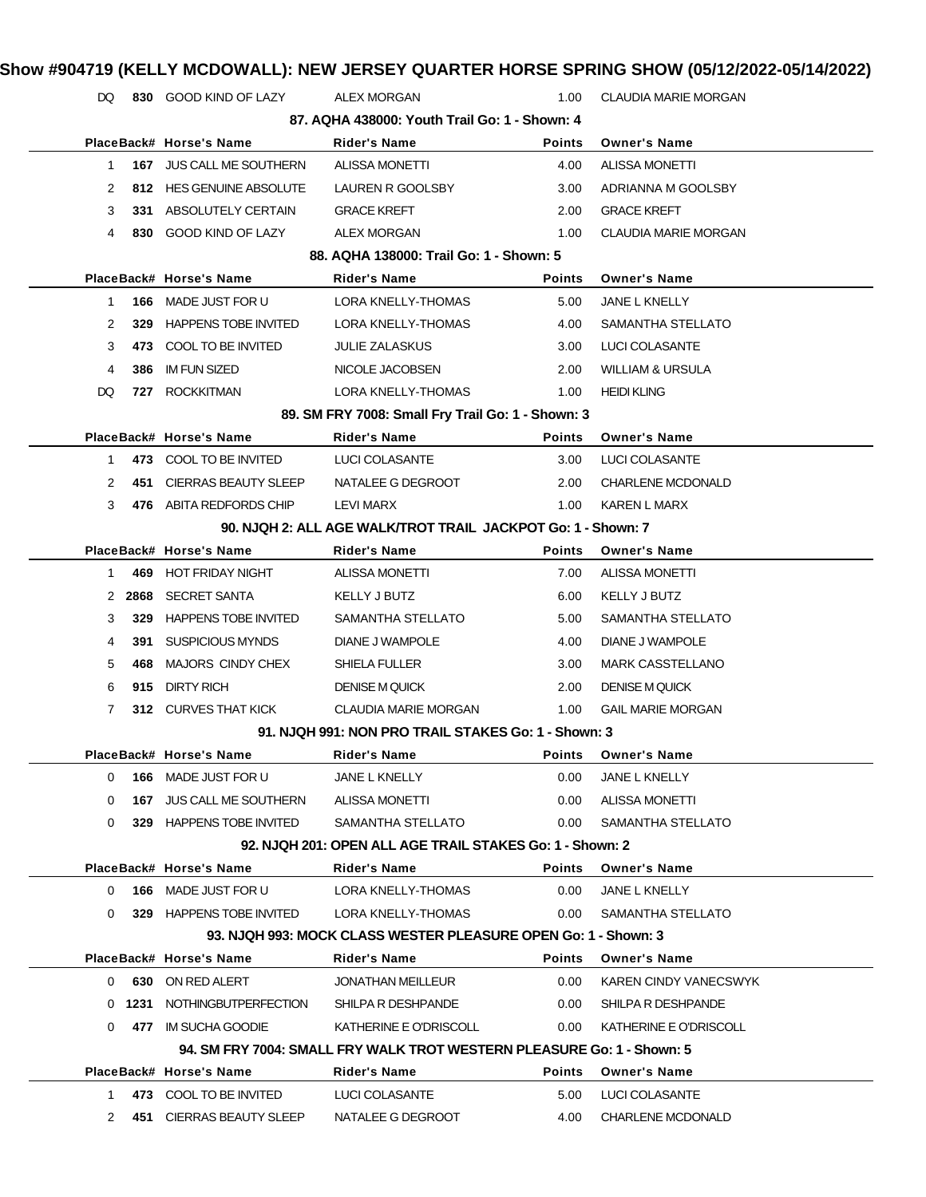| DQ.      |           | 830 GOOD KIND OF LAZY           | <b>ALEX MORGAN</b>                                                     | 1.00          | <b>CLAUDIA MARIE MORGAN</b> |
|----------|-----------|---------------------------------|------------------------------------------------------------------------|---------------|-----------------------------|
|          |           |                                 | 87. AQHA 438000: Youth Trail Go: 1 - Shown: 4                          |               |                             |
|          |           | PlaceBack# Horse's Name         | Rider's Name                                                           | <b>Points</b> | <b>Owner's Name</b>         |
| 1        |           | 167 JUS CALL ME SOUTHERN        | <b>ALISSA MONETTI</b>                                                  | 4.00          | <b>ALISSA MONETTI</b>       |
| 2        |           | 812 HES GENUINE ABSOLUTE        | LAUREN R GOOLSBY                                                       | 3.00          | ADRIANNA M GOOLSBY          |
| 3        |           | 331 ABSOLUTELY CERTAIN          | <b>GRACE KREFT</b>                                                     | 2.00          | <b>GRACE KREFT</b>          |
| 4        |           | 830 GOOD KIND OF LAZY           | <b>ALEX MORGAN</b>                                                     | 1.00          | <b>CLAUDIA MARIE MORGAN</b> |
|          |           |                                 | 88. AQHA 138000: Trail Go: 1 - Shown: 5                                |               |                             |
|          |           | PlaceBack# Horse's Name         | <b>Rider's Name</b>                                                    | <b>Points</b> | <b>Owner's Name</b>         |
| 1        | 166       | MADE JUST FOR U                 | LORA KNELLY-THOMAS                                                     | 5.00          | JANE L KNELLY               |
| 2        | 329       | <b>HAPPENS TOBE INVITED</b>     | LORA KNELLY-THOMAS                                                     | 4.00          | SAMANTHA STELLATO           |
| 3        | 473       | COOL TO BE INVITED              | <b>JULIE ZALASKUS</b>                                                  | 3.00          | LUCI COLASANTE              |
| 4        | 386       | <b>IM FUN SIZED</b>             | NICOLE JACOBSEN                                                        | 2.00          | <b>WILLIAM &amp; URSULA</b> |
| DQ       |           | 727 ROCKKITMAN                  | LORA KNELLY-THOMAS                                                     | 1.00          | <b>HEIDI KLING</b>          |
|          |           |                                 | 89. SM FRY 7008: Small Fry Trail Go: 1 - Shown: 3                      |               |                             |
|          |           | PlaceBack# Horse's Name         | Rider's Name                                                           | <b>Points</b> | <b>Owner's Name</b>         |
| 1        |           | 473 COOL TO BE INVITED          | LUCI COLASANTE                                                         | 3.00          | LUCI COLASANTE              |
| 2        | 451       | <b>CIERRAS BEAUTY SLEEP</b>     | NATALEE G DEGROOT                                                      | 2.00          | <b>CHARLENE MCDONALD</b>    |
| 3        |           | 476 ABITA REDFORDS CHIP         | LEVI MARX                                                              | 1.00          | KAREN L MARX                |
|          |           |                                 | 90. NJQH 2: ALL AGE WALK/TROT TRAIL JACKPOT Go: 1 - Shown: 7           |               |                             |
|          |           | PlaceBack# Horse's Name         | <b>Rider's Name</b>                                                    | <b>Points</b> | <b>Owner's Name</b>         |
| 1.       | 469       | HOT FRIDAY NIGHT                | <b>ALISSA MONETTI</b>                                                  | 7.00          | <b>ALISSA MONETTI</b>       |
|          | 2 2868    | <b>SECRET SANTA</b>             | KELLY J BUTZ                                                           | 6.00          | KELLY J BUTZ                |
| 3        | 329       | <b>HAPPENS TOBE INVITED</b>     | SAMANTHA STELLATO                                                      | 5.00          | SAMANTHA STELLATO           |
| 4        | 391       | <b>SUSPICIOUS MYNDS</b>         | DIANE J WAMPOLE                                                        | 4.00          | DIANE J WAMPOLE             |
| 5        | 468       | MAJORS CINDY CHEX               | SHIELA FULLER                                                          | 3.00          | <b>MARK CASSTELLANO</b>     |
| 6        | 915       | <b>DIRTY RICH</b>               | <b>DENISE M QUICK</b>                                                  | 2.00          | <b>DENISE M QUICK</b>       |
| 7        |           | 312 CURVES THAT KICK            | <b>CLAUDIA MARIE MORGAN</b>                                            | 1.00          | <b>GAIL MARIE MORGAN</b>    |
|          |           |                                 | 91. NJQH 991: NON PRO TRAIL STAKES Go: 1 - Shown: 3                    |               |                             |
|          |           | PlaceBack# Horse's Name         | <b>Rider's Name</b>                                                    | <b>Points</b> | <b>Owner's Name</b>         |
| 0        |           | 166 MADE JUST FOR U             | JANE L KNELLY                                                          | 0.00          | JANE L KNELLY               |
| 0        |           | <b>167 JUS CALL ME SOUTHERN</b> | <b>ALISSA MONETTI</b>                                                  | 0.00          | <b>ALISSA MONETTI</b>       |
| 0        |           | 329 HAPPENS TOBE INVITED        | SAMANTHA STELLATO                                                      | 0.00          | SAMANTHA STELLATO           |
|          |           |                                 | 92. NJQH 201: OPEN ALL AGE TRAIL STAKES Go: 1 - Shown: 2               |               |                             |
|          |           | PlaceBack# Horse's Name         | Rider's Name                                                           | <b>Points</b> | <b>Owner's Name</b>         |
| 0        |           | <b>166 MADE JUST FOR U</b>      | LORA KNELLY-THOMAS                                                     | 0.00          | JANE L KNELLY               |
| 0        |           | 329 HAPPENS TOBE INVITED        | LORA KNELLY-THOMAS                                                     | 0.00          | SAMANTHA STELLATO           |
|          |           |                                 | 93. NJQH 993: MOCK CLASS WESTER PLEASURE OPEN Go: 1 - Shown: 3         |               |                             |
|          |           | PlaceBack# Horse's Name         | Rider's Name                                                           | <b>Points</b> | <b>Owner's Name</b>         |
|          |           | 0 630 ON RED ALERT              | <b>JONATHAN MEILLEUR</b>                                               | 0.00          | KAREN CINDY VANECSWYK       |
|          |           | 0 1231 NOTHINGBUTPERFECTION     | SHILPA R DESHPANDE                                                     | 0.00          | SHILPA R DESHPANDE          |
| $\Omega$ |           | 477 IM SUCHA GOODIE             | KATHERINE E O'DRISCOLL                                                 | 0.00          | KATHERINE E O'DRISCOLL      |
|          |           |                                 | 94. SM FRY 7004: SMALL FRY WALK TROT WESTERN PLEASURE Go: 1 - Shown: 5 |               |                             |
|          |           | PlaceBack# Horse's Name         | Rider's Name                                                           | <b>Points</b> | <b>Owner's Name</b>         |
|          | $1 \quad$ | 473 COOL TO BE INVITED          | LUCI COLASANTE                                                         | 5.00          | LUCI COLASANTE              |
| 2        |           | 451 CIERRAS BEAUTY SLEEP        | NATALEE G DEGROOT                                                      | 4.00          | <b>CHARLENE MCDONALD</b>    |
|          |           |                                 |                                                                        |               |                             |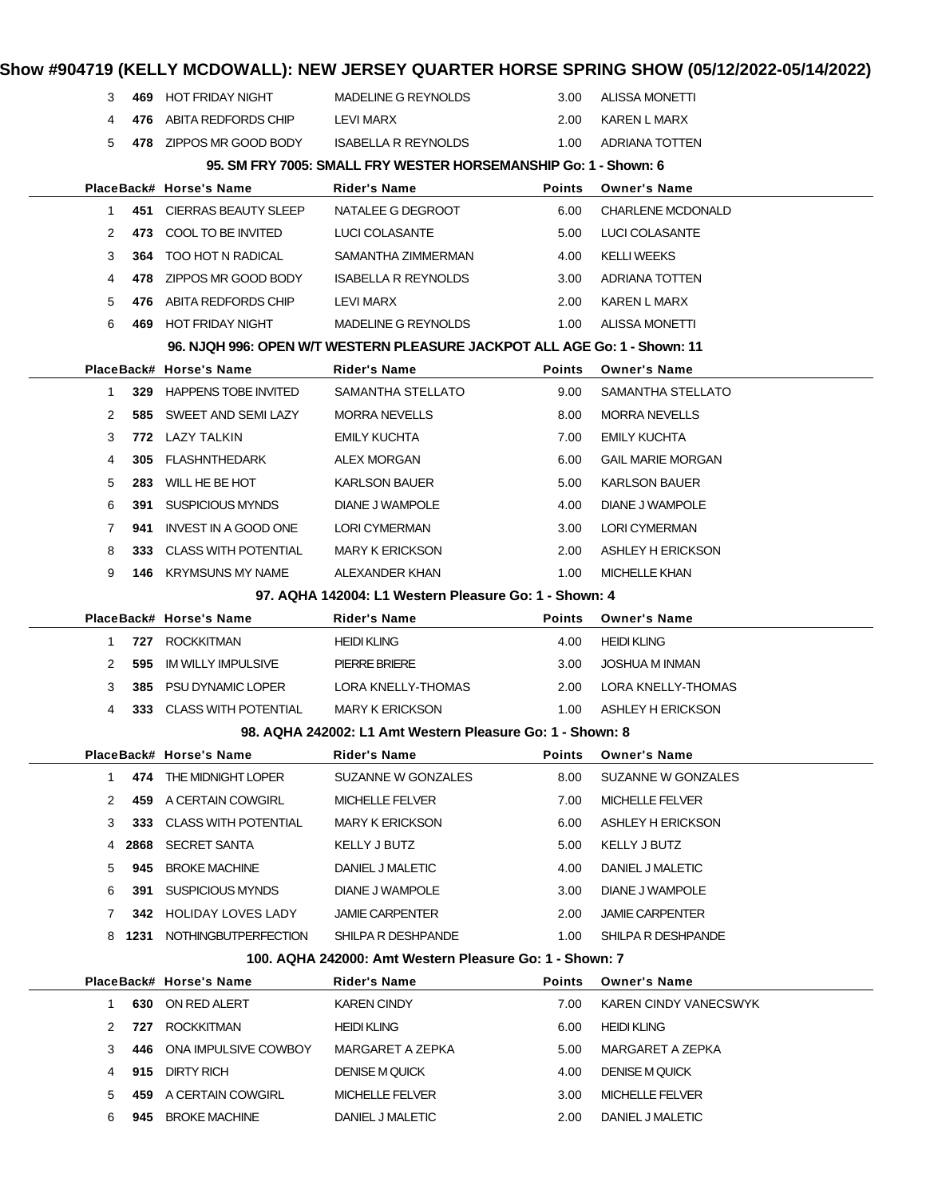|              |      |                                        |                                                                           |               | Show #904719 (KELLY MCDOWALL): NEW JERSEY QUARTER HORSE SPRING SHOW (05/12/2022-05/14/2022) |
|--------------|------|----------------------------------------|---------------------------------------------------------------------------|---------------|---------------------------------------------------------------------------------------------|
| 3            | 469  | <b>HOT FRIDAY NIGHT</b>                | MADELINE G REYNOLDS                                                       | 3.00          | <b>ALISSA MONETTI</b>                                                                       |
| 4            | 476  | ABITA REDFORDS CHIP                    | LEVI MARX                                                                 | 2.00          | <b>KAREN L MARX</b>                                                                         |
| 5            |      | 478 ZIPPOS MR GOOD BODY                | <b>ISABELLA R REYNOLDS</b>                                                | 1.00          | ADRIANA TOTTEN                                                                              |
|              |      |                                        | 95. SM FRY 7005: SMALL FRY WESTER HORSEMANSHIP Go: 1 - Shown: 6           |               |                                                                                             |
|              |      | PlaceBack# Horse's Name                | <b>Rider's Name</b>                                                       | Points        | <b>Owner's Name</b>                                                                         |
| 1            | 451  | CIERRAS BEAUTY SLEEP                   | NATALEE G DEGROOT                                                         | 6.00          | <b>CHARLENE MCDONALD</b>                                                                    |
| 2            | 473  | COOL TO BE INVITED                     | LUCI COLASANTE                                                            | 5.00          | LUCI COLASANTE                                                                              |
| 3            | 364  | TOO HOT N RADICAL                      | SAMANTHA ZIMMERMAN                                                        | 4.00          | <b>KELLI WEEKS</b>                                                                          |
| 4            | 478  | ZIPPOS MR GOOD BODY                    | <b>ISABELLA R REYNOLDS</b>                                                | 3.00          | ADRIANA TOTTEN                                                                              |
| 5            | 476  | ABITA REDFORDS CHIP                    | LEVI MARX                                                                 | 2.00          | <b>KAREN L MARX</b>                                                                         |
| 6            | 469  | <b>HOT FRIDAY NIGHT</b>                | MADELINE G REYNOLDS                                                       | 1.00          | <b>ALISSA MONETTI</b>                                                                       |
|              |      |                                        | 96. NJQH 996: OPEN W/T WESTERN PLEASURE JACKPOT ALL AGE Go: 1 - Shown: 11 |               |                                                                                             |
|              |      | PlaceBack# Horse's Name                | Rider's Name                                                              | Points        | <b>Owner's Name</b>                                                                         |
| 1            | 329  | <b>HAPPENS TOBE INVITED</b>            | SAMANTHA STELLATO                                                         | 9.00          | SAMANTHA STELLATO                                                                           |
| 2            | 585  | SWEET AND SEMI LAZY                    | <b>MORRA NEVELLS</b>                                                      | 8.00          | <b>MORRA NEVELLS</b>                                                                        |
| 3            | 772  | LAZY TALKIN                            | <b>EMILY KUCHTA</b>                                                       | 7.00          | EMILY KUCHTA                                                                                |
| 4            | 305  | FLASHNTHEDARK                          | <b>ALEX MORGAN</b>                                                        | 6.00          | <b>GAIL MARIE MORGAN</b>                                                                    |
| 5            | 283  | WILL HE BE HOT                         | <b>KARLSON BAUER</b>                                                      | 5.00          | <b>KARLSON BAUER</b>                                                                        |
| 6            | 391  | SUSPICIOUS MYNDS                       | DIANE J WAMPOLE                                                           | 4.00          | DIANE J WAMPOLE                                                                             |
| 7            | 941  | INVEST IN A GOOD ONE                   | LORI CYMERMAN                                                             | 3.00          | <b>LORI CYMERMAN</b>                                                                        |
| 8            | 333  | <b>CLASS WITH POTENTIAL</b>            | <b>MARY K ERICKSON</b>                                                    | 2.00          | ASHLEY H ERICKSON                                                                           |
| 9            | 146  | KRYMSUNS MY NAME                       | ALEXANDER KHAN                                                            | 1.00          | <b>MICHELLE KHAN</b>                                                                        |
|              |      |                                        | 97. AQHA 142004: L1 Western Pleasure Go: 1 - Shown: 4                     |               |                                                                                             |
|              |      |                                        |                                                                           |               |                                                                                             |
|              |      | PlaceBack# Horse's Name                | Rider's Name                                                              | Points        | <b>Owner's Name</b>                                                                         |
| 1            |      | 727 ROCKKITMAN                         | <b>HEIDI KLING</b>                                                        | 4.00          | <b>HEIDI KLING</b>                                                                          |
| 2            | 595  | IM WILLY IMPULSIVE                     | PIERRE BRIERE                                                             | 3.00          | <b>JOSHUA M INMAN</b>                                                                       |
| 3            | 385  | <b>PSU DYNAMIC LOPER</b>               | LORA KNELLY-THOMAS                                                        | 2.00          | LORA KNELLY-THOMAS                                                                          |
| 4            |      | 333 CLASS WITH POTENTIAL               | <b>MARY K ERICKSON</b>                                                    | 1.00          | ASHLEY H ERICKSON                                                                           |
|              |      |                                        | 98. AQHA 242002: L1 Amt Western Pleasure Go: 1 - Shown: 8                 |               |                                                                                             |
|              |      | PlaceBack# Horse's Name                | Rider's Name                                                              | <b>Points</b> | <b>Owner's Name</b>                                                                         |
| $\mathbf{1}$ |      | 474 THE MIDNIGHT LOPER                 | SUZANNE W GONZALES                                                        | 8.00          | SUZANNE W GONZALES                                                                          |
| 2            | 459  | A CERTAIN COWGIRL                      | <b>MICHELLE FELVER</b>                                                    | 7.00          | <b>MICHELLE FELVER</b>                                                                      |
| 3            | 333  | <b>CLASS WITH POTENTIAL</b>            | <b>MARY K ERICKSON</b>                                                    | 6.00          | ASHLEY H ERICKSON                                                                           |
| 4            | 2868 | <b>SECRET SANTA</b>                    | KELLY J BUTZ                                                              | 5.00          | KELLY J BUTZ                                                                                |
| 5            | 945  | <b>BROKE MACHINE</b>                   | DANIEL J MALETIC                                                          | 4.00          | DANIEL J MALETIC                                                                            |
| 6            | 391  | SUSPICIOUS MYNDS                       | <b>DIANE J WAMPOLE</b>                                                    | 3.00          | DIANE J WAMPOLE                                                                             |
| 7            | 342  | HOLIDAY LOVES LADY                     | <b>JAMIE CARPENTER</b>                                                    | 2.00          | <b>JAMIE CARPENTER</b>                                                                      |
|              |      | 8 1231 NOTHINGBUTPERFECTION            | SHILPA R DESHPANDE                                                        | 1.00          | SHILPA R DESHPANDE                                                                          |
|              |      |                                        | 100. AQHA 242000: Amt Western Pleasure Go: 1 - Shown: 7                   |               |                                                                                             |
|              |      | PlaceBack# Horse's Name                | Rider's Name                                                              | Points        | <b>Owner's Name</b>                                                                         |
| 1.           |      | 630 ON RED ALERT                       | <b>KAREN CINDY</b>                                                        | 7.00          | KAREN CINDY VANECSWYK                                                                       |
| 2            | 727  | <b>ROCKKITMAN</b>                      | <b>HEIDI KLING</b>                                                        | 6.00          | <b>HEIDI KLING</b>                                                                          |
| 3            | 446  | ONA IMPULSIVE COWBOY                   | MARGARET A ZEPKA                                                          | 5.00          | MARGARET A ZEPKA                                                                            |
| 4            | 915  | DIRTY RICH                             | <b>DENISE M QUICK</b>                                                     | 4.00          | <b>DENISE M QUICK</b>                                                                       |
| 5<br>6       | 459  | A CERTAIN COWGIRL<br>945 BROKE MACHINE | <b>MICHELLE FELVER</b><br>DANIEL J MALETIC                                | 3.00<br>2.00  | <b>MICHELLE FELVER</b><br>DANIEL J MALETIC                                                  |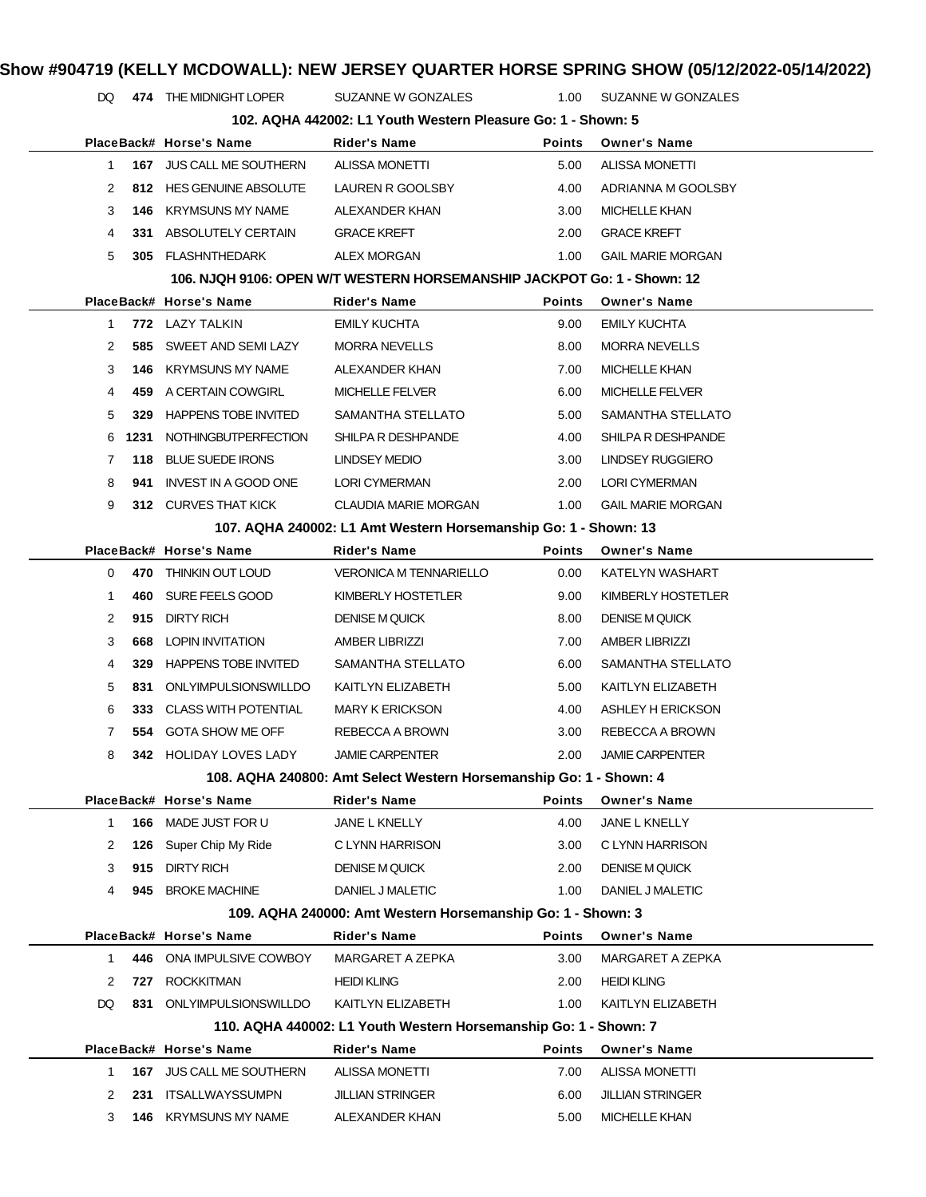DQ 474 THE MIDNIGHT LOPER SUZANNE W GONZALES 1.00 SUZANNE W GONZALES

|              | 102. AQHA 442002: L1 Youth Western Pleasure Go: 1 - Shown: 5 |                               |                                                                         |               |                          |  |  |
|--------------|--------------------------------------------------------------|-------------------------------|-------------------------------------------------------------------------|---------------|--------------------------|--|--|
|              |                                                              | PlaceBack# Horse's Name       | Rider's Name                                                            | Points        | <b>Owner's Name</b>      |  |  |
| 1            |                                                              | 167 JUS CALL ME SOUTHERN      | <b>ALISSA MONETTI</b>                                                   | 5.00          | <b>ALISSA MONETTI</b>    |  |  |
| 2            |                                                              | 812 HES GENUINE ABSOLUTE      | LAUREN R GOOLSBY                                                        | 4.00          | ADRIANNA M GOOLSBY       |  |  |
| 3            | 146                                                          | KRYMSUNS MY NAME              | ALEXANDER KHAN                                                          | 3.00          | <b>MICHELLE KHAN</b>     |  |  |
| 4            | 331                                                          | ABSOLUTELY CERTAIN            | <b>GRACE KREFT</b>                                                      | 2.00          | <b>GRACE KREFT</b>       |  |  |
| 5            |                                                              | 305 FLASHNTHEDARK             | ALEX MORGAN                                                             | 1.00          | <b>GAIL MARIE MORGAN</b> |  |  |
|              |                                                              |                               | 106. NJQH 9106: OPEN W/T WESTERN HORSEMANSHIP JACKPOT Go: 1 - Shown: 12 |               |                          |  |  |
|              |                                                              | PlaceBack# Horse's Name       | <b>Rider's Name</b>                                                     | <b>Points</b> | <b>Owner's Name</b>      |  |  |
| $\mathbf{1}$ |                                                              | 772 LAZY TALKIN               | <b>EMILY KUCHTA</b>                                                     | 9.00          | <b>EMILY KUCHTA</b>      |  |  |
| 2            |                                                              | 585 SWEET AND SEMI LAZY       | <b>MORRA NEVELLS</b>                                                    | 8.00          | <b>MORRA NEVELLS</b>     |  |  |
| 3            | 146                                                          | KRYMSUNS MY NAME              | ALEXANDER KHAN                                                          | 7.00          | <b>MICHELLE KHAN</b>     |  |  |
| 4            | 459                                                          | A CERTAIN COWGIRL             | <b>MICHELLE FELVER</b>                                                  | 6.00          | <b>MICHELLE FELVER</b>   |  |  |
| 5            | 329                                                          | <b>HAPPENS TOBE INVITED</b>   | SAMANTHA STELLATO                                                       | 5.00          | SAMANTHA STELLATO        |  |  |
| 6            | 1231                                                         | <b>NOTHINGBUTPERFECTION</b>   | SHILPA R DESHPANDE                                                      | 4.00          | SHILPA R DESHPANDE       |  |  |
| 7            |                                                              | 118 BLUE SUEDE IRONS          | LINDSEY MEDIO                                                           | 3.00          | <b>LINDSEY RUGGIERO</b>  |  |  |
| 8            | 941                                                          | INVEST IN A GOOD ONE          | <b>LORI CYMERMAN</b>                                                    | 2.00          | <b>LORI CYMERMAN</b>     |  |  |
| 9            |                                                              | 312 CURVES THAT KICK          | CLAUDIA MARIE MORGAN                                                    | 1.00          | <b>GAIL MARIE MORGAN</b> |  |  |
|              |                                                              |                               | 107. AQHA 240002: L1 Amt Western Horsemanship Go: 1 - Shown: 13         |               |                          |  |  |
|              |                                                              | PlaceBack# Horse's Name       | <b>Rider's Name</b>                                                     | <b>Points</b> | <b>Owner's Name</b>      |  |  |
| 0            |                                                              | 470 THINKIN OUT LOUD          | <b>VERONICA M TENNARIELLO</b>                                           | 0.00          | KATELYN WASHART          |  |  |
| -1           | 460                                                          | SURE FEELS GOOD               | KIMBERLY HOSTETLER                                                      | 9.00          | KIMBERLY HOSTETLER       |  |  |
| 2            | 915                                                          | <b>DIRTY RICH</b>             | <b>DENISE M QUICK</b>                                                   | 8.00          | <b>DENISE M QUICK</b>    |  |  |
| 3            | 668                                                          | <b>LOPIN INVITATION</b>       | <b>AMBER LIBRIZZI</b>                                                   | 7.00          | <b>AMBER LIBRIZZI</b>    |  |  |
| 4            |                                                              | 329 HAPPENS TOBE INVITED      | SAMANTHA STELLATO                                                       | 6.00          | SAMANTHA STELLATO        |  |  |
| 5            | 831                                                          | ONLYIMPULSIONSWILLDO          | KAITLYN ELIZABETH                                                       | 5.00          | KAITLYN ELIZABETH        |  |  |
| 6            | 333                                                          | <b>CLASS WITH POTENTIAL</b>   | <b>MARY K ERICKSON</b>                                                  | 4.00          | <b>ASHLEY H ERICKSON</b> |  |  |
| 7            |                                                              | 554 GOTA SHOW ME OFF          | REBECCA A BROWN                                                         | 3.00          | REBECCA A BROWN          |  |  |
| 8            |                                                              | <b>342 HOLIDAY LOVES LADY</b> | <b>JAMIE CARPENTER</b>                                                  | 2.00          | <b>JAMIE CARPENTER</b>   |  |  |
|              |                                                              |                               | 108. AQHA 240800: Amt Select Western Horsemanship Go: 1 - Shown: 4      |               |                          |  |  |
|              |                                                              | PlaceBack# Horse's Name       | Rider's Name                                                            | <b>Points</b> | <b>Owner's Name</b>      |  |  |
| $\mathbf 1$  | 166                                                          | MADE JUST FOR U               | JANE L KNELLY                                                           | 4.00          | JANE L KNELLY            |  |  |
| 2            | 126                                                          | Super Chip My Ride            | C LYNN HARRISON                                                         | 3.00          | C LYNN HARRISON          |  |  |
| 3            | 915                                                          | <b>DIRTY RICH</b>             | <b>DENISE M QUICK</b>                                                   | 2.00          | <b>DENISE M QUICK</b>    |  |  |
| 4            | 945                                                          | <b>BROKE MACHINE</b>          | DANIEL J MALETIC                                                        | 1.00          | DANIEL J MALETIC         |  |  |
|              |                                                              |                               | 109. AQHA 240000: Amt Western Horsemanship Go: 1 - Shown: 3             |               |                          |  |  |
|              |                                                              | PlaceBack# Horse's Name       | Rider's Name                                                            | Points        | <b>Owner's Name</b>      |  |  |
| $\mathbf 1$  | 446                                                          | ONA IMPULSIVE COWBOY          | MARGARET A ZEPKA                                                        | 3.00          | MARGARET A ZEPKA         |  |  |
| 2            | 727                                                          | <b>ROCKKITMAN</b>             | <b>HEIDI KLING</b>                                                      | 2.00          | <b>HEIDI KLING</b>       |  |  |
| DQ           | 831                                                          | ONLYIMPULSIONSWILLDO          | KAITLYN ELIZABETH                                                       | 1.00          | KAITLYN ELIZABETH        |  |  |
|              |                                                              |                               | 110. AQHA 440002: L1 Youth Western Horsemanship Go: 1 - Shown: 7        |               |                          |  |  |
|              |                                                              | PlaceBack# Horse's Name       | <b>Rider's Name</b>                                                     | Points        | <b>Owner's Name</b>      |  |  |
| 1            |                                                              | 167 JUS CALL ME SOUTHERN      | <b>ALISSA MONETTI</b>                                                   | 7.00          | <b>ALISSA MONETTI</b>    |  |  |
| 2            | 231                                                          | <b>ITSALLWAYSSUMPN</b>        | <b>JILLIAN STRINGER</b>                                                 | 6.00          | <b>JILLIAN STRINGER</b>  |  |  |
| 3            | 146                                                          | <b>KRYMSUNS MY NAME</b>       | ALEXANDER KHAN                                                          | 5.00          | <b>MICHELLE KHAN</b>     |  |  |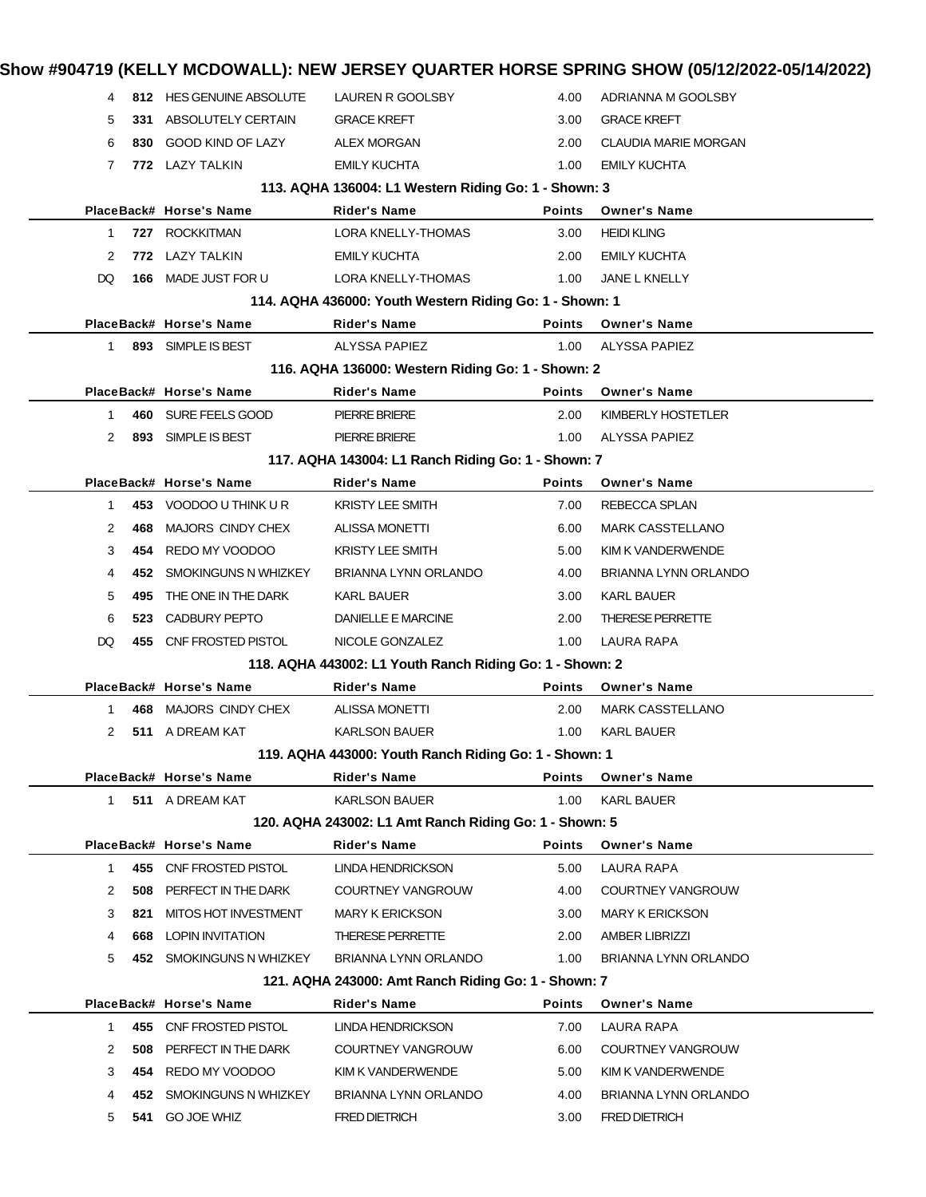|                                                        | 4            |      | 812 HES GENUINE ABSOLUTE | LAUREN R GOOLSBY                                         | 4.00          | ADRIANNA M GOOLSBY          |  |
|--------------------------------------------------------|--------------|------|--------------------------|----------------------------------------------------------|---------------|-----------------------------|--|
|                                                        | 5            | 331  | ABSOLUTELY CERTAIN       | <b>GRACE KREFT</b>                                       | 3.00          | <b>GRACE KREFT</b>          |  |
|                                                        | 6            | 830  | <b>GOOD KIND OF LAZY</b> | <b>ALEX MORGAN</b>                                       | 2.00          | <b>CLAUDIA MARIE MORGAN</b> |  |
|                                                        | 7            |      | 772 LAZY TALKIN          | <b>EMILY KUCHTA</b>                                      | 1.00          | <b>EMILY KUCHTA</b>         |  |
|                                                        |              |      |                          | 113. AQHA 136004: L1 Western Riding Go: 1 - Shown: 3     |               |                             |  |
|                                                        |              |      | PlaceBack# Horse's Name  | <b>Rider's Name</b>                                      | <b>Points</b> | <b>Owner's Name</b>         |  |
|                                                        | 1            |      | 727 ROCKKITMAN           | LORA KNELLY-THOMAS                                       | 3.00          | <b>HEIDI KLING</b>          |  |
|                                                        | 2            |      | 772 LAZY TALKIN          | <b>EMILY KUCHTA</b>                                      | 2.00          | <b>EMILY KUCHTA</b>         |  |
|                                                        | DQ           |      | 166 MADE JUST FOR U      | LORA KNELLY-THOMAS                                       | 1.00          | JANE L KNELLY               |  |
|                                                        |              |      |                          | 114. AQHA 436000: Youth Western Riding Go: 1 - Shown: 1  |               |                             |  |
|                                                        |              |      | PlaceBack# Horse's Name  | <b>Rider's Name</b>                                      | <b>Points</b> | <b>Owner's Name</b>         |  |
|                                                        | 1            |      | 893 SIMPLE IS BEST       | ALYSSA PAPIEZ                                            | 1.00          | <b>ALYSSA PAPIEZ</b>        |  |
|                                                        |              |      |                          | 116. AQHA 136000: Western Riding Go: 1 - Shown: 2        |               |                             |  |
|                                                        |              |      | PlaceBack# Horse's Name  | <b>Rider's Name</b>                                      | <b>Points</b> | <b>Owner's Name</b>         |  |
|                                                        | 1            |      | 460 SURE FEELS GOOD      | <b>PIERRE BRIERE</b>                                     | 2.00          | KIMBERLY HOSTETLER          |  |
|                                                        | 2            |      | 893 SIMPLE IS BEST       | <b>PIERRE BRIERE</b>                                     | 1.00          | ALYSSA PAPIEZ               |  |
|                                                        |              |      |                          | 117. AQHA 143004: L1 Ranch Riding Go: 1 - Shown: 7       |               |                             |  |
|                                                        |              |      | PlaceBack# Horse's Name  | <b>Rider's Name</b>                                      | <b>Points</b> | <b>Owner's Name</b>         |  |
|                                                        | 1            |      | 453 VOODOO U THINK U R   | <b>KRISTY LEE SMITH</b>                                  | 7.00          | REBECCA SPLAN               |  |
|                                                        | 2            | 468  | MAJORS CINDY CHEX        | <b>ALISSA MONETTI</b>                                    | 6.00          | <b>MARK CASSTELLANO</b>     |  |
|                                                        | 3            | 454  | REDO MY VOODOO           | <b>KRISTY LEE SMITH</b>                                  | 5.00          | KIM K VANDERWENDE           |  |
|                                                        | 4            | 452  | SMOKINGUNS N WHIZKEY     | BRIANNA LYNN ORLANDO                                     | 4.00          | BRIANNA LYNN ORLANDO        |  |
|                                                        | 5            | 495  | THE ONE IN THE DARK      | KARL BAUER                                               | 3.00          | <b>KARL BAUER</b>           |  |
|                                                        | 6            | 523. | CADBURY PEPTO            | DANIELLE E MARCINE                                       | 2.00          | THERESE PERRETTE            |  |
|                                                        | DQ           |      | 455 CNF FROSTED PISTOL   | NICOLE GONZALEZ                                          | 1.00          | LAURA RAPA                  |  |
|                                                        |              |      |                          | 118. AQHA 443002: L1 Youth Ranch Riding Go: 1 - Shown: 2 |               |                             |  |
|                                                        |              |      | PlaceBack# Horse's Name  | <b>Rider's Name</b>                                      | <b>Points</b> | <b>Owner's Name</b>         |  |
|                                                        | 1            | 468  | MAJORS CINDY CHEX        | <b>ALISSA MONETTI</b>                                    | 2.00          | <b>MARK CASSTELLANO</b>     |  |
|                                                        | 2            |      | 511 A DREAM KAT          | <b>KARLSON BAUER</b>                                     | 1.00          | <b>KARL BAUER</b>           |  |
|                                                        |              |      |                          | 119. AQHA 443000: Youth Ranch Riding Go: 1 - Shown: 1    |               |                             |  |
|                                                        |              |      | PlaceBack# Horse's Name  | Rider's Name                                             | <b>Points</b> | <b>Owner's Name</b>         |  |
|                                                        | $\mathbf{1}$ |      | 511 A DREAM KAT          | <b>KARLSON BAUER</b>                                     | 1.00          | <b>KARL BAUER</b>           |  |
| 120. AQHA 243002: L1 Amt Ranch Riding Go: 1 - Shown: 5 |              |      |                          |                                                          |               |                             |  |
|                                                        |              |      | PlaceBack# Horse's Name  | <b>Rider's Name</b>                                      | <b>Points</b> | <b>Owner's Name</b>         |  |
|                                                        | 1            |      | 455 CNF FROSTED PISTOL   | LINDA HENDRICKSON                                        | 5.00          | LAURA RAPA                  |  |
|                                                        | 2            | 508  | PERFECT IN THE DARK      | COURTNEY VANGROUW                                        | 4.00          | <b>COURTNEY VANGROUW</b>    |  |
|                                                        | 3            | 821  | MITOS HOT INVESTMENT     | <b>MARY K ERICKSON</b>                                   | 3.00          | <b>MARY K ERICKSON</b>      |  |
|                                                        | 4            | 668  | LOPIN INVITATION         | THERESE PERRETTE                                         | 2.00          | <b>AMBER LIBRIZZI</b>       |  |
|                                                        | 5            |      | 452 SMOKINGUNS N WHIZKEY | BRIANNA LYNN ORLANDO                                     | 1.00          | BRIANNA LYNN ORLANDO        |  |
|                                                        |              |      |                          | 121. AQHA 243000: Amt Ranch Riding Go: 1 - Shown: 7      |               |                             |  |
|                                                        |              |      | PlaceBack# Horse's Name  | <b>Rider's Name</b>                                      | <b>Points</b> | <b>Owner's Name</b>         |  |
|                                                        | 1            |      | 455 CNF FROSTED PISTOL   | LINDA HENDRICKSON                                        | 7.00          | LAURA RAPA                  |  |
|                                                        | 2            | 508  | PERFECT IN THE DARK      | COURTNEY VANGROUW                                        | 6.00          | COURTNEY VANGROUW           |  |
|                                                        | 3            | 454  | REDO MY VOODOO           | KIM K VANDERWENDE                                        | 5.00          | KIM K VANDERWENDE           |  |
|                                                        | 4            | 452  | SMOKINGUNS N WHIZKEY     | BRIANNA LYNN ORLANDO                                     | 4.00          | BRIANNA LYNN ORLANDO        |  |
|                                                        | 5            | 541  | <b>GO JOE WHIZ</b>       | <b>FRED DIETRICH</b>                                     | 3.00          | FRED DIETRICH               |  |
|                                                        |              |      |                          |                                                          |               |                             |  |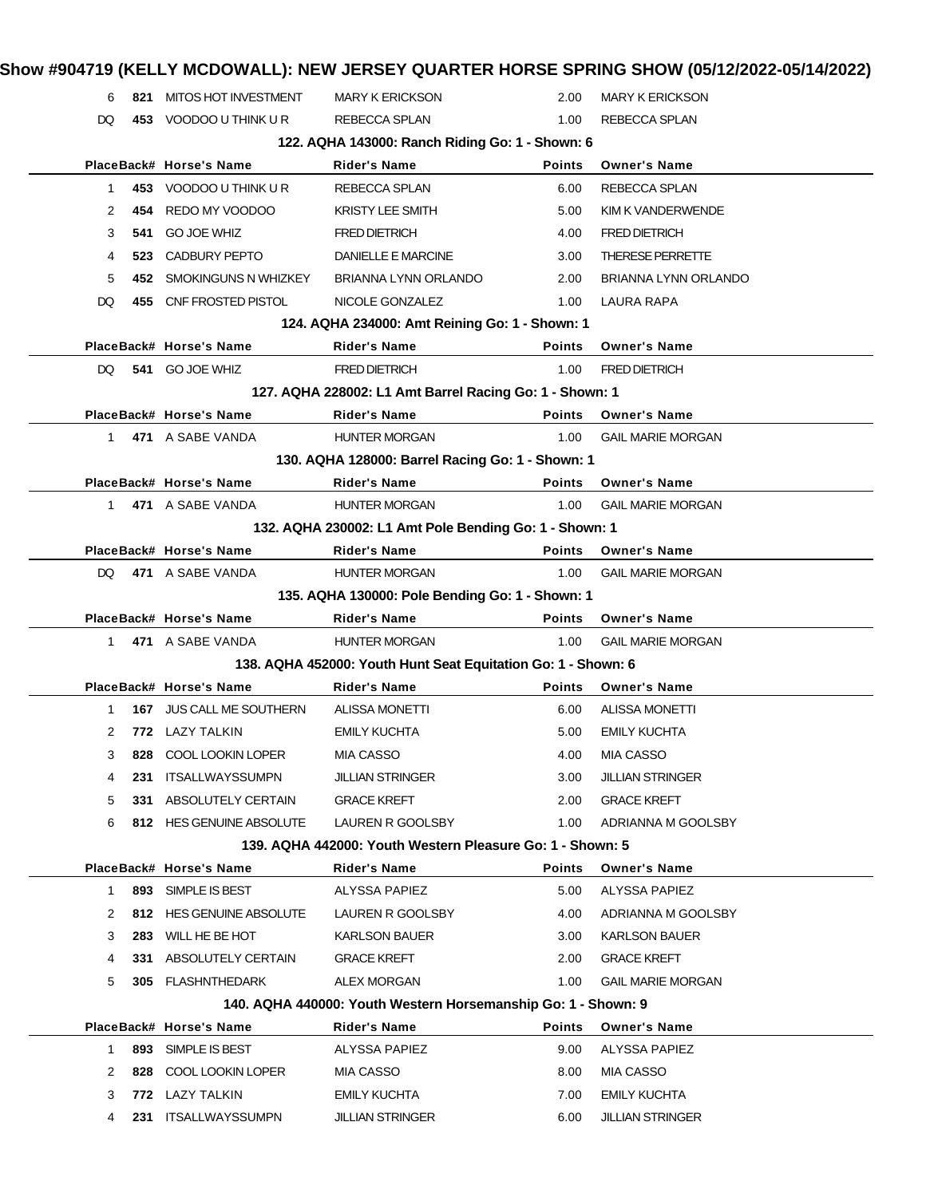### 6 **821** MITOS HOT INVESTMENT MARY K ERICKSON 2.00 MARY K ERICKSON DQ 453 VOODOO U THINK U R REBECCA SPLAN 1.00 REBECCA SPLAN **122. AQHA 143000: Ranch Riding Go: 1 - Shown: 6 PlaceBack# Horse's Name Rider's Name Points Owner's Name** 1 **453** VOODOO U THINK U R REBECCA SPLAN 6.00 REBECCA SPLAN 2 **454** REDO MY VOODOO KRISTY LEE SMITH 5.00 KIM K VANDERWENDE 3 **541** GO JOE WHIZ FRED DIETRICH 4.00 FRED DIETRICH 4 **523** CADBURY PEPTO DANIELLE E MARCINE 3.00 THERESE PERRETTE 5 **452** SMOKINGUNS N WHIZKEY BRIANNA LYNN ORLANDO 2.00 BRIANNA LYNN ORLANDO DQ **455** CNF FROSTED PISTOL NICOLE GONZALEZ 1.00 LAURA RAPA **124. AQHA 234000: Amt Reining Go: 1 - Shown: 1 PlaceBack# Horse's Name Rider's Name Points Owner's Name** DQ **541** GO JOE WHIZ FRED DIETRICH 1.00 FRED DIETRICH **127. AQHA 228002: L1 Amt Barrel Racing Go: 1 - Shown: 1 PlaceBack# Horse's Name Rider's Name Points Owner's Name** 1 **471** A SABE VANDA HUNTER MORGAN 1.00 GAIL MARIE MORGAN **130. AQHA 128000: Barrel Racing Go: 1 - Shown: 1 PlaceBack# Horse's Name Rider's Name Points Owner's Name** 1 **471** A SABE VANDA **HUNTER MORGAN** 1.00 GAIL MARIE MORGAN **132. AQHA 230002: L1 Amt Pole Bending Go: 1 - Shown: 1 PlaceBack# Horse's Name Rider's Name Points Owner's Name** DQ **471** A SABE VANDA HUNTER MORGAN 1.00 GAIL MARIE MORGAN **135. AQHA 130000: Pole Bending Go: 1 - Shown: 1 PlaceBack# Horse's Name Rider's Name Points Owner's Name** 1 **471** A SABE VANDA HUNTER MORGAN 1.00 GAIL MARIE MORGAN **138. AQHA 452000: Youth Hunt Seat Equitation Go: 1 - Shown: 6 PlaceBack# Horse's Name Rider's Name Points Owner's Name** 1 **167** JUS CALL ME SOUTHERN ALISSA MONETTI 6.00 ALISSA MONETTI 2 **772** LAZY TALKIN EMILY KUCHTA 5.00 EMILY KUCHTA 3 **828** COOL LOOKIN LOPER MIA CASSO 4.00 MIA CASSO 4 **231** ITSALLWAYSSUMPN JILLIAN STRINGER 3.00 JILLIAN STRINGER 5 **331** ABSOLUTELY CERTAIN GRACE KREFT 2.00 GRACE KREFT 6 **812** HES GENUINE ABSOLUTE LAUREN R GOOLSBY 1.00 ADRIANNA M GOOLSBY **139. AQHA 442000: Youth Western Pleasure Go: 1 - Shown: 5 PlaceBack# Horse's Name Rider's Name Points Owner's Name** 1 **893** SIMPLE IS BEST ALYSSA PAPIEZ 5.00 ALYSSA PAPIEZ 2 **812** HES GENUINE ABSOLUTE LAUREN R GOOLSBY 4.00 ADRIANNA M GOOLSBY 3 **283** WILL HE BE HOT KARLSON BAUER 3.00 KARLSON BAUER 4 **331** ABSOLUTELY CERTAIN GRACE KREFT 2.00 GRACE KREFT 5 **305** FLASHNTHEDARK ALEX MORGAN 1.00 GAIL MARIE MORGAN **140. AQHA 440000: Youth Western Horsemanship Go: 1 - Shown: 9 PlaceBack# Horse's Name Rider's Name Points Owner's Name** 1 **893** SIMPLE IS BEST ALYSSA PAPIEZ 9.00 ALYSSA PAPIEZ 2 828 COOL LOOKIN LOPER MIA CASSO 8.00 MIA CASSO 3 **772** LAZY TALKIN EMILY KUCHTA 7.00 EMILY KUCHTA 4 **231** ITSALLWAYSSUMPN JILLIAN STRINGER 6.00 JILLIAN STRINGER